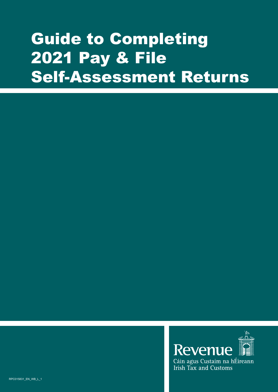# Guide to Completing 2021 Pay & File Self-Assessment Returns

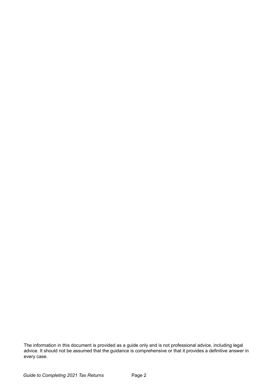The information in this document is provided as a guide only and is not professional advice, including legal advice. It should not be assumed that the guidance is comprehensive or that it provides a definitive answer in every case.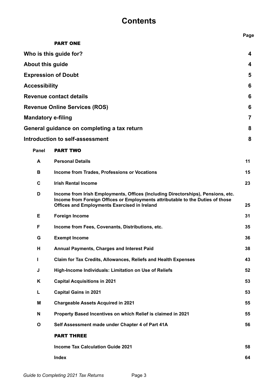# **Contents**

|                           |                                                                                                                                                                                                                           | Page |
|---------------------------|---------------------------------------------------------------------------------------------------------------------------------------------------------------------------------------------------------------------------|------|
|                           | <b>PART ONE</b>                                                                                                                                                                                                           |      |
|                           | Who is this guide for?                                                                                                                                                                                                    | 4    |
| <b>About this guide</b>   |                                                                                                                                                                                                                           | 4    |
|                           | <b>Expression of Doubt</b>                                                                                                                                                                                                | 5    |
| <b>Accessibility</b>      |                                                                                                                                                                                                                           | 6    |
|                           | <b>Revenue contact details</b>                                                                                                                                                                                            | 6    |
|                           | <b>Revenue Online Services (ROS)</b>                                                                                                                                                                                      | 6    |
| <b>Mandatory e-filing</b> |                                                                                                                                                                                                                           | 7    |
|                           | General guidance on completing a tax return                                                                                                                                                                               | 8    |
|                           | <b>Introduction to self-assessment</b>                                                                                                                                                                                    | 8    |
| <b>Panel</b>              | <b>PART TWO</b>                                                                                                                                                                                                           |      |
| A                         | <b>Personal Details</b>                                                                                                                                                                                                   | 11   |
| В                         | Income from Trades, Professions or Vocations                                                                                                                                                                              | 15   |
| C                         | <b>Irish Rental Income</b>                                                                                                                                                                                                | 23   |
| D                         | Income from Irish Employments, Offices (Including Directorships), Pensions, etc.<br>Income from Foreign Offices or Employments attributable to the Duties of those<br><b>Offices and Employments Exercised in Ireland</b> | 25   |
|                           |                                                                                                                                                                                                                           |      |
| E                         | <b>Foreign Income</b>                                                                                                                                                                                                     | 31   |
| F                         | Income from Fees, Covenants, Distributions, etc.                                                                                                                                                                          | 35   |
| G                         | <b>Exempt Income</b>                                                                                                                                                                                                      | 36   |
| н                         | Annual Payments, Charges and Interest Paid                                                                                                                                                                                | 38   |
| L                         | Claim for Tax Credits, Allowances, Reliefs and Health Expenses                                                                                                                                                            | 43   |
| J                         | High-Income Individuals: Limitation on Use of Reliefs                                                                                                                                                                     | 52   |
| Κ                         | <b>Capital Acquisitions in 2021</b>                                                                                                                                                                                       | 53   |
| L                         | <b>Capital Gains in 2021</b>                                                                                                                                                                                              | 53   |
| M                         | <b>Chargeable Assets Acquired in 2021</b>                                                                                                                                                                                 | 55   |
| N                         | Property Based Incentives on which Relief is claimed in 2021                                                                                                                                                              | 55   |
| $\mathbf{o}$              | Self Assessment made under Chapter 4 of Part 41A                                                                                                                                                                          | 56   |
|                           | <b>PART THREE</b>                                                                                                                                                                                                         |      |
|                           | <b>Income Tax Calculation Guide 2021</b>                                                                                                                                                                                  | 58   |
|                           | <b>Index</b>                                                                                                                                                                                                              | 64   |
|                           |                                                                                                                                                                                                                           |      |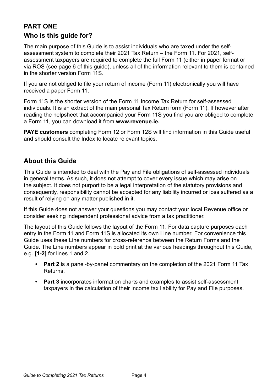# **Who is this guide for? PART ONE**

The main purpose of this Guide is to assist individuals who are taxed under the selfassessment system to complete their 2021 Tax Return – the Form 11. For 2021, selfassessment taxpayers are required to complete the full Form 11 (either in paper format or via ROS (see page 6 of this guide), unless all of the information relevant to them is contained in the shorter version Form 11S.

If you are not obliged to file your return of income (Form 11) electronically you will have received a paper Form 11.

Form 11S is the shorter version of the Form 11 Income Tax Return for self-assessed individuals. It is an extract of the main personal Tax Return form (Form 11). If however after reading the helpsheet that accompanied your Form 11S you find you are obliged to complete a Form 11, you can download it from **www.revenue.ie.**

**PAYE customers** completing Form 12 or Form 12S will find information in this Guide useful and should consult the Index to locate relevant topics.

# **About this Guide**

This Guide is intended to deal with the Pay and File obligations of self-assessed individuals in general terms. As such, it does not attempt to cover every issue which may arise on the subject. It does not purport to be a legal interpretation of the statutory provisions and consequently, responsibility cannot be accepted for any liability incurred or loss suffered as a result of relying on any matter published in it.

If this Guide does not answer your questions you may contact your local Revenue office or consider seeking independent professional advice from a tax practitioner.

The layout of this Guide follows the layout of the Form 11. For data capture purposes each entry in the Form 11 and Form 11S is allocated its own Line number. For convenience this Guide uses these Line numbers for cross-reference between the Return Forms and the Guide. The Line numbers appear in bold print at the various headings throughout this Guide, e.g. **[1-2]** for lines 1 and 2.

- **• Part 2** is a panel-by-panel commentary on the completion of the 2021 Form 11 Tax Returns,
- **• Part 3** incorporates information charts and examples to assist self-assessment taxpayers in the calculation of their income tax liability for Pay and File purposes.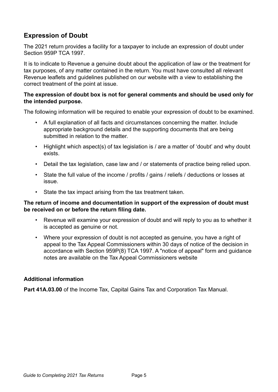# **Expression of Doubt**

The 2021 return provides a facility for a taxpayer to include an expression of doubt under Section 959P TCA 1997.

It is to indicate to Revenue a genuine doubt about the application of law or the treatment for tax purposes, of any matter contained in the return. You must have consulted all relevant Revenue leaflets and guidelines published on our website with a view to establishing the correct treatment of the point at issue.

# **The expression of doubt box is not for general comments and should be used only for the intended purpose.**

The following information will be required to enable your expression of doubt to be examined.

- A full explanation of all facts and circumstances concerning the matter. Include appropriate background details and the supporting documents that are being submitted in relation to the matter
- Highlight which aspect(s) of tax legislation is / are a matter of 'doubt' and why doubt exists.
- Detail the tax legislation, case law and / or statements of practice being relied upon.
- State the full value of the income / profits / gains / reliefs / deductions or losses at issue.
- State the tax impact arising from the tax treatment taken.

# **The return of income and documentation in support of the expression of doubt must be received on or before the return filing date.**

- Revenue will examine your expression of doubt and will reply to you as to whether it is accepted as genuine or not.
- Where your expression of doubt is not accepted as genuine, you have a right of appeal to the Tax Appeal Commissioners within 30 days of notice of the decision in accordance with Section 959P(8) TCA 1997. A ["notice of appeal"](http://www.taxappeals.ie/en/notice-of-appeal) form and guidance notes are available on the Tax Appeal Commissioners website

# **Additional information**

**[Part 41A.03.00](http://www.revenue.ie/en/tax-professionals/tdm/income-tax-capital-gains-tax-corporation-tax/part-41a/41A-03-00.pdf)** of the Income Tax, Capital Gains Tax and Corporation Tax Manual.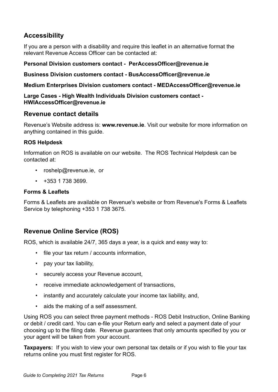# **Accessibility**

If you are a person with a disability and require this leaflet in an alternative format the relevant Revenue Access Officer can be contacted at:

# **Personal Division customers contact - [PerAccessOfficer@revenue.ie](mailto:PerAccessOfficer%40revenue.ie?subject=)**

**Business Division customers contact - [BusAccessOfficer@revenue.ie](mailto:BusAccessOfficer%40revenue.ie?subject=)**

**Medium Enterprises Division customers contact - [MEDAccessOfficer@revenue.ie](mailto:MEDAccessOfficer%40revenue.ie?subject=)**

### **Large Cases - High Wealth Individuals Division customers contact - [HWIAccessOfficer@revenue.ie](mailto:HWIAccessOfficer%40revenue.ie?subject=)**

# **Revenue contact details**

Revenue's Website address is: **www.revenue.ie**. Visit our website for more information on anything contained in this guide.

# **ROS Helpdesk**

Information on ROS is available on our website. The ROS Technical Helpdesk can be contacted at:

- roshelp@revenue.ie, or
- $\cdot$  +353 1 738 3699.

# **Forms & Leaflets**

Forms & Leaflets are available on Revenue's website or from Revenue's Forms & Leaflets Service by telephoning +353 1 738 3675.

# **Revenue Online Service (ROS)**

ROS, which is available 24/7, 365 days a year, is a quick and easy way to:

- file your tax return / accounts information,
- pay your tax liability,
- securely access your Revenue account,
- receive immediate acknowledgement of transactions,
- instantly and accurately calculate your income tax liability, and,
- aids the making of a self assessment.

Using ROS you can select three payment methods - ROS Debit Instruction, Online Banking or debit / credit card. You can e-file your Return early and select a payment date of your choosing up to the filing date. Revenue guarantees that only amounts specified by you or your agent will be taken from your account.

**Taxpayers:** If you wish to view your own personal tax details or if you wish to file your tax returns online you must first register for ROS.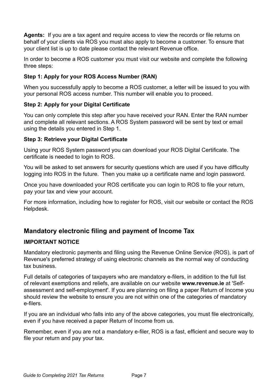**Agents:** If you are a tax agent and require access to view the records or file returns on behalf of your clients via ROS you must also apply to become a customer. To ensure that your client list is up to date please contact the relevant Revenue office.

In order to become a ROS customer you must visit our website and complete the following three steps:

# **Step 1: Apply for your ROS Access Number (RAN)**

When you successfully apply to become a ROS customer, a letter will be issued to you with your personal ROS access number. This number will enable you to proceed.

# **Step 2: Apply for your Digital Certificate**

You can only complete this step after you have received your RAN. Enter the RAN number and complete all relevant sections. A ROS System password will be sent by text or email using the details you entered in Step 1.

# **Step 3: Retrieve your Digital Certificate**

Using your ROS System password you can download your ROS Digital Certificate. The certificate is needed to login to ROS.

You will be asked to set answers for security questions which are used if you have difficulty logging into ROS in the future. Then you make up a certificate name and login password.

Once you have downloaded your ROS certificate you can login to ROS to file your return, pay your tax and view your account.

For more information, including how to register for ROS, visit our website or contact the ROS Helpdesk.

# **Mandatory electronic filing and payment of Income Tax**

# **IMPORTANT NOTICE**

Mandatory electronic payments and filing using the Revenue Online Service (ROS), is part of Revenue's preferred strategy of using electronic channels as the normal way of conducting tax business.

Full details of categories of taxpayers who are mandatory e-filers, in addition to the full list of relevant exemptions and reliefs, are available on our website **[www.revenue.ie](https://www.revenue.ie/en/self-assessment-and-self-employment/index.aspx)** at 'Selfassessment and self-employment'. If you are planning on filing a paper Return of Income you should review the website to ensure you are not within one of the categories of mandatory e-filers.

If you are an individual who falls into any of the above categories, you must file electronically, even if you have received a paper Return of Income from us.

Remember, even if you are not a mandatory e-filer, ROS is a fast, efficient and secure way to file your return and pay your tax.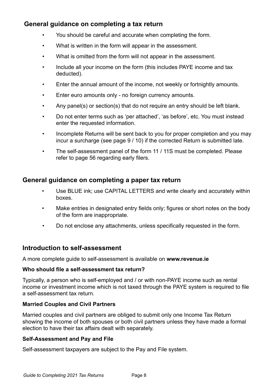# **General guidance on completing a tax return**

- You should be careful and accurate when completing the form.
- What is written in the form will appear in the assessment.
- What is omitted from the form will not appear in the assessment.
- Include all your income on the form (this includes PAYE income and tax deducted).
- Enter the annual amount of the income, not weekly or fortnightly amounts.
- Enter euro amounts only no foreign currency amounts.
- Any panel(s) or section(s) that do not require an entry should be left blank.
- Do not enter terms such as 'per attached', 'as before', etc. You must instead enter the requested information.
- Incomplete Returns will be sent back to you for proper completion and you may incur a surcharge (see page 9 / 10) if the corrected Return is submitted late.
- The self-assessment panel of the form 11 / 11S must be completed. Please refer to page 56 regarding early filers.

# **General guidance on completing a paper tax return**

- Use BLUE ink; use CAPITAL LETTERS and write clearly and accurately within boxes.
- Make entries in designated entry fields only; figures or short notes on the body of the form are inappropriate.
- Do not enclose any attachments, unless specifically requested in the form.

# **Introduction to self-assessment**

A more complete guide to self-assessment is available on **[www.revenue.ie](https://www.revenue.ie/en/self-assessment-and-self-employment/guide-to-self-assessment/index.aspx)**

# **Who should file a self-assessment tax return?**

Typically, a person who is self-employed and / or with non-PAYE income such as rental income or investment income which is not taxed through the PAYE system is required to file a self-assessment tax return.

# **Married Couples and Civil Partners**

Married couples and civil partners are obliged to submit only one Income Tax Return showing the income of both spouses or both civil partners unless they have made a formal election to have their tax affairs dealt with separately.

# **Self-Assessment and Pay and File**

Self-assessment taxpayers are subject to the Pay and File system.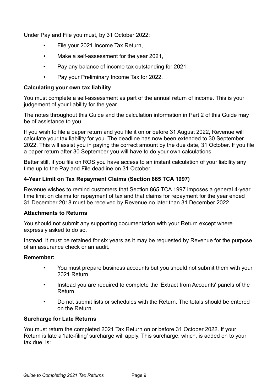Under Pay and File you must, by 31 October 2022:

- File your 2021 Income Tax Return,
- Make a self-assessment for the year 2021,
- Pay any balance of income tax outstanding for 2021,
- Pay your Preliminary Income Tax for 2022.

# **Calculating your own tax liability**

You must complete a self-assessment as part of the annual return of income. This is your judgement of your liability for the year.

The notes throughout this Guide and the calculation information in Part 2 of this Guide may be of assistance to you.

If you wish to file a paper return and you file it on or before 31 August 2022, Revenue will calculate your tax liability for you. The deadline has now been extended to 30 September 2022. This will assist you in paying the correct amount by the due date, 31 October. If you file a paper return after 30 September you will have to do your own calculations.

Better still, if you file on ROS you have access to an instant calculation of your liability any time up to the Pay and File deadline on 31 October.

# **4-Year Limit on Tax Repayment Claims (Section 865 TCA 1997)**

Revenue wishes to remind customers that Section 865 TCA 1997 imposes a general 4-year time limit on claims for repayment of tax and that claims for repayment for the year ended 31 December 2018 must be received by Revenue no later than 31 December 2022.

# **Attachments to Returns**

You should not submit any supporting documentation with your Return except where expressly asked to do so.

Instead, it must be retained for six years as it may be requested by Revenue for the purpose of an assurance check or an audit.

# **Remember:**

- You must prepare business accounts but you should not submit them with your 2021 Return.
- Instead you are required to complete the 'Extract from Accounts' panels of the Return.
- Do not submit lists or schedules with the Return. The totals should be entered on the Return.

# **Surcharge for Late Returns**

You must return the completed 2021 Tax Return on or before 31 October 2022. If your Return is late a 'late-filing' surcharge will apply. This surcharge, which, is added on to your tax due, is: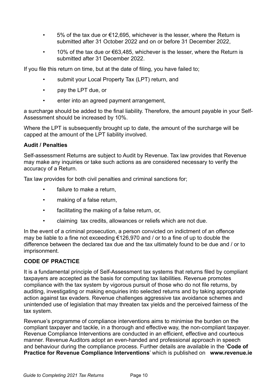- 5% of the tax due or  $\epsilon$ 12,695, whichever is the lesser, where the Return is submitted after 31 October 2022 and on or before 31 December 2022,
- 10% of the tax due or  $\epsilon$ 63,485, whichever is the lesser, where the Return is submitted after 31 December 2022.

If you file this return on time, but at the date of filing, you have failed to;

- submit your Local Property Tax (LPT) return, and
- pay the LPT due, or
- enter into an agreed payment arrangement,

a surcharge should be added to the final liability. Therefore, the amount payable in your Self-Assessment should be increased by 10%.

Where the LPT is subsequently brought up to date, the amount of the surcharge will be capped at the amount of the LPT liability involved.

# **Audit / Penalties**

Self-assessment Returns are subject to Audit by Revenue. Tax law provides that Revenue may make any inquiries or take such actions as are considered necessary to verify the accuracy of a Return.

Tax law provides for both civil penalties and criminal sanctions for;

- failure to make a return.
- making of a false return,
- facilitating the making of a false return, or,
- claiming tax credits, allowances or reliefs which are not due.

In the event of a criminal prosecution, a person convicted on indictment of an offence may be liable to a fine not exceeding €126,970 and / or to a fine of up to double the difference between the declared tax due and the tax ultimately found to be due and / or to imprisonment.

# **CODE OF PRACTICE**

It is a fundamental principle of Self-Assessment tax systems that returns filed by compliant taxpayers are accepted as the basis for computing tax liabilities. Revenue promotes compliance with the tax system by vigorous pursuit of those who do not file returns, by auditing, investigating or making enquiries into selected returns and by taking appropriate action against tax evaders. Revenue challenges aggressive tax avoidance schemes and unintended use of legislation that may threaten tax yields and the perceived fairness of the tax system.

Revenue's programme of compliance interventions aims to minimise the burden on the compliant taxpayer and tackle, in a thorough and effective way, the non-compliant taxpayer. Revenue Compliance Interventions are conducted in an efficient, effective and courteous manner. Revenue Auditors adopt an even-handed and professional approach in speech and behaviour during the compliance process. Further details are available in the '**[Code of](https://www.revenue.ie/en/tax-professionals/documents/code-of-practice-revenue-compliance-interventions.pdf)  [Practice for Revenue Compliance Interventions](https://www.revenue.ie/en/tax-professionals/documents/code-of-practice-revenue-compliance-interventions.pdf)**' which is published on **[www.revenue.ie](https://www.revenue.ie/en/search.aspx?q=Code%20of%20Practice%20for%20Revenue%20Audit%20and%20other%20Compliance%20Interventions%20-%20%5BCode%20of%20Practice%20for%20Revenue%20Audit%20and%20other%20Compliance%20Interventions%5D)**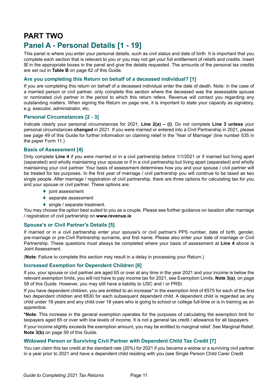# **PART TWO**

# **Panel A - Personal Details [1 - 19]**

This panel is where you enter your personal details, such as civil status and date of birth. It is important that you complete each section that is relevant to you or you may not get your full entitlement of reliefs and credits. Insert  $\boxtimes$  in the appropriate boxes in the panel and give the details requested. The amounts of the personal tax credits are set out in **Table B** on page 62 of this Guide.

#### **Are you completing this Return on behalf of a deceased individual? [1]**

If you are completing this return on behalf of a deceased individual enter the date of death. Note: in the case of a married person or civil partner, only complete this section where the deceased was the assessable spouse or nominated civil partner in the period to which this return refers. Revenue will contact you regarding any outstanding matters. When signing the Return on page one, it is important to state your capacity as signatory, e.g. executor, administrator, etc.

#### **Personal Circumstances [2 - 3]**

Indicate clearly your personal circumstances for 2021, **Line 2(a) – (i)**. Do not complete **Line 3 unless** your personal circumstances **changed** in 2021. If you were married or entered into a Civil Partnership in 2021, please see page 49 of this Guide for further information on claiming relief in the 'Year of Marriage' (line number 535 in the paper Form 11.)

#### **Basis of Assessment [4]**

Only complete **Line 4** if you were married or in a civil partnership before 1/1/2021 or if married but living apart (separated) and wholly maintaining your spouse or if in a civil partnership but living apart (separated) and wholly maintaining your civil partner. Your basis of assessment determines how you and your spouse / civil partner will be treated for tax purposes. In the first year of marriage / civil partnership you will continue to be taxed as two single people. After marriage / registration of civil partnership, there are three options for calculating tax for you and your spouse or civil partner. These options are:

- $\blacklozenge$  joint assessment
- $\triangleleft$  separate assessment
- $\bullet$  single / separate treatment.

You may choose the option best suited to you as a couple. Please see further guidance on taxation after marriage / registration of civil partnership on **www.revenue.ie**

#### **Spouse's or Civil Partner's Details [5]**

If married or in a civil partnership enter your spouse's or civil partner's PPS number, date of birth, gender, pre-marriage or pre-Civil Partnership surname, and first name. Please also enter your date of marriage or Civil Partnership. These questions must always be completed where your basis of assessment at **Line 4** above is Joint Assessment.

(**Note**: Failure to complete this section may result in a delay in processing your Return.)

#### **Increased Exemption for Dependent Children [6]**

If you, your spouse or civil partner are aged 65 or over at any time in the year 2021 and your income is below the relevant exemption limits, you will not have to pay income tax for 2021, see Exemption Limits, **Note 3(a)**, on page 58 of this Guide. However, you may still have a liability to USC and / or PRSI.

If you have dependent children, you are entitled to an increase\* in the exemption limit of  $\epsilon$ 575 for each of the first two dependent children and €830 for each subsequent dependent child. A dependent child is regarded as any child under 18 years and any child over 18 years who is going to school or college full-time or is in training as an apprentice.

**\*Note**: This increase in the general exemption operates for the purposes of calculating the exemption limit for taxpayers aged 65 or over with low levels of income. It is not a general tax credit / allowance for all taxpayers.

If your income slightly exceeds the exemption amount, you may be entitled to marginal relief. See Marginal Relief, **Note 3(b)** on page 59 of this Guide.

#### **Widowed Person or Surviving Civil Partner with Dependent Child Tax Credit [7]**

You can claim this tax credit at the standard rate (20%) for 2021 if you became a widow or a surviving civil partner in a year prior to 2021 and have a dependent child residing with you (see Single Person Child Carer Credit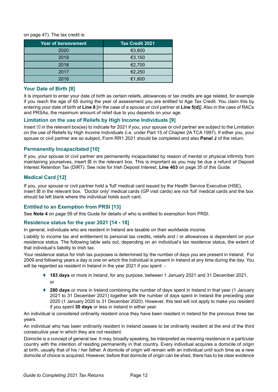on page 47). The tax credit is:

| <b>Year of bereavement</b> | <b>Tax Credit 2021</b> |
|----------------------------|------------------------|
| 2020                       | €3,600                 |
| 2019                       | €3,150                 |
| 2018                       | €2,700                 |
| 2017                       | €2,250                 |
| 2016                       | €1,800                 |

#### **Your Date of Birth [8]**

It is important to enter your date of birth as certain reliefs, allowances or tax credits are age related, for example if you reach the age of 65 during the year of assessment you are entitled to Age Tax Credit. You claim this by entering your date of birth at **Line 8** [in the case of a spouse or civil partner at **Line 5(d)**]. Also in the case of RACs and PRSAs, the maximum amount of relief due to you depends on your age.

#### **Limitation on the use of Reliefs by High Income Individuals [9]**

Insert  $\boxtimes$  in the relevant box(es) to indicate for 2021 if you, your spouse or civil partner are subject to the Limitation on the use of Reliefs by High Income Individuals (i.e. under Part 15 of Chapter 2A TCA 1997). If either you, your spouse or civil partner are so subject, Form RR1 2021 should be completed and also **Panel J** of the return.

#### **Permanently Incapacitated [10]**

If you, your spouse or civil partner are permanently incapacitated by reason of mental or physical infirmity from maintaining yourselves, insert  $\boxtimes$  in the relevant box. This is important as you may be due a refund of Deposit Interest Retention Tax (DIRT). See note for Irish Deposit Interest, **Line 403** on page 35 of this Guide.

### **Medical Card [12]**

If you, your spouse or civil partner hold a 'full' medical card issued by the Health Service Executive (HSE), insert  $\boxtimes$  in the relevant box. 'Doctor only' medical cards (GP visit cards) are not 'full' medical cards and the box should be left blank where the individual holds such card.

#### **Entitled to an Exemption from PRSI [13]**

See **Note 4** on page 59 of this Guide for details of who is entitled to exemption from PRSI.

#### **Residence status for the year 2021 [14 - 18]**

In general, individuals who are resident in Ireland are taxable on their worldwide income.

Liability to income tax and entitlement to personal tax credits, reliefs and / or allowances is dependent on your residence status. The following table sets out, depending on an individual's tax residence status, the extent of that individual's liability to Irish tax.

Your residence status for Irish tax purposes is determined by the number of days you are present in Ireland. For 2009 and following years a day is one on which the individual is present in Ireland at any time during the day. You will be regarded as resident in Ireland in the year 2021 if you spent: -

- ♦ **183 days** or more in Ireland, for any purpose, between 1 January 2021 and 31 December 2021, or
- ♦ **280 days** or more in Ireland combining the number of days spent in Ireland in that year (1 January 2021 to 31 December 2021) together with the number of days spent in Ireland the preceding year 2020 (1 January 2020 to 31 December 2020). However, this test will not apply to make you resident if you spent **30 days** or less in Ireland in either year.

An individual is considered ordinarily resident once they have been resident in Ireland for the previous three tax years.

An individual who has been ordinarily resident in Ireland ceases to be ordinarily resident at the end of the third consecutive year in which they are not resident.

Domicile is a concept of general law. It may, broadly speaking, be interpreted as meaning residence in a particular country with the intention of residing permanently in that country. Every individual acquires a domicile of origin at birth, usually that of his / her father. A domicile of origin will remain with an individual until such time as a new domicile of choice is acquired. However, before that domicile of origin can be shed, there has to be clear evidence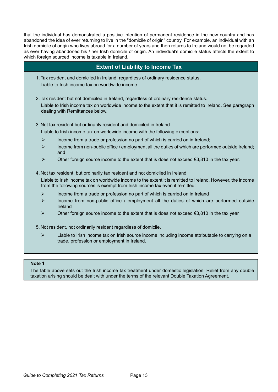that the individual has demonstrated a positive intention of permanent residence in the new country and has abandoned the idea of ever returning to live in the "domicile of origin" country. For example, an individual with an Irish domicile of origin who lives abroad for a number of years and then returns to Ireland would not be regarded as ever having abandoned his / her Irish domicile of origin. An individual's domicile status affects the extent to which foreign sourced income is taxable in Ireland.

## **Extent of Liability to Income Tax**

1. Tax resident and domiciled in Ireland, regardless of ordinary residence status. Liable to Irish income tax on worldwide income.

2. Tax resident but not domiciled in Ireland, regardless of ordinary residence status. Liable to Irish income tax on worldwide income to the extent that it is remitted to Ireland. See paragraph dealing with Remittances below.

3. Not tax resident but ordinarily resident and domiciled in Ireland.

Liable to Irish income tax on worldwide income with the following exceptions:

- $\triangleright$  Income from a trade or profession no part of which is carried on in Ireland;
- $\triangleright$  Income from non-public office / employment all the duties of which are performed outside Ireland; and
- $\triangleright$  Other foreign source income to the extent that is does not exceed  $\epsilon$ 3,810 in the tax year.

#### 4. Not tax resident, but ordinarily tax resident and not domiciled in Ireland

Liable to Irish income tax on worldwide income to the extent it is remitted to Ireland. However, the income from the following sources is exempt from Irish income tax even if remitted:

- $\triangleright$  Income from a trade or profession no part of which is carried on in Ireland
- $\triangleright$  Income from non-public office / employment all the duties of which are performed outside Ireland
- $\triangleright$  Other foreign source income to the extent that is does not exceed  $\epsilon$ 3,810 in the tax year

5. Not resident, not ordinarily resident regardless of domicile.

 $\triangleright$  Liable to Irish income tax on Irish source income including income attributable to carrying on a trade, profession or employment in Ireland.

#### **Note 1**

The table above sets out the Irish income tax treatment under domestic legislation. Relief from any double taxation arising should be dealt with under the terms of the relevant Double Taxation Agreement.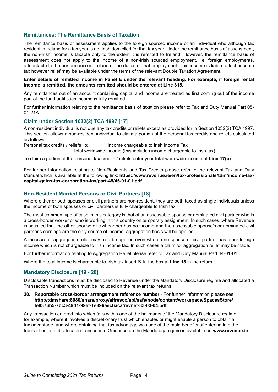#### **Remittances: The Remittance Basis of Taxation**

The remittance basis of assessment applies to the foreign sourced income of an individual who although tax resident in Ireland for a tax year is not Irish domiciled for that tax year. Under the remittance basis of assessment, the non-Irish income is taxable only to the extent it is remitted to Ireland. However, the remittance basis of assessment does not apply to the income of a non-Irish sourced employment, i.e. foreign employments, attributable to the performance in Ireland of the duties of that employment. This income is liable to Irish income tax however relief may be available under the terms of the relevant Double Taxation Agreement.

#### **Enter details of remitted income in Panel E under the relevant heading. For example, if foreign rental income is remitted, the amounts remitted should be entered at Line 315.**

Any remittances out of an account containing capital and income are treated as first coming out of the income part of the fund until such income is fully remitted.

For further information relating to the remittance basis of taxation please refer to Tax and Duty Manual Part 05- 01-21A.

#### **Claim under Section 1032(2) TCA 1997 [17]**

A non-resident individual is not due any tax credits or reliefs except as provided for in Section 1032(2) TCA 1997. This section allows a non-resident individual to claim a portion of the personal tax credits and reliefs calculated as follows:

Personal tax credits / reliefs **x** income chargeable to Irish Income Tax total worldwide income (this includes income chargeable to Irish tax)

To claim a portion of the personal tax credits / reliefs enter your total worldwide income at **Line 17(b)**.

For further information relating to Non-Residents and Tax Credits please refer to the relevant Tax and Duty Manual which is available at the following link: **[https://www.revenue.ie/en/tax-professionals/tdm/income-tax](https://www.revenue.ie/en/tax-professionals/tdm/income-tax-capital-gains-tax-corporation-tax/part-45/45-01-01.pdf)[capital-gains-tax-corporation-tax/part-45/45-01-01.pdf](https://www.revenue.ie/en/tax-professionals/tdm/income-tax-capital-gains-tax-corporation-tax/part-45/45-01-01.pdf)**

#### **Non-Resident Married Persons or Civil Partners [18]**

Where either or both spouses or civil partners are non-resident, they are both taxed as single individuals unless the income of both spouses or civil partners is fully chargeable to Irish tax.

The most common type of case in this category is that of an assessable spouse or nominated civil partner who is a cross-border worker or who is working in this country on temporary assignment. In such cases, where Revenue is satisfied that the other spouse or civil partner has no income and the assessable spouse's or nominated civil partner's earnings are the only source of income, aggregation basis will be applied.

A measure of aggregation relief may also be applied even where one spouse or civil partner has other foreign income which is not chargeable to Irish income tax. In such cases a claim for aggregation relief may be made.

For further information relating to Aggregation Relief please refer to Tax and Duty Manual Part 44-01-01.

Where the total income is chargeable to Irish tax insert  $\boxtimes$  in the box at Line 18 in the return.

#### **Mandatory Disclosure [19 - 20]**

Disclosable transactions must be disclosed to Revenue under the Mandatory Disclosure regime and allocated a Transaction Number which must be included on the relevant tax returns.

#### **20. Reportable cross-border arrangement reference number** - For further information please see **[http://tdmshare:8080/share/proxy/alfresco/api/safe/node/content/workspace/SpacesStore/](http://tdmshare:8080/share/proxy/alfresco/api/safe/node/content/workspace/SpacesStore/fe8376b5-7bc3-49d1-99ef-1e896aec6aca/revnet-33-03-04.pdf) [fe8376b5-7bc3-49d1-99ef-1e896aec6aca/revnet-33-03-04.pdf](http://tdmshare:8080/share/proxy/alfresco/api/safe/node/content/workspace/SpacesStore/fe8376b5-7bc3-49d1-99ef-1e896aec6aca/revnet-33-03-04.pdf)**

Any transaction entered into which falls within one of the hallmarks of the Mandatory Disclosure regime, for example, where it involves a discretionary trust which enables or might enable a person to obtain a tax advantage, and where obtaining that tax advantage was one of the main benefits of entering into the transaction, is a disclosable transaction. Guidance on the Mandatory regime is available on **www.revenue.ie**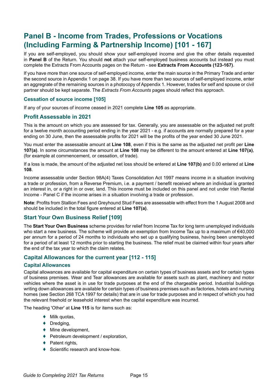# **Panel B - Income from Trades, Professions or Vocations (Including Farming & Partnership Income) [101 - 167]**

If you are self-employed, you should show your self-employed income and give the other details requested in **Panel B** of the Return. You should **not** attach your self-employed business accounts but instead you must complete the Extracts From Accounts pages on the Return - see **Extracts From Accounts (123-167)**.

If you have more than one source of self-employed income, enter the main source in the Primary Trade and enter the second source in Appendix 1 on page 38. If you have more than two sources of self-employed income, enter an aggregrate of the remaining sources in a photocopy of Appendix 1. However, trades for self and spouse or civil partner should be kept separate. The *Extracts From Accounts* pages should reflect this approach.

#### **Cessation of source income [105]**

If any of your sources of income ceased in 2021 complete **Line 105** as appropriate.

#### **Profit Assessable in 2021**

This is the amount on which you are assessed for tax. Generally, you are assessable on the adjusted net profit for a twelve month accounting period ending in the year 2021 - e.g. if accounts are normally prepared for a year ending on 30 June, then the assessable profits for 2021 will be the profits of the year ended 30 June 2021.

You must enter the assessable amount at **Line 108**, even if this is the same as the adjusted net profit per **Line 107(a)**. In some circumstances the amount at **Line 108** may be different to the amount entered at **Line 107(a)**, (for example at commencement, or cessation, of trade).

If a loss is made, the amount of the adjusted net loss should be entered at **Line 107(b)** and 0.00 entered at **Line 108**.

Income assessable under Section 98A(4) Taxes Consolidation Act 1997 means income in a situation involving a trade or profession, from a Reverse Premium, i.e. a payment / benefit received where an individual is granted an interest in, or a right in or over, land. This income must be included on this panel and not under Irish Rental Income - Panel C if the income arises in a situation involving a trade or profession.

**Note**: Profits from Stallion Fees and Greyhound Stud Fees are assessable with effect from the 1 August 2008 and should be included in the total figure entered at **Line 107(a)**.

#### **Start Your Own Business Relief [109]**

The **Start Your Own Business** scheme provides for relief from Income Tax for long term unemployed individuals who start a new business. The scheme will provide an exemption from Income Tax up to a maximum of €40,000 per annum for a period of 24 months to individuals who set up a qualifying business, having been unemployed for a period of at least 12 months prior to starting the business. The relief must be claimed within four years after the end of the tax year to which the claim relates.

#### **Capital Allowances for the current year [112 - 115]**

#### **Capital Allowances**

Capital allowances are available for capital expenditure on certain types of business assets and for certain types of business premises. Wear and Tear allowances are available for assets such as plant, machinery and motor vehicles where the asset is in use for trade purposes at the end of the chargeable period. Industrial buildings writing down allowances are available for certain types of business premises such as factories, hotels and nursing homes (see Section 268 TCA 1997 for details) that are in use for trade purposes and in respect of which you had the relevant freehold or leasehold interest when the capital expenditure was incurred.

The heading 'Other' at **Line 115** is for items such as:

- $\blacklozenge$  Milk quotas,
- $\blacklozenge$  Dredging,
- ♦ Mine development,
- ♦ Petroleum development / exploration,
- $\triangleleft$  Patent rights,
- ♦ Scientific research and know-how.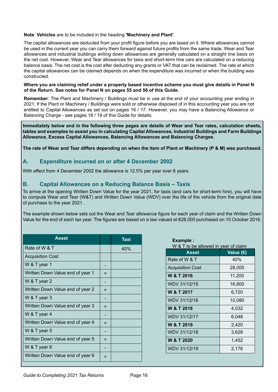#### **Note**: **Vehicles** are to be included in the heading **'Machinery and Plant'**.

The capital allowances are deducted from your profit figure before you are taxed on it. Where allowances cannot be used in the current year you can carry them forward against future profits from the same trade. Wear and Tear allowances and industrial buildings writing down allowances are generally calculated on a straight line basis on the net cost. However, Wear and Tear allowances for taxis and short-term hire cars are calculated on a reducing balance basis. The net cost is the cost after deducting any grants or VAT that can be reclaimed. The rate at which the capital allowances can be claimed depends on when the expenditure was incurred or when the building was constructed.

#### **Where you are claiming relief under a property based incentive scheme you must give details in Panel N of the Return. See notes for Panel N on pages 55 and 56 of this Guide.**

**Remember**: The Plant and Machinery / Buildings must be in use at the end of your accounting year ending in 2021. If the Plant or Machinery / Buildings were sold or otherwise disposed of in this accounting year you are not entitled to Capital Allowances as set out on pages 16 / 17. However, you may have a Balancing Allowance or Balancing Charge - see pages 18 / 19 of this Guide for details.

**Immediately below and in the following three pages are details of Wear and Tear rates, calculation sheets, tables and examples to assist you in calculating Capital Allowances, Industrial Buildings and Farm Buildings Allowance, Excess Capital Allowances, Balancing Allowances and Balancing Charges.**

**The rate of Wear and Tear differs depending on when the item of Plant or Machinery (P & M) was purchased.**

# **A. Expenditure incurred on or after 4 December 2002**

With effect from 4 December 2002 the allowance is 12.5% per year over 8 years.

# **B. Capital Allowances on a Reducing Balance Basis – Taxis**

To arrive at the opening Written Down Value for the year 2021, for taxis (and cars for short-term hire), you will have to compute Wear and Tear (W&T) and Written Down Value (WDV) over the life of the vehicle from the original date of purchase to the year 2021.

The example shown below sets out the Wear and Tear allowance figure for each year of claim and the Written Down Value for the end of each tax year. The figures are based on a taxi valued at €28,000 purchased on 10 October 2016.

| Asset                            |     | <b>Taxi</b> |
|----------------------------------|-----|-------------|
| Rate of W & T                    |     | 40%         |
| <b>Acquisition Cost</b>          |     |             |
| W & T year 1                     |     |             |
| Written Down Value end of year 1 |     |             |
| W & T year 2                     |     |             |
| Written Down Value end of year 2 | $=$ |             |
| W & T year 3                     |     |             |
| Written Down Value end of year 3 | =   |             |
| W & T year 4                     |     |             |
| Written Down Value end of year 4 |     |             |
| W & T year 5                     |     |             |
| Written Down Value end of year 5 | $=$ |             |
| W & T year 6                     |     |             |
| Written Down Value end of year 6 |     |             |

# **Example :**

W & T to be allowed in year of claim

| <b>Asset</b>            | Value (€) |
|-------------------------|-----------|
| Rate of W & T           | 40%       |
| <b>Acquisition Cost</b> | 28,000    |
| W & T 2016              | 11,200    |
| WDV 31/12/15            | 16,800    |
| W & T 2017              | 6,720     |
| WDV 31/12/16            | 10,080    |
| W & T 2018              | 4,032     |
| <b>WDV 31/12/17</b>     | 6,048     |
| W & T 2019              | 2,420     |
| WDV 31/12/18            | 3,628     |
| W & T 2020              | 1,452     |
| WDV 31/12/19            | 2,176     |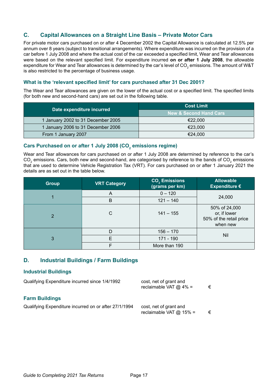# **C. Capital Allowances on a Straight Line Basis – Private Motor Cars**

For private motor cars purchased on or after 4 December 2002 the Capital Allowance is calculated at 12.5% per annum over 8 years (subject to transitional arrangements). Where expenditure was incurred on the provision of a car before 1 July 2008 and where the actual cost of the car exceeded a specified limit, Wear and Tear allowances were based on the relevant specified limit. For expenditure incurred **on or after 1 July 2008**, the allowable expenditure for Wear and Tear allowances is determined by the car's level of CO<sub>2</sub> emissions. The amount of W&T is also restricted to the percentage of business usage.

#### **What is the 'relevant specified limit' for cars purchased after 31 Dec 2001?**

The Wear and Tear allowances are given on the lower of the actual cost or a specified limit. The specified limits (for both new and second-hand cars) are set out in the following table.

| Date expenditure incurred          | <b>Cost Limit</b>                 |  |
|------------------------------------|-----------------------------------|--|
|                                    | <b>New &amp; Second Hand Cars</b> |  |
| 1 January 2002 to 31 December 2005 | €22.000                           |  |
| 1 January 2006 to 31 December 2006 | €23.000                           |  |
| From 1 January 2007                | €24.000                           |  |

# Cars Purchased on or after 1 July 2008 (CO<sub>2</sub> emissions regime)

Wear and Tear allowances for cars purchased on or after 1 July 2008 are determined by reference to the car's CO<sub>2</sub> emissions. Cars, both new and second-hand, are categorised by reference to the bands of CO<sub>2</sub> emissions that are used to determine Vehicle Registration Tax (VRT). For cars purchased on or after 1 January 2021 the details are as set out in the table below.

| <b>Group</b>   | <b>VRT Category</b> | <b>CO<sub>2</sub></b> Emissions<br>(grams per km) | <b>Allowable</b><br>Expenditure $\epsilon$                           |
|----------------|---------------------|---------------------------------------------------|----------------------------------------------------------------------|
|                | A                   | $0 - 120$                                         | 24,000                                                               |
|                | B                   | $121 - 140$                                       |                                                                      |
| $\overline{2}$ | С                   | $141 - 155$                                       | 50% of 24,000<br>or, if lower<br>50% of the retail price<br>when new |
|                | D                   | $156 - 170$                                       |                                                                      |
| 3              | Е                   | 171 - 190                                         | Nil                                                                  |
|                | F                   | More than 190                                     |                                                                      |

# **D. Industrial Buildings / Farm Buildings**

#### **Industrial Buildings**

| Qualifying Expenditure incurred since 1/4/1992        | cost, net of grant and<br>reclaimable VAT $@$ 4% =  | € |
|-------------------------------------------------------|-----------------------------------------------------|---|
| <b>Farm Buildings</b>                                 |                                                     |   |
| Qualifying Expenditure incurred on or after 27/1/1994 | cost, net of grant and<br>reclaimable VAT $@$ 15% = | € |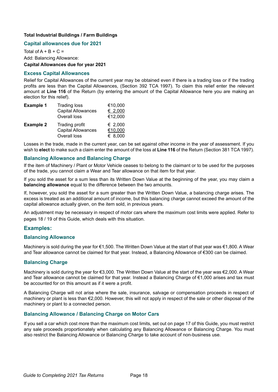#### **Total Industrial Buildings / Farm Buildings**

#### **Capital allowances due for 2021**

Total of  $A + B + C =$ Add: Balancing Allowance: **Capital Allowances due for year 2021**

#### **Excess Capital Allowances**

Relief for Capital Allowances of the current year may be obtained even if there is a trading loss or if the trading profits are less than the Capital Allowances, (Section 392 TCA 1997). To claim this relief enter the relevant amount at **Line 116** of the Return (by entering the amount of the Capital Allowance here you are making an election for this relief).

| <b>Example 1</b> | <b>Trading loss</b><br><b>Capital Allowances</b><br>Overall loss | €10,000<br>€ 2,000<br>€12,000 |
|------------------|------------------------------------------------------------------|-------------------------------|
| <b>Example 2</b> | Trading profit<br><b>Capital Allowances</b><br>Overall loss      | € 2,000<br>€10,000<br>€ 8,000 |

Losses in the trade, made in the current year, can be set against other income in the year of assessment. If you wish to **elect** to make such a claim enter the amount of the loss at **Line 116** of the Return (Section 381 TCA 1997).

#### **Balancing Allowance and Balancing Charge**

If the item of Machinery / Plant or Motor Vehicle ceases to belong to the claimant or to be used for the purposes of the trade, you cannot claim a Wear and Tear allowance on that item for that year.

If you sold the asset for a sum less than its Written Down Value at the beginning of the year, you may claim a **balancing allowance** equal to the difference between the two amounts.

If, however, you sold the asset for a sum greater than the Written Down Value, a balancing charge arises. The excess is treated as an additional amount of income, but this balancing charge cannot exceed the amount of the capital allowance actually given, on the item sold, in previous years.

An adjustment may be necessary in respect of motor cars where the maximum cost limits were applied. Refer to pages 18 / 19 of this Guide, which deals with this situation.

#### **Examples:**

#### **Balancing Allowance**

Machinery is sold during the year for €1,500. The Written Down Value at the start of that year was €1,800. A Wear and Tear allowance cannot be claimed for that year. Instead, a Balancing Allowance of €300 can be claimed.

#### **Balancing Charge**

Machinery is sold during the year for €3,000. The Written Down Value at the start of the year was €2,000. A Wear and Tear allowance cannot be claimed for that year. Instead a Balancing Charge of €1,000 arises and tax must be accounted for on this amount as if it were a profit.

A Balancing Charge will not arise where the sale, insurance, salvage or compensation proceeds in respect of machinery or plant is less than €2,000. However, this will not apply in respect of the sale or other disposal of the machinery or plant to a connected person.

#### **Balancing Allowance / Balancing Charge on Motor Cars**

If you sell a car which cost more than the maximum cost limits, set out on page 17 of this Guide, you must restrict any sale proceeds proportionately when calculating any Balancing Allowance or Balancing Charge. You must also restrict the Balancing Allowance or Balancing Charge to take account of non-business use.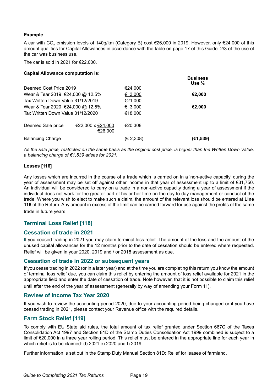#### **Example**

A car with CO<sub>2</sub> emission levels of 140g/km (Category B) cost €26,000 in 2019. However, only €24,000 of this amount qualifies for Capital Allowances in accordance with the table on page 17 of this Guide. 2/3 of the use of the car was business use.

The car is sold in 2021 for  $E$ 22,000.

| <b>Capital Allowance computation is:</b>    |                              |            |                                      |
|---------------------------------------------|------------------------------|------------|--------------------------------------|
|                                             |                              |            | <b>Business</b><br>Use $\frac{2}{3}$ |
| Deemed Cost Price 2019                      |                              | €24,000    |                                      |
| Wear & Tear 2019 €24,000 @ 12.5%            |                              | € 3,000    | €2,000                               |
| Tax Written Down Value 31/12/2019           |                              | €21,000    |                                      |
| Wear & Tear 2020 €24,000 @ 12.5%<br>€ 3,000 |                              |            | €2,000                               |
| Tax Written Down Value 31/12/2020           |                              | €18,000    |                                      |
| Deemed Sale price                           | €22,000 x €24,000<br>€26,000 | €20,308    |                                      |
| <b>Balancing Charge</b>                     |                              | (E 2, 308) | (€1,539)                             |

*As the sale price, restricted on the same basis as the original cost price, is higher than the Written Down Value, a balancing charge of €1,539 arises for 2021.*

#### **Losses [116]**

Any losses which are incurred in the course of a trade which is carried on in a 'non-active capacity' during the year of assessment may be set off against other income in that year of assessment up to a limit of €31,750. An individual will be considered to carry on a trade in a non-active capacity during a year of assessment if the individual does not work for the greater part of his or her time on the day to day management or conduct of the trade. Where you wish to elect to make such a claim, the amount of the relevant loss should be entered at **Line 116** of the Return. Any amount in excess of the limit can be carried forward for use against the profits of the same

trade in future years

# **Terminal Loss Relief [118]**

# **Cessation of trade in 2021**

If you ceased trading in 2021 you may claim terminal loss relief. The amount of the loss and the amount of the unused capital allowances for the 12 months prior to the date of cessation should be entered where requested. Relief will be given in your 2020, 2019 and / or 2018 assessment as due.

#### **Cessation of trade in 2022 or subsequent years**

If you cease trading in 2022 (or in a later year) and at the time you are completing this return you know the amount of terminal loss relief due, you can claim this relief by entering the amount of loss relief available for 2021 in the appropriate field and enter the date of cessation of trade. Note however, that it is not possible to claim this relief until after the end of the year of assessment (generally by way of amending your Form 11).

#### **Review of Income Tax Year 2020**

If you wish to review the accounting period 2020, due to your accounting period being changed or if you have ceased trading in 2021, please contact your Revenue office with the required details.

# **Farm Stock Relief [119]**

To comply with EU State aid rules, the total amount of tax relief granted under Section 667C of the Taxes Consolidation Act 1997 and Section 81D of the Stamp Duties Consolidation Act 1999 combined is subject to a limit of €20,000 in a three year rolling period. This relief must be entered in the appropriate line for each year in which relief is to be claimed: d) 2021 e) 2020 and f) 2019.

Further information is set out in the [Stamp Duty Manual Section 81D: Relief for leases of farmland](https://www.revenue.ie/en/search.aspx?q=Stamp%20Duty%20Manual%20Section%2081D%3A%20Relief%20for%20leases%20of%20farmland).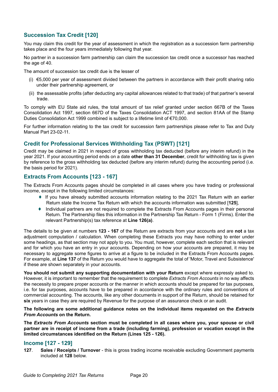# **Succession Tax Credit [120]**

You may claim this credit for the year of assessment in which the registration as a succession farm partnership takes place and the four years immediately following that year.

No partner in a succession farm partnership can claim the succession tax credit once a successor has reached the age of 40.

The amount of succession tax credit due is the lesser of

- (i) €5,000 per year of assessment divided between the partners in accordance with their profit sharing ratio under their partnership agreement, or
- (ii) the assessable profits (after deducting any capital allowances related to that trade) of that partner's several trade.

To comply with EU State aid rules, the total amount of tax relief granted under section 667B of the Taxes Consolidation Act 1997, section 667D of the Taxes Consolidation ACT 1997, and section 81AA of the Stamp Duties Consolidation Act 1999 combined is subject to a lifetime limit of €70,000.

For further information relating to the tax credit for succession farm partnerships please refer to Tax and Duty Manual Part 23-02-11.

# **Credit for Professional Services Withholding Tax (PSWT) [121]**

Credit may be claimed in 2021 in respect of gross withholding tax deducted (before any interim refund) in the year 2021. If your accounting period ends on a date **other than 31 December**, credit for withholding tax is given by reference to the gross withholding tax deducted (before any interim refund) during the accounting period (i.e. the basis period for 2021).

### **Extracts From Accounts [123 - 167]**

The Extracts From Accounts pages should be completed in all cases where you have trading or professional income, except in the following limited circumstances:

- ♦ If you have already submitted accounts information relating to the 2021 Tax Return with an earlier Return state the Income Tax Return with which the accounts information was submitted [**125**],
- ♦ Individual partners are not required to complete the Extracts From Accounts pages in their personal Return. The Partnership files this information in the Partnership Tax Return - Form 1 (Firms). Enter the relevant Partnership(s) tax reference at **Line 126(a)**.

The details to be given at numbers **123 - 167** of the Return are extracts from your accounts and are **not** a tax adjustment computation / calculation. When completing these Extracts you may have nothing to enter under some headings, as that section may not apply to you. You must, however, complete each section that is relevant and for which you have an entry in your accounts. Depending on how your accounts are prepared, it may be necessary to aggregate some figures to arrive at a figure to be included in the Extracts From Accounts pages. For example, at **Line 137** of the Return you would have to aggregate the total of 'Motor, Travel and Subsistence' if these are shown separately in your accounts.

**You should not submit any supporting documentation with your Return** except where expressly asked to. However, it is important to remember that the requirement to complete *Extracts From Accounts* in no way affects the necessity to prepare proper accounts or the manner in which accounts should be prepared for tax purposes, i.e. for tax purposes, accounts have to be prepared in accordance with the ordinary rules and conventions of commercial accounting. The accounts, like any other documents in support of the Return, should be retained for **six** years in case they are required by Revenue for the purpose of an assurance check or an audit.

The following are some additional guidance notes on the individual items requested on the *Extracts From Accounts* **on the Return.** 

**The** *Extracts From Accounts* **section must be completed in all cases where you, your spouse or civil partner are in receipt of income from a trade (including farming), profession or vocation except in the limited circumstances identified on the Return (Lines 125 - 126).**

#### **Income [127 - 129]**

**127**. **Sales / Receipts / Turnover** - this is gross trading income receivable excluding Government payments included at **128** below.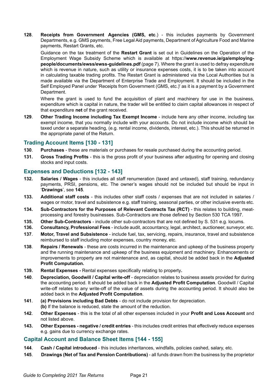**128**. **Receipts from Government Agencies (GMS, etc**.) - this includes payments by Government Departments, e.g. GMS payments, Free Legal Aid payments, Department of Agriculture Food and Marine payments, Restart Grants, etc.

Guidance on the tax treatment of the **Restart Grant** is set out in Guidelines on the Operation of the Employment Wage Subsidy Scheme which is available at https://**www.revenue.ie/ga/employingpeople/documents/ewss/ewss-guidelines.pdf** (page 7). Where the grant is used to defray expenditure which is revenue in nature, such as utility or insurance expenses costs, it is to be taken into account in calculating taxable trading profits. The Restart Grant is administered via the Local Authorities but is made available via the Department of Enterprise Trade and Employment. It should be included in the Self Employed Panel under 'Receipts from Government (GMS, etc.)' as it is a payment by a Government Department.

Where the grant is used to fund the acquisition of plant and machinery for use in the business, expenditure which is capital in nature, the trader will be entitled to claim capital allowances in respect of that expenditure **net** of the grant received.

**129**. **Other Trading Income including Tax Exempt Income** - include here any other income, including tax exempt income, that you normally include with your accounts. Do not include income which should be taxed under a separate heading, (e.g. rental income, dividends, interest, etc.). This should be returned in the appropriate panel of the Return.

#### **Trading Account Items [130 - 131]**

- **130**. **Purchases** these are materials or purchases for resale purchased during the accounting period.
- **131. Gross Trading Profits** this is the gross profit of your business after adjusting for opening and closing stocks and input costs.

#### **Expenses and Deductions [132 - 143]**

- **132. Salaries / Wages** this includes all staff renumeration (taxed and untaxed), staff training, redundancy payments, PRSI, pensions, etc. The owner's wages should not be included but should be input in '**Drawings**', see **145**.
- **133. Additional staff costs**  this includes other staff costs / expenses that are not included in salaries / wages or motor, travel and subsistence e.g. staff training, seasonal parties, or other inclusive events etc.
- **134. Sub-Contractors for the Purposes of Relevant Contracts Tax (RCT)**  this relates to building, meatprocessing and forestry businesses. Sub-Contractors are those defined by Section 530 TCA 1997.
- **135. Other Sub-Contractors**  include other sub-contractors that are not defined by S. 531 e.g. locums.
- **136. Consultancy, Professional Fees** include audit, accountancy, legal, architect, auctioneer, surveyor, etc.
- **137**. **Motor, Travel and Subsistence** include fuel, tax, servicing, repairs, insurance, travel and subsistence reimbursed to staff including motor expenses, country money, etc.
- **138**. **Repairs / Renewals** these are costs incurred in the maintenance and upkeep of the business property and the running maintenance and upkeep of the business equipment and machinery. Enhancements or improvements to property are not maintenance and, as capital, should be added back in the **Adjusted Profit Computation.**
- **139. Rental Expenses** Rental expenses specifically relating to property**.**
- **140**. **Depreciation, Goodwill / Capital write-off** depreciation relates to business assets provided for during the accounting period. It should be added back in the **Adjusted Profit Computation**. Goodwill / Capital write-off relates to any write-off of the value of assets during the accounting period. It should also be added back in the **Adjusted Profit Computation**.
- **141**. **(a) Provisions including Bad Debts** do not include provision for depreciation. **(b)** If the balance is reduced, state the amount of the reduction.
- **142**. **Other Expenses**  this is the total of all other expenses included in your **Profit and Loss Account** and not listed above.
- **143. Other Expenses negative / credit entries**  this includes credit entries that effectively reduce expenses e.g. gains due to currency exchange rates.

#### **Capital Account and Balance Sheet Items [144 - 155]**

- **144**. **Cash / Capital introduced** this includes inheritances, windfalls, policies cashed, salary, etc.
- **145**. **Drawings (Net of Tax and Pension Contributions)** all funds drawn from the business by the proprietor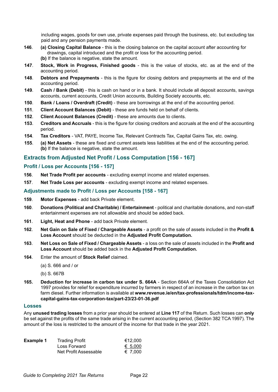including wages, goods for own use, private expenses paid through the business, etc. but excluding tax paid and any pension payments made.

- **146**. **(a) Closing Capital Balance** this is the closing balance on the capital account after accounting for drawings, capital introduced and the profit or loss for the accounting period. **(b)** If the balance is negative, state the amount.
- **147**. **Stock, Work in Progress, Finished goods** this is the value of stocks, etc. as at the end of the accounting period.
- **148**. **Debtors and Prepayments**  this is the figure for closing debtors and prepayments at the end of the accounting period.
- **149**. **Cash / Bank (Debit)** this is cash on hand or in a bank. It should include all deposit accounts, savings accounts, current accounts, Credit Union accounts, Building Society accounts, etc.
- **150**. **Bank / Loans / Overdraft (Credit)** these are borrowings at the end of the accounting period.
- **151**. **Client Account Balances (Debit)** these are funds held on behalf of clients.
- **152**. **Client Account Balances (Credit)**  these are amounts due to clients.
- **153**. **Creditors and Accruals** this is the figure for closing creditors and accruals at the end of the accounting period.
- **154**. **Tax Creditors** VAT, PAYE, Income Tax, Relevant Contracts Tax, Capital Gains Tax, etc. owing.
- **155**. **(a) Net Assets** these are fixed and current assets less liabilities at the end of the accounting period. **(b)** If the balance is negative, state the amount.

#### **Extracts from Adjusted Net Profit / Loss Computation [156 - 167]**

#### **Profit / Loss per Accounts [156 - 157]**

- **156**. **Net Trade Profit per accounts** excluding exempt income and related expenses.
- **157**. **Net Trade Loss per accounts** excluding exempt income and related expenses.

#### **Adjustments made to Profit / Loss per Accounts [158 - 167]**

- **159**. **Motor Expenses** add back Private element.
- **160**. **Donations (Political and Charitable) / Entertainment** political and charitable donations, and non-staff entertainment expenses are not allowable and should be added back.
- **161**. **Light, Heat and Phone** add back Private element.
- **162**. **Net Gain on Sale of Fixed / Chargeable Assets**  a profit on the sale of assets included in the **Profit & Loss Account** should be deducted in the **Adjusted Profit Computation.**
- **163**. **Net Loss on Sale of Fixed / Chargeable Assets** a loss on the sale of assets included in the **Profit and Loss Account** should be added back in the **Adjusted Profit Computation.**
- **164**. Enter the amount of **Stock Relief** claimed.
	- (a) S. 666 and / or
	- (b) S. 667B
- **165. Deduction for increase in carbon tax under S. 664A** Section 664A of the Taxes Consolidation Act 1997 provides for relief for expenditure incurred by farmers in respect of an increase in the carbon tax on farm diesel. Further information is available at **[www.revenue.ie/en/tax-professionals/tdm/income-tax](http://www.revenue.ie/en/tax-professionals/tdm/income-tax-capital-gains-tax-corporation-tax/part-23/23-01-36.pdf)[capital-gains-tax-corporation-tax/part-23/23-01-36.pdf](http://www.revenue.ie/en/tax-professionals/tdm/income-tax-capital-gains-tax-corporation-tax/part-23/23-01-36.pdf)**

#### **Losses**

Any **unused trading losses** from a prior year should be entered at **Line 117** of the Return. Such losses can **only** be set against the profits of the same trade arising in the current accounting period, (Section 382 TCA 1997). The amount of the loss is restricted to the amount of the income for that trade in the year 2021.

| <b>Example 1</b> | <b>Trading Profit</b> | €12.000 |
|------------------|-----------------------|---------|
|                  | Loss Forward          | € 5,000 |
|                  | Net Profit Assessable | € 7.000 |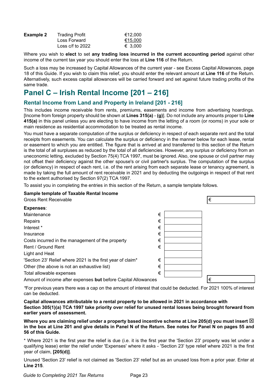| <b>Example 2</b> | <b>Trading Profit</b> | €12.000 |
|------------------|-----------------------|---------|
|                  | Loss Forward          | €15,000 |
|                  | Loss $c/f$ to 2022    | € 3.000 |

Where you wish to **elect** to set **any trading loss incurred in the current accounting period** against other income of the current tax year you should enter the loss at **Line 116** of the Return.

Such a loss may be increased by Capital Allowances of the current year - see Excess Capital Allowances, page 18 of this Guide. If you wish to claim this relief, you should enter the relevant amount at **Line 116** of the Return. Alternatively, such excess capital allowances will be carried forward and set against future trading profits of the same trade.

# **Panel C – Irish Rental Income [201 – 216]**

### **Rental Income from Land and Property in Ireland [201 - 216]**

This includes income receivable from rents, premiums, easements and income from advertising hoardings. [Income from foreign property should be shown at **Lines 315(a)** - **(g)**]. Do not include any amounts proper to **Line 415(a)** in this panel unless you are electing to have income from the letting of a room (or rooms) in your sole or main residence as residential accommodation to be treated as rental income.

You must have a separate computation of the surplus or deficiency in respect of each separate rent and the total receipts from easements. You can calculate the surplus or deficiency in the manner below for each lease, rental or easement to which you are entitled. The figure that is arrived at and transferred to this section of the Return is the total of all surpluses as reduced by the total of all deficiencies. However, any surplus or deficiency from an uneconomic letting, excluded by Section 75(4) TCA 1997, must be ignored. Also, one spouse or civil partner may not offset their deficiency against the other spouse's or civil partner's surplus. The computation of the surplus (or deficiency) in respect of each rent, i.e. of the rent arising from each separate lease or tenancy agreement, is made by taking the full amount of rent receivable in 2021 and by deducting the outgoings in respect of that rent to the extent authorised by Section 97(2) TCA 1997.

To assist you in completing the entries in this section of the Return, a sample template follows.

| Sample template of Taxable Rental Income                        |   |
|-----------------------------------------------------------------|---|
| <b>Gross Rent Receivable</b>                                    | € |
| Expenses:                                                       |   |
| €<br>Maintenance                                                |   |
| €<br>Repairs                                                    |   |
| Interest *<br>€                                                 |   |
| €<br>Insurance                                                  |   |
| €<br>Costs incurred in the management of the property           |   |
| €<br>Rent / Ground Rent                                         |   |
| Light and Heat                                                  |   |
| €<br>'Section 23' Relief where 2021 is the first year of claim* |   |
| €<br>Other (the above is not an exhaustive list)                |   |
| €<br>Total allowable expenses                                   |   |
| Amount of income after expenses but before Capital Allowances   | € |

*\**For previous years there was a cap on the amount of interest that could be deducted. For 2021 100% of interest can be deducted.

**Capital allowances attributable to a rental property to be allowed in 2021 in accordance with Section 305(1)(a) TCA 1997 take priority over relief for unused rental losses being brought forward from earlier years of assessment.**

Where you are claiming relief under a property based incentive scheme at Line 205(d) you must insert  $\boxtimes$ **in the box at Line 201 and give details in Panel N of the Return. See notes for Panel N on pages 55 and 56 of this Guide.**

\* Where 2021 is the first year the relief is due (i.e. it is the first year the 'Section 23' property was let under a qualifying lease) enter the relief under 'Expenses' where it asks - 'Section 23' type relief where 2021 is the first year of claim, **[205(d)]**.

Unused 'Section 23' relief is not claimed as 'Section 23' relief but as an unused loss from a prior year. Enter at **Line 215**.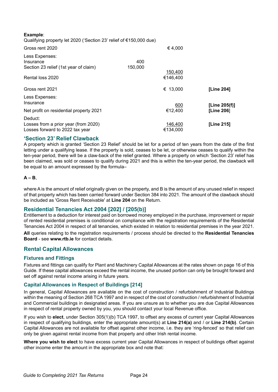| Example:<br>Qualifying property let 2020 ('Section 23' relief of €150,000 due)     |                |                     |               |
|------------------------------------------------------------------------------------|----------------|---------------------|---------------|
| Gross rent 2020                                                                    |                | € 4,000             |               |
| Less Expenses:<br>Insurance<br>Section 23 relief (1st year of claim)               | 400<br>150,000 |                     |               |
| Rental loss 2020                                                                   |                | 150,400<br>€146,400 |               |
| Gross rent 2021                                                                    |                | € 13,000            | [Line 204]    |
| Less Expenses:<br>Insurance                                                        |                | 600                 | [Line 205(f)] |
| Net profit on residential property 2021                                            |                | €12,400             | [Line 206]    |
| Deduct:<br>Losses from a prior year (from 2020)<br>Losses forward to 2022 tax year |                | 146,400<br>€134.000 | [Line 215]    |

### **'Section 23' Relief Clawback**

A property which is granted 'Section 23 Relief' should be let for a period of ten years from the date of the first letting under a qualifying lease. If the property is sold, ceases to be let, or otherwise ceases to qualify within the ten-year period, there will be a claw-back of the relief granted. Where a property on which 'Section 23' relief has been claimed, was sold or ceases to qualify during 2021 and this is within the ten-year period, the clawback will be equal to an amount expressed by the formula–

#### **A – B**,

where A is the amount of relief originally given on the property, and B is the amount of any unused relief in respect of that property which has been carried forward under Section 384 into 2021. The amount of the clawback should be included as 'Gross Rent Receivable' at **Line 204** on the Return.

#### **Residential Tenancies Act 2004 [202] / [205(b)]**

Entitlement to a deduction for interest paid on borrowed money employed in the purchase, improvement or repair of rented residential premises is conditional on compliance with the registration requirements of the Residential Tenancies Act 2004 in respect of all tenancies, which existed in relation to residential premises in the year 2021.

**All** queries relating to the registration requirements / process should be directed to the **Residential Tenancies Board** - see **www.rtb.ie** for contact details.

#### **Rental Capital Allowances**

#### **Fixtures and Fittings**

Fixtures and fittings can qualify for Plant and Machinery Capital Allowances at the rates shown on page 16 of this Guide. If these capital allowances exceed the rental income, the unused portion can only be brought forward and set off against rental income arising in future years.

#### **Capital Allowances in Respect of Buildings [214]**

In general, Capital Allowances are available on the cost of construction / refurbishment of Industrial Buildings within the meaning of Section 268 TCA 1997 and in respect of the cost of construction / refurbishment of Industrial and Commercial buildings in designated areas. If you are unsure as to whether you are due Capital Allowances in respect of rental property owned by you, you should contact your local Revenue office.

If you wish to **elect**, under Section 305(1)(b) TCA 1997, to offset any excess of current year Capital Allowances in respect of qualifying buildings, enter the appropriate amount(s) at **Line 214(a)** and / or **Line 214(b)**. Certain Capital Allowances are not available for offset against other income, i.e. they are 'ring-fenced' so that relief can only be given against rental income from that property and other Irish rental income.

**Where you wish to elect** to have excess current year Capital Allowances in respect of buildings offset against other income enter the amount in the appropriate box and note that: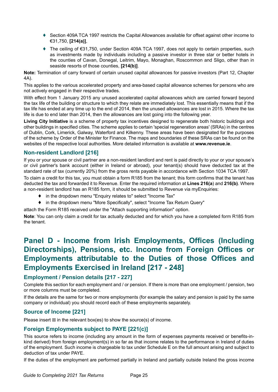- ♦ Section 409A TCA 1997 restricts the Capital Allowances available for offset against other income to €31,750, **[214(a)]**,
- ♦ The ceiling of €31,750, under Section 409A TCA 1997, does not apply to certain properties, such as investments made by individuals including a passive investor in three star or better hotels in the counties of Cavan, Donegal, Leitrim, Mayo, Monaghan, Roscommon and Sligo, other than in seaside resorts of those counties, **[214(b)]**.

**Note:** Termination of carry forward of certain unused capital allowances for passive investors (Part 12, Chapter 4A).

This applies to the various accelerated property and area-based capital allowance schemes for persons who are not actively engaged in their respective trades.

With effect from 1 January 2015 any unused accelerated capital allowances which are carried forward beyond the tax life of the building or structure to which they relate are immediately lost. This essentially means that if the tax life has ended at any time up to the end of 2014, then the unused allowances are lost in 2015. Where the tax life is due to end later than 2014, then the allowances are lost going into the following year.

**Living City Initiative** is a scheme of property tax incentives designed to regenerate both historic buildings and other buildings in specified cities. The scheme applies to certain 'special regeneration areas' (SRAs) in the centres of Dublin, Cork, Limerick, Galway, Waterford and Kilkenny. These areas have been designated for the purposes of the scheme by Order of the Minister for Finance. The maps and boundaries of these SRAs can be found on the websites of the respective local authorities. More detailed information is available at **www.revenue.ie**.

# **Non-resident Landlord [216]**

If you or your spouse or civil partner are a non-resident landlord and rent is paid directly to your or your spouse's or civil partner's bank account (either in Ireland or abroad), your tenant(s) should have deducted tax at the standard rate of tax (currently 20%) from the gross rents payable in accordance with Section 1034 TCA 1997.

To claim a credit for this tax, you must obtain a form R185 from the tenant; this form confirms that the tenant has deducted the tax and forwarded it to Revenue. Enter the required information at **Lines 216(a**) and **216(b)**. Where a non-resident landlord has an R185 form, it should be submitted to Revenue via myEnquiries:

- ♦ in the dropdown menu "Enquiry relates to" select "Income Tax"
- ♦ in the dropdown menu "More Specifically", select "Income Tax Return Query"
- attach the Form R185 received under the "Attach supporting information" option.

**Note**: You can only claim a credit for tax actually deducted and for which you have a completed form R185 from the tenant.

# **Panel D - Income from Irish Employments, Offices (Including Directorships), Pensions, etc. Income from Foreign Offices or Employments attributable to the Duties of those Offices and Employments Exercised in Ireland [217 - 248]**

# **Employment / Pension details [217 - 227]**

Complete this section for each employment and / or pension. If there is more than one employment / pension, two or more columns must be completed.

If the details are the same for two or more employments (for example the salary and pension is paid by the same company or individual) you should record each of these employments separately.

# **Source of Income [221]**

Please insert  $\boxtimes$  in the relevant box(es) to show the source(s) of income.

# **Foreign Employments subject to PAYE [221(c)]**

This source refers to income (including any amount in the form of expenses payments received or benefits-inkind derived) from foreign employment(s) in so far as that income relates to the performance in Ireland of duties of the employment. Such income is chargeable to tax under Schedule E on the full amount arising and subject to deduction of tax under PAYE.

If the duties of the employment are performed partially in Ireland and partially outside Ireland the gross income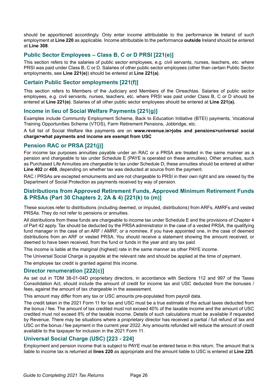should be apportioned accordingly. Only enter income attributable to the performance **in** Ireland of such employment at **Line 220** as applicable. Income attributable to the performance **outside** Ireland should be entered at **Line 308**.

# **Public Sector Employees – Class B, C or D PRSI [221(e)]**

This section refers to the salaries of public sector employees, e.g. civil servants, nurses, teachers, etc. where PRSI was paid under Class B, C or D. Salaries of other public sector employees (other than certain Public Sector employments, see **Line 221(e)**) should be entered at **Line 221(a)**.

## **Certain Public Sector employments [221(f)]**

This section refers to Members of the Judiciary and Members of the Oireachtas. Salaries of public sector employees, e.g. civil servants, nurses, teachers, etc. where PRSI was paid under Class B, C or D should be entered at **Line 221(e)**. Salaries of all other public sector employees should be entered at **Line 221(a).**

### **Income in lieu of Social Welfare Payments [221(g)]**

Examples include Community Employment Scheme, Back to Education Initiative (BTEI) payments, Vocational Training Opportunities Scheme (VTOS), Farm Retirement Pensions, Jobbridge, etc.

A full list of Social Welfare like payments are on **[www.revenue.ie>jobs and pensions>universal social](https://www.revenue.ie/en/jobs-and-pensions/usc/index.aspx) [charge>what payments and income are exempt from USC](https://www.revenue.ie/en/jobs-and-pensions/usc/index.aspx)**

### **Pension RAC or PRSA [221(j)]**

For income tax purposes annuities payable under an RAC or a PRSA are treated in the same manner as a pension and chargeable to tax under Schedule E (PAYE is operated on these annuities). Other annuities, such as Purchased Life Annuities are chargeable to tax under Schedule D; these annuities should be entered at either **Line 402** or **408**, depending on whether tax was deducted at source from the payment.

RAC / PRSAs are excepted emoluments and are not chargeable to PRSI in their own right and are viewed by the Department of Social Protection as payments received by way of pension.

## **Distributions from Approved Retirement Funds, Approved Minimum Retirement Funds & PRSAs (Part 30 Chapters 2, 2A & 4) [221(k) to (m)]**

These sources refer to distributions (including deemed, or imputed, distributions) from ARFs, AMRFs and vested PRSAs. They do not refer to pensions or annuities.

All distributions from these funds are chargeable to income tax under Schedule E and the provisions of Chapter 4 of Part 42 apply. Tax should be deducted by the PRSA administrator in the case of a vested PRSA, the qualifying fund manager in the case of an ARF / AMRF, or a nominee, if you have appointed one, in the case of deemed distributions from an ARF or vested PRSA. You should receive a statement showing the amount received, or deemed to have been received, from the fund or funds in the year and any tax paid.

This income is liable at the marginal (highest) rate in the same manner as other PAYE income.

The Universal Social Charge is payable at the relevant rate and should be applied at the time of payment.

The employee tax credit is granted against this income.

#### **Director renumeration [222(c)]**

As set out in TDM 38-01-04D proprietary directors, in accordance with Sections 112 and 997 of the Taxes Consolidation Act, should include the amount of credit for income tax and USC deducted from the bonuses / fees, against the amount of tax chargeable in the assessment.

This amount may differ from any tax or USC amounts pre-populated from payroll data.

The credit taken in the 2021 Form 11 for tax and USC must be a true estimate of the actual taxes deducted from the bonus / fee. The amount of tax credited must not exceed 40% of the taxable income and the amount of USC credited must not exceed 8% of the taxable income. Details of such calculations must be available if requested by Revenue. There may be situations where a proprietary director has received a partial / full refund of tax and USC on the bonus / fee payment in the current year 2022. Any amounts refunded will reduce the amount of credit available to the taxpayer for inclusion in the 2021 Form 11.

# **Universal Social Charge (USC) [223 - 224]**

Employment and pension income that is subject to PAYE must be entered twice in this return. The amount that is liable to income tax is returned at **lines 220** as appropriate and the amount liable to USC is entered at **Line 225**.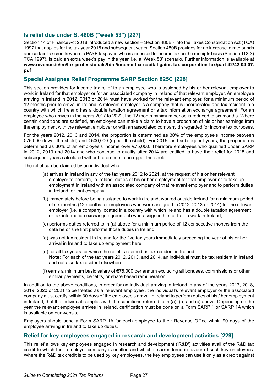# **Is relief due under S. 480B ("week 53") [227]**

Section 14 of Finance Act 2018 introduced a new section – Section 480B - into the Taxes Consolidation Act (TCA) 1997 that applies for the tax year 2018 and subsequent years. Section 480B provides for an increase in rate bands and certain tax credits where a PAYE taxpayer, who is assessed to income tax on the receipts basis (Section 112(3) TCA 1997), is paid an extra week's pay in the year, i.e. a 'Week 53' scenario. Further information is available at **[www.revenue.ie/en/tax-professionals/tdm/income-tax-capital-gains-tax-corporation-tax/part-42/42-04-07.](http://www.revenue.ie/en/tax-professionals/tdm/income-tax-capital-gains-tax-corporation-tax/part-42/42-04-07.pdf) [pdf](http://www.revenue.ie/en/tax-professionals/tdm/income-tax-capital-gains-tax-corporation-tax/part-42/42-04-07.pdf)**

# **Special Assignee Relief Programme SARP Section 825C [228]**

This section provides for income tax relief to an employee who is assigned by his or her relevant employer to work in Ireland for that employer or for an associated company in Ireland of that relevant employer. An employee arriving in Ireland in 2012, 2013 or 2014 must have worked for the relevant employer, for a minimum period of 12 months prior to arrival in Ireland. A relevant employer is a company that is incorporated and tax resident in a country with which Ireland has a double taxation agreement or a tax information exchange agreement. For an employee who arrives in the years 2017 to 2022, the 12 month minimum period is reduced to six months. Where certain conditions are satisfied, an employee can make a claim to have a proportion of his or her earnings from the employment with the relevant employer or with an associated company disregarded for income tax purposes.

For the years 2012, 2013 and 2014, the proportion is determined as 30% of the employee's income between €75,000 (lower threshold) and €500,000 (upper threshold). For 2015, and subsequent years, the proportion is determined as 30% of an employee's income over €75,000. Therefore employees who qualified under SARP in 2012, 2013 and 2014 and who continue to qualify after 2014 are entitled to have their relief for 2015 and subsequent years calculated without reference to an upper threshold.

The relief can be claimed by an individual who:

- (a) arrives in Ireland in any of the tax years 2012 to 2021, at the request of his or her relevant employer to perform, in Ireland, duties of his or her employment for that employer or to take up employment in Ireland with an associated company of that relevant employer and to perform duties in Ireland for that company;
- (b) immediately before being assigned to work in Ireland, worked outside Ireland for a minimum period of six months (12 months for employees who were assigned in 2012, 2013 or 2014) for the relevant employer (i.e. a company located in a country with which Ireland has a double taxation agreement or tax information exchange agreement) who assigned him or her to work in Ireland;
- (c) performs duties referred to in (a) above for a minimum period of 12 consecutive months from the date he or she first performs those duties in Ireland;
- (d) was not tax resident in Ireland for the five tax years immediately preceding the year of his or her arrival in Ireland to take up employment here;
- (e) for all tax years for which the relief is claimed, is tax resident in Ireland. **Note:** For each of the tax years 2012, 2013, and 2014, an individual must be tax resident in Ireland and not also tax resident elsewhere.
- (f) earns a minimum basic salary of €75,000 per annum excluding all bonuses, commissions or other similar payments, benefits, or share based remuneration.

In addition to the above conditions, in order for an individual arriving in Ireland in any of the years 2017, 2018, 2019, 2020 or 2021 to be treated as a 'relevant employee', the individual's relevant employer or the associated company must certify, within 30 days of the employee's arrival in Ireland to perform duties of his / her employment in Ireland, that the individual complies with the conditions referred to in (a), (b) and (c) above. Depending on the year the relevant employee arrives in Ireland, certification must be done on a Form SARP 1 or SARP 1A which is available on our website.

Employers should send a Form SARP 1A for each employee to their Revenue Office within 90 days of the employee arriving in Ireland to take up duties.

#### **Relief for key employees engaged in research and development activities [229]**

This relief allows key employees engaged in research and development ('R&D') activities avail of the R&D tax credit to which their employer company is entitled and which it surrendered in favour of such key employees. Where the R&D tax credit is to be used by key employees, the key employees can use it only as a credit against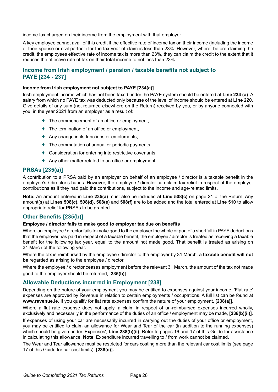income tax charged on their income from the employment with that employer.

A key employee cannot avail of this credit if the effective rate of income tax on their income (including the income of their spouse or civil partner) for the tax year of claim is less than 23%. However, where, before claiming the credit, the employees effective rate of income tax is more than 23%, they can claim the credit to the extent that it reduces the effective rate of tax on their total income to not less than 23%.

# **Income from Irish employment / pension / taxable benefits not subject to PAYE [234 - 237]**

#### **Income from Irish employment not subject to PAYE [234(a)]**

Irish employment income which has not been taxed under the PAYE system should be entered at **Line 234 (a**). A salary from which no PAYE tax was deducted only because of the level of income should be entered at **Line 220**. Give details of any sum (not returned elsewhere on the Return) received by you, or by anyone connected with you, in the year 2021 from an employer as a result of:

- ♦ The commencement of an office or employment,
- ♦ The termination of an office or employment,
- ♦ Any change in its functions or emoluments,
- $\blacklozenge$  The commutation of annual or periodic payments,
- ♦ Consideration for entering into restrictive covenants,
- ♦ Any other matter related to an office or employment.

### **PRSAs [235(a)]**

A contribution to a PRSA paid by an employer on behalf of an employee / director is a taxable benefit in the employee's / director's hands. However, the employee / director can claim tax relief in respect of the employer contributions as if they had paid the contributions, subject to the income and age-related limits.

**Note:** An amount entered in **Line 235(a)** must also be included at **Line 508(c)** on page 21 of the Return. Any amount(s) at **Lines 508(c), 508(d), 508(e)** and **508(f)** are to be added and the total entered at **Line 510** to allow appropriate relief for PRSAs to be granted.

#### **Other Benefits [235(b)]**

#### **Employee / director fails to make good to employer tax due on benefits**

Where an employee / director fails to make good to the employer the whole or part of a shortfall in PAYE deductions that the employer has paid in respect of a taxable benefit, the employee / director is treated as receiving a taxable benefit for the following tax year, equal to the amount not made good. That benefit is treated as arising on 31 March of the following year.

Where the tax is reimbursed by the employee / director to the employer by 31 March, **a taxable benefit will not be** regarded as arising to the employee / director.

Where the employee / director ceases employment before the relevant 31 March, the amount of the tax not made good to the employer should be returned, [**235(b)**].

#### **Allowable Deductions incurred in Employment [238]**

Depending on the nature of your employment you may be entitled to expenses against your income. 'Flat rate' expenses are approved by Revenue in relation to certain employments / occupations. A full list can be found at **www.revenue.ie**. If you qualify for flat rate expenses confirm the nature of your employment, **[238(a)]**..

Where a flat rate expense does not apply, a claim in respect of un-reimbursed expenses incurred wholly, exclusively and necessarily in the performance of the duties of an office / employment may be made, **[238(b)(ii)]**.

If expenses of using your car are necessarily incurred in carrying out the duties of your office or employment, you may be entitled to claim an allowance for Wear and Tear of the car (in addition to the running expenses) which should be given under 'Expenses', **Line 238(b)(ii)**. Refer to pages 16 and 17 of this Guide for assistance in calculating this allowance. **Note**: Expenditure incurred travelling to / from work cannot be claimed.

The Wear and Tear allowance must be restricted for cars costing more than the relevant car cost limits (see page 17 of this Guide for car cost limits), **[238(c)].**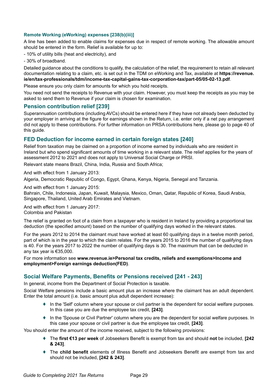#### **Remote Working (eWorking) expenses [238(b)(iii)]**

A line has been added to enable claims for expenses due in respect of remote working. The allowable amount should be entered in the form. Relief is available for up to:

- 10% of utility bills (heat and electricity), and

- 30% of broadband.

Detailed guidance about the conditions to qualify, the calculation of the relief, the requirement to retain all relevant documentation relating to a claim, etc. is set out in the TDM on eWorking and Tax, available at **[https://revenue.](https://revenue.ie/en/tax-professionals/tdm/income-tax-capital-gains-tax-corporation-tax/part-05/05-02-13.pdf) [ie/en/tax-professionals/tdm/income-tax-capital-gains-tax-corporation-tax/part-05/05-02-13.pdf](https://revenue.ie/en/tax-professionals/tdm/income-tax-capital-gains-tax-corporation-tax/part-05/05-02-13.pdf)**.

Please ensure you only claim for amounts for which you hold receipts.

You need not send the receipts to Revenue with your claim. However, you must keep the receipts as you may be asked to send them to Revenue if your claim is chosen for examination.

#### **Pension contribution relief [239]**

Superannuation contributions (including AVCs) should be entered here if they have not already been deducted by your employer in arriving at the figure for earnings shown in the Return, i.e. enter only if a net pay arrangement did not apply to these contributions. For further information on PRSA contributions here, please go to page 40 of this guide.

#### **FED Deduction for income earned in certain foreign states [240]**

Relief from taxation may be claimed on a proportion of income earned by individuals who are resident in Ireland but who spend significant amounts of time working in a relevant state. The relief applies for the years of assessment 2012 to 2021 and does not apply to Universal Social Charge or PRSI.

Relevant state means Brazil, China, India, Russia and South Africa;

And with effect from 1 January 2013: Algeria, Democratic Republic of Congo, Egypt, Ghana, Kenya, Nigeria, Senegal and Tanzania.

And with effect from 1 January 2015: Bahrain, Chile, Indonesia, Japan, Kuwait, Malaysia, Mexico, Oman, Qatar, Republic of Korea, Saudi Arabia, Singapore, Thailand, United Arab Emirates and Vietnam.

And with effect from 1 January 2017: Colombia and Pakistan

The relief is granted on foot of a claim from a taxpayer who is resident in Ireland by providing a proportional tax deduction (the specified amount) based on the number of qualifying days worked in the relevant states.

For the years 2012 to 2014 the claimant must have worked at least 60 qualifying days in a twelve month period, part of which is in the year to which the claim relates. For the years 2015 to 2016 the number of qualifying days is 40. For the years 2017 to 2022 the number of qualifying days is 30. The maximum that can be deducted in any tax year is €35,000.

For more information see **[www.revenue.ie>Personal tax credits, reliefs and exemptions>Income and](https://www.revenue.ie/en/personal-tax-credits-reliefs-and-exemptions/income-and-employment/foreign-earnings-deduction/index.aspx)  [employment>Foreign earnings deduction\(FED\)](https://www.revenue.ie/en/personal-tax-credits-reliefs-and-exemptions/income-and-employment/foreign-earnings-deduction/index.aspx)**.

#### **Social Welfare Payments, Benefits or Pensions received [241 - 243]**

In general, income from the Department of Social Protection is taxable.

Social Welfare pensions include a basic amount plus an increase where the claimant has an adult dependent. Enter the total amount (i.e. basic amount plus adult dependent increase):

- ♦ In the 'Self' column where your spouse or civil partner is the dependent for social welfare purposes. In this case you are due the employee tax credit, **[243]**.
- In the 'Spouse or Civil Partner' column where you are the dependent for social welfare purposes. In this case your spouse or civil partner is due the employee tax credit, **[243]**.

You should enter the amount of the income received, subject to the following provisions:

- ♦ The **first €13 per week** of Jobseekers Benefit is exempt from tax and should **not** be included, **[242 & 243]**.
- ♦ The **child benefit** elements of Illness Benefit and Jobseekers Benefit are exempt from tax and should not be included, **[242 & 243]**.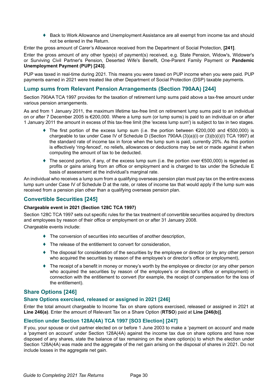♦ Back to Work Allowance and Unemployment Assistance are all exempt from income tax and should not be entered in the Return.

Enter the gross amount of Carer's Allowance received from the Department of Social Protection, **[241]**.

Enter the gross amount of any other type(s) of payment(s) received, e.g. State Pension, Widow's, Widower's or Surviving Civil Partner's Pension, Deserted Wife's Benefit, One-Parent Family Payment or **Pandemic Unemployment Payment (PUP) [243]**.

PUP was taxed in real-time during 2021. This means you were taxed on PUP income when you were paid. PUP payments earned in 2021 were treated like other Department of Social Protection (DSP) taxable payments.

### **Lump sums from Relevant Pension Arrangements (Section 790AA) [244]**

Section 790AA TCA 1997 provides for the taxation of retirement lump sums paid above a tax-free amount under various pension arrangements.

As and from 1 January 2011, the maximum lifetime tax-free limit on retirement lump sums paid to an individual on or after 7 December 2005 is €200,000. Where a lump sum (or lump sums) is paid to an individual on or after 1 January 2011 the amount in excess of this tax-free limit (the 'excess lump sum') is subject to tax in two stages.

- $\triangleq$  The first portion of the excess lump sum (i.e. the portion between  $\epsilon$ 200,000 and  $\epsilon$ 500,000) is chargeable to tax under Case IV of Schedule D (Section 790AA (3)(a)(i) or (3)(b)(i)(I) TCA 1997) at the standard rate of income tax in force when the lump sum is paid, currently 20%. As this portion is effectively 'ring-fenced', no reliefs, allowances or deductions may be set or made against it when computing the amount of tax to be deducted.
- $\triangleq$  The second portion, if any, of the excess lump sum (i.e. the portion over  $\epsilon$ 500,000) is regarded as profits or gains arising from an office or employment and is charged to tax under the Schedule E basis of assessment at the individual's marginal rate.

An individual who receives a lump sum from a qualifying overseas pension plan must pay tax on the entire excess lump sum under Case IV of Schedule D at the rate, or rates of income tax that would apply if the lump sum was received from a pension plan other than a qualifying overseas pension plan.

## **Convertible Securities [245]**

#### **Chargeable event in 2021 (Section 128C TCA 1997)**

Section 128C TCA 1997 sets out specific rules for the tax treatment of convertible securities acquired by directors and employees by reason of their office or employment on or after 31 January 2008.

Chargeable events include:

- ♦ The conversion of securities into securities of another description,
- ♦ The release of the entitlement to convert for consideration,
- ♦ The disposal for consideration of the securities by the employee or director (or by any other person who acquired the securities by reason of the employee's or director's office or employment),
- ♦ The receipt of a benefit in money or money's worth by the employee or director (or any other person who acquired the securities by reason of the employee's or director's office or employment) in connection with the entitlement to convert (for example, the receipt of compensation for the loss of the entitlement).

#### **Share Options [246]**

#### **Share Options exercised, released or assigned in 2021 [246]**

Enter the total amount chargeable to Income Tax on share options exercised, released or assigned in 2021 at **Line 246(a)**. Enter the amount of Relevant Tax on a Share Option (**RTSO**) paid at **Line [246(b)]**.

#### **Election under Section 128A(4A) TCA 1997 [SO3 Election] [247]**

If you, your spouse or civil partner elected on or before 1 June 2003 to make a 'payment on account' and made a 'payment on account' under Section 128A(4A) against the income tax due on share options and have now disposed of any shares, state the balance of tax remaining on the share option(s) to which the election under Section 128A(4A) was made and the aggregate of the net gain arising on the disposal of shares in 2021. Do not include losses in the aggregate net gain.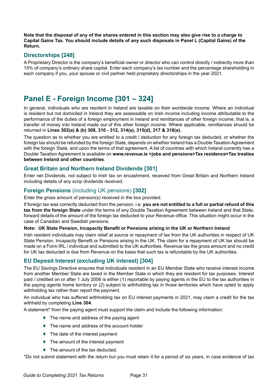**Note that the disposal of any of the shares entered in this section may also give rise to a charge to Capital Gains Tax. You should include details of any such disposals in Panel L (Capital Gains) of the Return.**

# **Directorships [248]**

A Proprietary Director is the company's beneficial owner or director who can control directly / indirectly more than 15% of company's ordinary share capital. Enter each company's tax number and the percentage shareholding in each company if you, your spouse or civil partner held proprietary directorships in the year 2021.

# **Panel E - Foreign Income [301 – 324]**

In general, individuals who are resident in Ireland are taxable on their worldwide income. Where an individual is resident but not domiciled in Ireland they are assessable on Irish income including income attributable to the performance of the duties of a foreign employment in Ireland and remittances of other foreign income, that is, a transfer of money into Ireland made out of this other foreign income. Where applicable, remittances should be returned in **Lines 302(a) & (b) 308, 310 - 312, 314(a), 315(d), 317 & 318(a).**

The question as to whether you are entitled to a credit / deduction for any foreign tax deducted, or whether the foreign tax should be refunded by the foreign State, depends on whether Ireland has a Double Taxation Agreement with the foreign State, and upon the terms of that agreement. A list of countries with which Ireland currently has a Double Taxation Agreement is available on **[www.revenue.ie >jobs and pensions>Tax residence>Tax treaties](https://www.revenue.ie/en/jobs-and-pensions/tax-residence/index.aspx) [between Ireland and other countries](https://www.revenue.ie/en/jobs-and-pensions/tax-residence/index.aspx)**.

# **Great Britain and Northern Ireland Dividends [301]**

Enter net Dividends, not subject to Irish tax on encashment, received from Great Britain and Northern Ireland including details of any scrip dividends received.

# **Foreign Pensions** (including UK pensions) **[302]**

Enter the gross amount of pension(s) received in the box provided.

If foreign tax was correctly deducted from the pension, i.e. **you are not entitled to a full or partial refund of this tax from the foreign State** under the terms of any Double Taxation Agreement between Ireland and that State, forward details of the amount of the foreign tax deducted to your Revenue office. This situation might occur in the case of Canadian and Swedish pensions.

#### **Note: UK State Pension, Incapacity Benefit or Pensions arising in the UK or Northern Ireland**

Irish resident individuals may claim relief at source or repayment of tax from the UK authorities in respect of UK State Pension, Incapacity Benefit or Pensions arising in the UK. The claim for a repayment of UK tax should be made on a Form IRL / individual and submitted to the UK authorities. Revenue tax the gross amount and no credit for UK tax deducted is due from Revenue on the basis that such tax is refundable by the UK authorities.

# **EU Deposit Interest (excluding UK interest) [304]**

The EU Savings Directive ensures that individuals resident in an EU Member State who receive interest income from another Member State are taxed in the Member State in which they are resident for tax purposes. Interest paid / credited on or after 1 July 2006 is either (1) reportable by paying agents in the EU to the tax authorities in the paying agents home territory or (2) subject to withholding tax in those territories which have opted to apply withholding tax rather than report the payment.

An individual who has suffered withholding tax on EU interest payments in 2021, may claim a credit for the tax withheld by completing **Line 304**.

A statement\* from the paying agent must support the claim and include the following information:

- $\triangle$  The name and address of the paying agent
- ♦ The name and address of the account holder
- $\triangle$  The date of the interest payment
- $\triangle$  The amount of the interest payment
- $\triangle$  The amount of the tax deducted.

\*Do not submit statement with the return but you must retain it for a period of six years, in case evidence of tax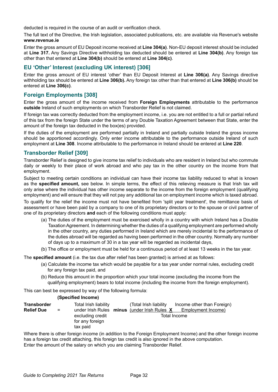deducted is required in the course of an audit or verification check.

The full text of the Directive, the Irish legislation, associated publications, etc. are available via Revenue's website **www.revenue.ie**

Enter the gross amount of EU Deposit income received at **Line 304(a)**. Non-EU deposit interest should be included at **Line 317.** Any Savings Directive withholding tax deducted should be entered at **Line 304(b)**. Any foreign tax other than that entered at **Line 304(b)** should be entered at **Line 304(c)**.

# **EU 'Other' Interest (excluding UK interest) [306]**

Enter the gross amount of EU interest 'other' than EU Deposit Interest at **Line 306(a)**. Any Savings directive withholding tax should be entered at **Line 306(b).** Any foreign tax other than that entered at **Line 306(b)** should be entered at **Line 306(c)**.

# **Foreign Employments [308]**

Enter the gross amount of the income received from **Foreign Employments** attributable to the performance **outside** Ireland of such employments on which Transborder Relief is not claimed.

If foreign tax was correctly deducted from the employment income, i.e. you are not entitled to a full or partial refund of this tax from the foreign State under the terms of any Double Taxation Agreement between that State, enter the amount of the foreign tax deducted in the box(es) provided.

If the duties of the employment are performed partially in Ireland and partially outside Ireland the gross income should be apportioned accordingly. Only enter income attributable to the performance outside Ireland of such employment at **Line 308**. Income attributable to the performance in Ireland should be entered at **Line 220**.

# **Transborder Relief [309]**

Transborder Relief is designed to give income tax relief to individuals who are resident in Ireland but who commute daily or weekly to their place of work abroad and who pay tax in the other country on the income from that employment.

Subject to meeting certain conditions an individual can have their income tax liability reduced to what is known as the **specified amount,** see below. In simple terms, the effect of this relieving measure is that Irish tax will only arise where the individual has other income separate to the income from the foreign employment (qualifying employment) and will ensure that they will not pay any additional tax on employment income which is taxed abroad.

To qualify for the relief the income must not have benefited from 'split year treatment', the remittance basis of assessment or have been paid by a company to one of its proprietary directors or to the spouse or civil partner of one of its proprietary directors **and** each of the following conditions must apply:

- (a) The duties of the employment must be exercised wholly in a country with which Ireland has a Double Taxation Agreement. In determining whether the duties of a qualifying employment are performed wholly in the other country, any duties performed in Ireland which are merely incidental to the performance of the duties abroad will be regarded as having been performed in the other country. Normally any number of days up to a maximum of 30 in a tax year will be regarded as incidental days,
- (b) The office or employment must be held for a continuous period of at least 13 weeks in the tax year.

The **specified amount** (i.e. the tax due after relief has been granted) is arrived at as follows:

- (a) Calculate the income tax which would be payable for a tax year under normal rules, excluding credit for any foreign tax paid, and
- (b) Reduce this amount in the proportion which your total income (excluding the income from the qualifying employment) bears to total income (including the income from the foreign employment).

This can best be expressed by way of the following formula:

#### **(Specified Income)**

| <b>Transborder</b> |     | Total Irish liability | (Total Irish liability) | Income other than Foreign)                                      |
|--------------------|-----|-----------------------|-------------------------|-----------------------------------------------------------------|
| <b>Relief Due</b>  | $=$ |                       |                         | under Irish Rules minus (under Irish Rules X Employment Income) |
|                    |     | excluding credit      |                         | Total Income                                                    |
|                    |     | for any foreign       |                         |                                                                 |
|                    |     | tax paid              |                         |                                                                 |

Where there is other foreign income (in addition to the Foreign Employment Income) and the other foreign income has a foreign tax credit attaching, this foreign tax credit is also ignored in the above computation. Enter the amount of the salary on which you are claiming Transborder Relief.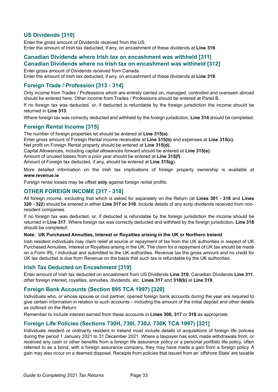# **US Dividends [310]**

Enter the gross amount of Dividends received from the US. Enter the amount of Irish tax deducted, if any, on encashment of these dividends at **Line 319**.

# **Canadian Dividends where Irish tax on encashment was withheld [311] Canadian Dividends where no Irish tax on encashment was withheld [312]**

Enter gross amount of Dividends received from Canada.

Enter the amount of Irish tax deducted, if any, on encashment of these dividends at **Line 319**.

# **Foreign Trade / Profession [313 - 314]**

Only income from Trades / Professions which are entirely carried on, managed, controlled and overseen abroad should be entered here. Other income from Trades / Professions should be entered at Panel B.

If no foreign tax was deducted, or, if deducted is refundable by the foreign jurisdiction the income should be returned in **Line 313**.

Where foreign tax was correctly deducted and withheld by the foreign jurisdiction, **Line 314** should be completed.

### **Foreign Rental Income [315]**

The number of foreign properties let should be entered at **Line 315(a)**.

Enter gross amount of Foreign Rental income receivable at **Line 315(b)** and expenses at **Line 315(c).**

Net profit on Foreign Rental property should be entered at **Line 315(d).**

Capital Allowances, including capital allowances forward should be entered at **Line 315(e)**.

Amount of unused losses from a prior year should be entered at **Line 315(f)**.

Amount of Foreign tax deducted, if any, should be entered at **Line 315(g**).

More detailed information on the Irish tax implications of foreign property ownership is available at **www.revenue.ie**

Foreign rental losses may be offset **only** against foreign rental profits.

### **OTHER FOREIGN INCOME [317 - 318]**

All foreign income, excluding that which is asked for separately on the Return (at **Lines 301 - 316** and **Lines 320 - 322**) should be entered in either **Line 317 or 318**. Include details of any scrip dividends received from nonresident companies.

If no foreign tax was deducted, or, if deducted is refundable by the foreign jurisdiction the income should be returned in **Line 317**. Where foreign tax was correctly deducted and withheld by the foreign jurisdiction, **Line 318**  should be completed.

#### **Note: UK Purchased Annuities, Interest or Royalties arising in the UK or Northern Ireland**

Irish resident individuals may claim relief at source or repayment of tax from the UK authorities in respect of UK Purchased Annuities, Interest or Royalties arising in the UK. The claim for a repayment of UK tax should be made on a Form IRL / individual and submitted to the UK authorities. Revenue tax the gross amount and no credit for UK tax deducted is due from Revenue on the basis that such tax is refundable by the UK authorities.

#### **Irish Tax Deducted on Encashment [319]**

Enter amount of Irish tax deducted on encashment from US Dividends **Line 310**, Canadian Dividends **Line 311**, other foreign interest, royalties, annuities, dividends, etc. **Lines 317** and **318(b)** at **Line 319**.

#### **Foreign Bank Accounts (Section 895 TCA 1997) [320]**

Individuals who, or whose spouse or civil partner, opened foreign bank accounts during the year are required to give certain information in relation to such accounts – including the amount of the initial deposit and other details as outlined on the Return.

Remember to include interest earned from these accounts in **Lines 306, 317** or **318** as appropriate.

# **Foreign Life Policies (Sections 730H, 730I, 730J, 730K TCA 1997) [321]**

Individuals resident or ordinarily resident in Ireland must include details of acquisitions of foreign life policies during the period 1 January 2021 to 31 December 2021. Where a taxpayer has sold, made withdrawals from, or received any cash or other benefits from a foreign life assurance policy or a personal portfolio life policy, often referred to as a bond, with a foreign assurance company, they may have made a gain from a foreign policy. A gain may also occur on a deemed disposal. Receipts from policies that issued from an 'offshore State' are taxable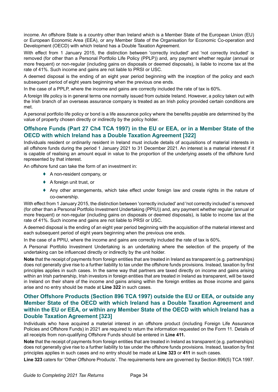income. An offshore State is a country other than Ireland which is a Member State of the European Union (EU) or European Economic Area (EEA), or any Member State of the Organisation for Economic Co-operation and Development (OECD) with which Ireland has a Double Taxation Agreement.

With effect from 1 January 2015, the distinction between 'correctly included' and 'not correctly included' is removed (for other than a Personal Portfolio Life Policy (PPLP)) and, any payment whether regular (annual or more frequent) or non-regular (including gains on disposals or deemed disposals), is liable to income tax at the rate of 41%. Such income and gains are not liable to PRSI or USC.

A deemed disposal is the ending of an eight year period beginning with the inception of the policy and each subsequent period of eight years beginning when the previous one ends.

In the case of a PPLP, where the income and gains are correctly included the rate of tax is 60%.

A foreign life policy is in general terms one normally issued from outside Ireland. However, a policy taken out with the Irish branch of an overseas assurance company is treated as an Irish policy provided certain conditions are met.

A personal portfolio life policy or bond is a life assurance policy where the benefits payable are determined by the value of property chosen directly or indirectly by the policy holder.

# **Offshore Funds (Part 27 Ch4 TCA 1997) in the EU or EEA, or in a Member State of the OECD with which Ireland has a Double Taxation Agreement [322]**

Individuals resident or ordinarily resident in Ireland must include details of acquisitions of material interests in all offshore funds during the period 1 January 2021 to 31 December 2021. An interest is a material interest if it is capable of realising an amount equal in value to the proportion of the underlying assets of the offshore fund represented by that interest.

An offshore fund can take the form of an investment in:

- ♦ A non-resident company, or
- ♦ A foreign unit trust, or
- ♦ Any other arrangements, which take effect under foreign law and create rights in the nature of co-ownership.

With effect from 1 January 2015, the distinction between 'correctly included' and 'not correctly included' is removed (for other than a Personal Portfolio Investment Undertaking (PPIU)) and, any payment whether regular (annual or more frequent) or non-regular (including gains on disposals or deemed disposals), is liable to income tax at the rate of 41%. Such income and gains are not liable to PRSI or USC.

A deemed disposal is the ending of an eight year period beginning with the acquisition of the material interest and each subsequent period of eight years beginning when the previous one ends.

In the case of a PPIU, where the income and gains are correctly included the rate of tax is 60%.

A Personal Portfolio Investment Undertaking is an undertaking where the selection of the property of the undertaking can be influenced directly or indirectly by the unit holder.

**Note** that the receipt of payments from foreign entities that are treated in Ireland as transparent (e.g. partnerships) does not generally give rise to a further liability to tax under the offshore funds provisions. Instead, taxation by first principles applies in such cases. In the same way that partners are taxed directly on income and gains arising within an Irish partnership, Irish investors in foreign entities that are treated in Ireland as transparent, will be taxed in Ireland on their share of the income and gains arising within the foreign entities as those income and gains arise and no entry should be made at **Line 322** in such cases.

# **Other Offshore Products (Section 896 TCA 1997) outside the EU or EEA, or outside any Member State of the OECD with which Ireland has a Double Taxation Agreement and within the EU or EEA, or within any Member State of the OECD with which Ireland has a Double Taxation Agreement [323]**

Individuals who have acquired a material interest in an offshore product (including Foreign Life Assurance Policies and Offshore Funds) in 2021 are required to return the information requested on the Form 11. Details of all receipts from non-qualifying Offshore Funds should be entered in **Line 411.**

**Note** that the receipt of payments from foreign entities that are treated in Ireland as transparent (e.g. partnerships) does not generally give rise to a further liability to tax under the offshore funds provisions. Instead, taxation by first principles applies in such cases and no entry should be made at **Line 323** or **411** in such cases.

**Line 323** caters for 'Other Offshore Products'. The requirements here are governed by Section 896(5) TCA 1997.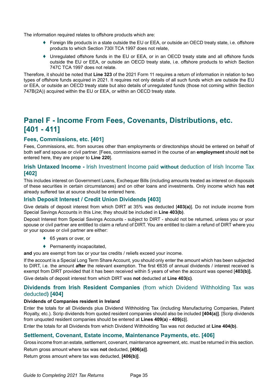The information required relates to offshore products which are:

- ♦ Foreign life products in a state outside the EU or EEA, or outside an OECD treaty state, i.e. offshore products to which Section 730I TCA 1997 does not relate,
- ♦ Unregulated offshore funds in the EU or EEA, or in an OECD treaty state and all offshore funds outside the EU or EEA, or outside an OECD treaty state, i.e. offshore products to which Section 747C TCA 1997 does not relate.

Therefore, it should be noted that **Line 323** of the 2021 Form 11 requires a return of information in relation to two types of offshore funds acquired in 2021. It requires not only details of all such funds which are outside the EU or EEA, or outside an OECD treaty state but also details of unregulated funds (those not coming within Section 747B(2A)) acquired within the EU or EEA, or within an OECD treaty state.

# **Panel F - Income From Fees, Covenants, Distributions, etc. [401 - 411]**

#### **Fees, Commissions, etc. [401]**

Fees, Commissions, etc. from sources other than employments or directorships should be entered on behalf of both self and spouse or civil partner. [Fees, commissions earned in the course of an **employment** should **not** be entered here, they are proper to **Line 220**].

### **Irish Untaxed Income -** Irish Investment Income paid **without** deduction of Irish Income Tax **[402]**

This includes interest on Government Loans, Exchequer Bills (including amounts treated as interest on disposals of these securities in certain circumstances) and on other loans and investments. Only income which has **not** already suffered tax at source should be entered here.

# **Irish Deposit Interest / Credit Union Dividends [403]**

Give details of deposit interest from which DIRT at 35% was deducted [**403(a)**]. Do not include income from Special Savings Accounts in this Line; they should be included in **Line 403(b)**.

Deposit Interest from Special Savings Accounts - subject to DIRT - should not be returned, unless you or your spouse or civil partner are entitled to claim a refund of DIRT. You are entitled to claim a refund of DIRT where you or your spouse or civil partner are either:

- ◆ 65 years or over, or
- $\blacklozenge$  Permanently incapacitated,

**and** you are exempt from tax or your tax credits / reliefs exceed your income.

If the account is a Special Long Term Share Account, you should only enter the amount which has been subjected to DIRT, i.e. the amount **after** the relevant exemption. The first €635 of annual dividends / interest received is exempt from DIRT provided that it has been received within 5 years of when the account was opened [**403(b)].**

Give details of deposit interest from which DIRT was **not** deducted at **Line 403(c)**.

#### **Dividends from Irish Resident Companies** (from which Dividend Withholding Tax was deducted**) [404]**

#### **Dividends of Companies resident in Ireland**

Enter the totals for all Dividends plus Dividend Withholding Tax (including Manufacturing Companies, Patent Royalty, etc.). Scrip dividends from quoted resident companies should also be included **[404(a)]**. [Scrip dividends from unquoted resident companies should be entered at **Lines 409(a) - 409(c)**].

Enter the totals for all Dividends from which Dividend Withholding Tax was not deducted at **Line 404(b)**.

#### **Settlement, Covenant, Estate income, Maintenance Payments, etc. [406]**

Gross income from an estate, settlement, covenant, maintenance agreement, etc. must be returned in this section.

Return gross amount where tax was **not** deducted, **[406(a)]**.

Return gross amount where tax was deducted, **[406(b)]**.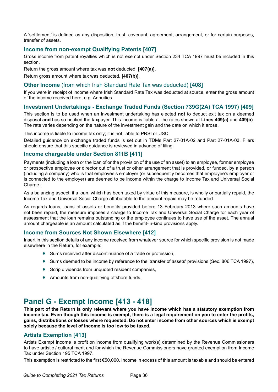A 'settlement' is defined as any disposition, trust, covenant, agreement, arrangement, or for certain purposes, transfer of assets.

#### **Income from non-exempt Qualifying Patents [407]**

Gross income from patent royalties which is not exempt under Section 234 TCA 1997 must be included in this section.

Return the gross amount where tax was **not** deducted, **[407(a)]**.

Return gross amount where tax was deducted, **[407(b)]**.

#### **Other Income** (from which Irish Standard Rate Tax was deducted) **[408]**

If you were in receipt of income where Irish Standard Rate Tax was deducted at source, enter the gross amount of the income received here, e.g. Annuities.

#### **Investment Undertakings - Exchange Traded Funds (Section 739G(2A) TCA 1997) [409]**

This section is to be used when an investment undertaking has elected **not** to deduct exit tax on a deemed disposal **and** has so notified the taxpayer. This income is liable at the rates shown at **Lines 409(a)** and **409(b)**. The rate varies depending on the nature of the investment gain and the date on which it arose.

This income is liable to income tax only; it is not liable to PRSI or USC.

Detailed guidance on exchange traded funds is set out in TDMs Part 27-01A-02 and Part 27-01A-03. Filers should ensure that this specific guidance is reviewed in advance of filing.

#### **Income chargeable under Section 811B [411]**

Payments (including a loan or the loan of or the provision of the use of an asset) to an employee, former employee or prospective employee or director out of a trust or other arrangement that is provided, or funded, by a person (including a company) who is that employee's employer (or subsequently becomes that employee's employer or is connected to the employer) are deemed to be income within the charge to Income Tax and Universal Social Charge.

As a balancing aspect, if a loan, which has been taxed by virtue of this measure, is wholly or partially repaid, the Income Tax and Universal Social Charge attributable to the amount repaid may be refunded.

As regards loans, loans of assets or benefits provided before 13 February 2013 where such amounts have not been repaid, the measure imposes a charge to Income Tax and Universal Social Charge for each year of assessment that the loan remains outstanding or the employee continues to have use of the asset. The annual amount chargeable is an amount calculated as if the benefit-in-kind provisions apply.

#### **Income from Sources Not Shown Elsewhere [412]**

Insert in this section details of any income received from whatever source for which specific provision is not made elsewhere in the Return, for example:

- ♦ Sums received after discontinuance of a trade or profession,
- ♦ Sums deemed to be income by reference to the 'transfer of assets' provisions (Sec. 806 TCA 1997),
- ♦ Scrip dividends from unquoted resident companies,
- ♦ Amounts from non-qualifying offshore funds.

# **Panel G - Exempt Income [413 - 418]**

**This part of the Return is only relevant where you have income which has a statutory exemption from income tax. Even though this income is exempt, there is a legal requirement on you to enter the profits, gains, distributions or losses where requested. Do not enter income from other sources which is exempt solely because the level of income is too low to be taxed.**

# **Artists Exemption [413]**

Artists Exempt Income is profit on income from qualifying work(s) determined by the Revenue Commissioners to have artistic / cultural merit and for which the Revenue Commissioners have granted exemption from Income Tax under Section 195 TCA 1997.

This exemption is restricted to the first €50,000. Income in excess of this amount is taxable and should be entered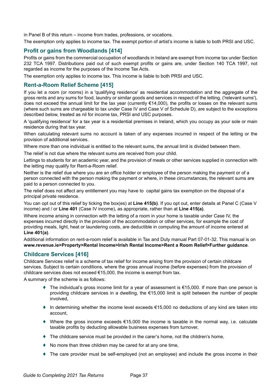in Panel B of this return – income from trades, professions, or vocations.

The exemption only applies to income tax. The exempt portion of artist's income is liable to both PRSI and USC.

## **Profit or gains from Woodlands [414]**

Profits or gains from the commercial occupation of woodlands in Ireland are exempt from income tax under Section 232 TCA 1997. Distributions paid out of such exempt profits or gains are, under Section 140 TCA 1997, not regarded as income for the purposes of the Income Tax Acts.

The exemption only applies to income tax. This income is liable to both PRSI and USC.

## **Rent-a-Room Relief Scheme [415]**

If you let a room (or rooms) in a 'qualifying residence' as residential accommodation and the aggregate of the gross rents and any sums for food, laundry or similar goods and services in respect of the letting, ('relevant sums'), does not exceed the annual limit for the tax year (currently €14,000), the profits or losses on the relevant sums (where such sums are chargeable to tax under Case IV and Case V of Schedule D), are subject to the exceptions described below, treated as nil for income tax, PRSI and USC purposes.

A 'qualifying residence' for a tax year is a residential premises in Ireland, which you occupy as your sole or main residence during that tax year.

When calculating relevant sums no account is taken of any expenses incurred in respect of the letting or the provision of additional services.

Where more than one individual is entitled to the relevant sums, the annual limit is divided between them.

The relief is not due where the relevant sums are received from your child.

Lettings to students for an academic year, and the provision of meals or other services supplied in connection with the letting may qualify for Rent-a-Room relief.

Neither is the relief due where you are an office holder or employee of the person making the payment or of a person connected with the person making the payment or where, in these circumstances, the relevant sums are paid to a person connected to you.

The relief does not affect any entitlement you may have to capital gains tax exemption on the disposal of a principal private residence.

You can opt out of this relief by ticking the box(es) at **Line 415(b)**. If you opt out, enter details at Panel C (Case V income) and / or **Line 401** (Case IV income), as appropriate, rather than at **Line 415(a)**.

Where income arising in connection with the letting of a room in your home is taxable under Case IV, the expenses incurred directly in the provision of the accommodation or other services, for example the cost of providing meals, light, heat or laundering costs, are deductible in computing the amount of income entered at **Line 401(a)**.

Additional information on rent-a-room relief is available in Tax and Duty manual Part 07-01-32. This manual is on **[www.revenue.ie>Property>Rental Income>Irish Rental Income>Rent a Room Relief>Further guidance](http://www.revenue.ie>Property>Rental Income>Irish Rental Income>Rent a Room Relief>Further guidance)**.

## **Childcare Services [416]**

Childcare Services relief is a scheme of tax relief for income arising from the provision of certain childcare services. Subject to certain conditions, where the gross annual income (before expenses) from the provision of childcare services does not exceed €15,000, the income is exempt from tax.

A summary of the scheme is as follows:

- The individual's gross income limit for a year of assessment is  $€15,000$ . If more than one person is providing childcare services in a dwelling, the €15,000 limit is split between the number of people involved,
- $\bullet$  In determining whether the income level exceeds  $\epsilon$ 15,000 no deductions of any kind are taken into account,
- ♦ Where the gross income exceeds €15,000 the income is taxable in the normal way, i.e. calculate taxable profits by deducting allowable business expenses from turnover,
- $\blacklozenge$  The childcare service must be provided in the carer's home, not the children's home,
- ♦ No more than three children may be cared for at any one time,
- ♦ The care provider must be self-employed (not an employee) and include the gross income in their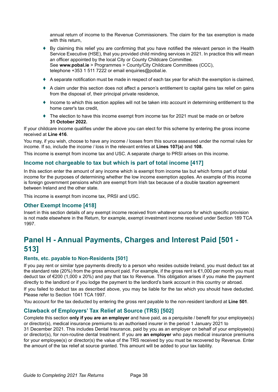annual return of income to the Revenue Commissioners. The claim for the tax exemption is made with this return.

- ♦ By claiming this relief you are confirming that you have notified the relevant person in the Health Service Executive (HSE), that you provided child minding services in 2021. In practice this will mean an officer appointed by the local City or County Childcare Committee. See **[www.pobal.ie](https://www.pobal.ie/programmes/county-city-childcare-committees-ccc/)** > Programmes > County/City Childcare Committees (CCC), telephone +353 1 511 7222 or email enquiries@pobal.ie.
- $\triangle$  A separate notification must be made in respect of each tax year for which the exemption is claimed,
- ♦ A claim under this section does not affect a person's entitlement to capital gains tax relief on gains from the disposal of, their principal private residence,
- ♦ Income to which this section applies will not be taken into account in determining entitlement to the home carer's tax credit,
- ♦ The election to have this income exempt from income tax for 2021 must be made on or before **31 October 2022.**

If your childcare income qualifies under the above you can elect for this scheme by entering the gross income received at **Line 416**.

You may, if you wish, choose to have any income / losses from this source assessed under the normal rules for income. If so, include the income / loss in the relevant entries at **Lines 107(a)** and **108.**

This income is exempt from income tax and USC. A separate charge to PRSI arises on this income.

### **Income not chargeable to tax but which is part of total income [417]**

In this section enter the amount of any income which is exempt from income tax but which forms part of total income for the purposes of determining whether the low income exemption applies. An example of this income is foreign government pensions which are exempt from Irish tax because of a double taxation agreement between Ireland and the other state.

This income is exempt from income tax, PRSI and USC.

### **Other Exempt Income [418]**

Insert in this section details of any exempt income received from whatever source for which specific provision is not made elsewhere in the Return, for example, exempt investment income received under Section 189 TCA 1997.

# **Panel H - Annual Payments, Charges and Interest Paid [501 - 513]**

### **Rents, etc. payable to Non-Residents [501]**

If you pay rent or similar type payments directly to a person who resides outside Ireland, you must deduct tax at the standard rate (20%) from the gross amount paid. For example, if the gross rent is €1,000 per month you must deduct tax of €200 (1,000 x 20%) and pay that tax to Revenue. This obligation arises if you make the payment directly to the landlord or if you lodge the payment to the landlord's bank account in this country or abroad.

If you failed to deduct tax as described above, you may be liable for the tax which you should have deducted. Please refer to Section 1041 TCA 1997.

You account for the tax deducted by entering the gross rent payable to the non-resident landlord at **Line 501**.

### **Clawback of Employers' Tax Relief at Source (TRS) [502]**

Complete this section **only if you are an employer** and have paid, as a perquisite / benefit for your employee(s) or director(s), medical insurance premiums to an authorised insurer in the period 1 January 2021 to

31 December 2021. This includes Dental Insurance, paid by you as an employer on behalf of your employee(s) or director(s), for non-routine dental treatment. If you are **an employer** who pays medical insurance premiums for your employee(s) or director(s) the value of the TRS received by you must be recovered by Revenue. Enter the amount of the tax relief at source granted. This amount will be added to your tax liability.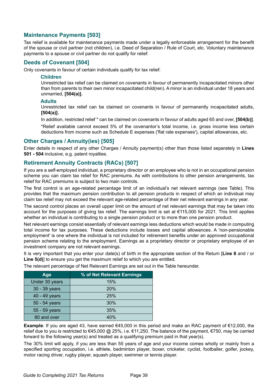## **Maintenance Payments [503]**

Tax relief is available for maintenance payments made under a legally enforceable arrangement for the benefit of the spouse or civil partner (not children), i.e. Deed of Separation / Rule of Court, etc. Voluntary maintenance payments to a spouse or civil partner do not qualify for relief.

## **Deeds of Covenant [504]**

Only covenants in favour of certain individuals qualify for tax relief:

#### **Children**

Unrestricted tax relief can be claimed on covenants in favour of permanently incapacitated minors other than from parents to their own minor incapacitated child(ren). A minor is an individual under 18 years and unmarried, **[504(a)].**

### **Adults**

Unrestricted tax relief can be claimed on covenants in favour of permanently incapacitated adults, **[504(a)].**

In addition, restricted relief \* can be claimed on covenants in favour of adults aged 65 and over, **[504(b)]**.

\*Relief available cannot exceed 5% of the covenantor's total income, i.e. gross income less certain deductions from income such as Schedule E expenses ('flat rate expenses'), capital allowances, etc.

### **Other Charges / Annuity(ies) [505]**

Enter details in respect of any other Charges / Annuity payment(s) other than those listed separately in **Lines 501 - 504** inclusive, e.g. patent royalties.

## **Retirement Annuity Contracts (RACs) [507]**

If you are a self-employed individual, a proprietary director or an employee who is not in an occupational pension scheme you can claim tax relief for RAC premiums. As with contributions to other pension arrangements, tax relief for RAC premiums is subject to two main controls.

The first control is an age-related percentage limit of an individual's net relevant earnings (see Table). This provides that the maximum pension contribution to all pension products in respect of which an individual may claim tax relief may not exceed the relevant age-related percentage of their net relevant earnings in any year.

The second control places an overall upper limit on the amount of net relevant earnings that may be taken into account for the purposes of giving tax relief. The earnings limit is set at €115,000 for 2021. This limit applies whether an individual is contributing to a single pension product or to more than one pension product.

Net relevant earnings consist essentially of relevant earnings less deductions which would be made in computing total income for tax purposes. These deductions include losses and capital allowances. A 'non-pensionable employment' is one where the individual is not included for retirement benefits under an approved occupational pension scheme relating to the employment. Earnings as a proprietary director or proprietary employee of an investment company are not relevant earnings.

It is very important that you enter your date(s) of birth in the appropriate section of the Return [**Line 8** and / or Line 5(d)] to ensure you get the maximum relief to which you are entitled.

| Age            | % of Net Relevant Earnings |
|----------------|----------------------------|
| Under 30 years | 15%                        |
| 30 - 39 years  | 20%                        |
| 40 - 49 years  | 25%                        |
| 50 - 54 years  | 30%                        |
| 55 - 59 years  | 35%                        |
| 60 and over    | 40%                        |

The relevant percentage of Net Relevant Earnings are set out in the Table hereunder.

**Example**: If you are aged 43, have earned €45,000 in this period and make an RAC payment of €12,000, the relief due to you is restricted to €45,000 @ 25%, i.e. €11,250. The balance of the payment, €750, may be carried forward to the following year(s) and treated as a qualifying premium paid in that year(s).

The 30% limit will apply, if you are less than 55 years of age and your income comes wholly or mainly from a specified sporting occupation, i.e. athlete, badminton player, boxer, cricketer, cyclist, footballer, golfer, jockey, motor racing driver, rugby player, squash player, swimmer or tennis player.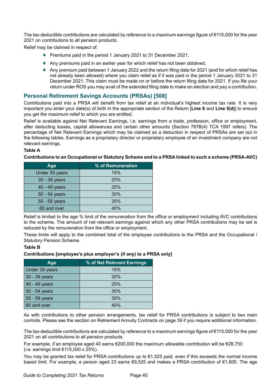The tax-deductible contributions are calculated by reference to a maximum earnings figure of €115,000 for the year 2021 on contributions to all pension products.

Relief may be claimed in respect of:

- ♦ Premiums paid in the period 1 January 2021 to 31 December 2021,
- ♦ Any premiums paid in an earlier year for which relief has not been obtained,
- ♦ Any premium paid between 1 January 2022 and the return filing date for 2021 (and for which relief has not already been allowed) where you claim relief as if it was paid in the period 1 January 2021 to 31 December 2021. This claim must be made on or before the return filing date for 2021. If you file your return under ROS you may avail of the extended filing date to make an election and pay a contribution.

## **Personal Retirement Savings Accounts (PRSAs) [508]**

Contributions paid into a PRSA will benefit from tax relief at an individual's highest income tax rate. It is very important you enter your date(s) of birth in the appropriate section of the Return [**Line 8** and **Line 5(d)**] to ensure you get the maximum relief to which you are entitled.

Relief is available against Net Relevant Earnings, i.e. earnings from a trade, profession, office or employment, after deducting losses, capital allowances and certain other amounts (Section 787B(4) TCA 1997 refers). The percentage of Net Relevant Earnings which may be claimed as a deduction in respect of PRSAs are set out in the following tables. Earnings as a proprietary director or proprietary employee of an investment company are not relevant earnings.

#### **Table A**

**Contributions to an Occupational or Statutory Scheme and to a PRSA linked to such a scheme (PRSA-AVC)**

| Age            | % of Remuneration |
|----------------|-------------------|
| Under 30 years | 15%               |
| 30 - 39 years  | 20%               |
| 40 - 49 years  | 25%               |
| 50 - 54 years  | 30%               |
| 55 - 59 years  | 35%               |
| 60 and over    | 40%               |

Relief is limited to the age % limit of the remuneration from the office or employment including AVC contributions to the scheme. The amount of net relevant earnings against which any other PRSA contributions may be set is reduced by the remuneration from the office or employment.

These limits will apply to the combined total of the employee contributions to the PRSA and the Occupational / Statutory Pension Scheme.

#### **Table B**

#### **Contributions [employee's plus employer's (if any) to a PRSA only]**

| Age            | % of Net Relevant Earnings |
|----------------|----------------------------|
| Under 30 years | 15%                        |
| 30 - 39 years  | 20%                        |
| 40 - 49 years  | 25%                        |
| 50 - 54 years  | 30%                        |
| 55 - 59 years  | 35%                        |
| 60 and over    | 40%                        |

As with contributions to other pension arrangements, tax relief for PRSA contributions is subject to two main controls. Please see the section on Retirement Annuity Contracts on page 39 if you require additional information.

The tax-deductible contributions are calculated by reference to a maximum earnings figure of €115,000 for the year 2021 on all contributions to all pension products.

For example, if an employee aged 40 earns €200,000 the maximum allowable contribution will be €28,750 (i.e. earnings limit €115,000 x 25%).

You may be granted tax relief for PRSA contributions up to €1,525 paid, even if this exceeds the normal income based limit. For example, a person aged 23 earns €9,525 and makes a PRSA contribution of €1,600. The age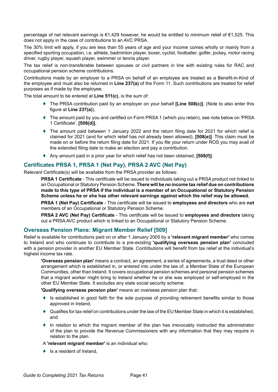percentage of net relevant earnings is €1,429 however, he would be entitled to minimum relief of €1,525. This does not apply in the case of contributions to an AVC PRSA.

The 30% limit will apply, if you are less than 55 years of age and your income comes wholly or mainly from a specified sporting occupation, i.e. athlete, badminton player, boxer, cyclist, footballer, golfer, jockey, motor racing driver, rugby player, squash player, swimmer or tennis player.

The tax relief is non-transferable between spouses or civil partners in line with existing rules for RAC and occupational pension scheme contributions.

Contributions made by an employer to a PRSA on behalf of an employee are treated as a Benefit-in-Kind of the employee and must also be returned in **Line 237(a)** of the Form 11. Such contributions are treated for relief purposes as if made by the employee.

The total amount to be entered at **Line 511(c)**, is the sum of:

- ♦ The PRSA contribution paid by an employer on your behalf **[Line 508(c)]**. (Note to also enter this figure at **Line 237(a)**),
- ♦ The amount paid by you and certified on Form PRSA 1 (which you retain), see note below on 'PRSA 1 Certificate', **[508(d)]**,
- ♦ The amount paid between 1 January 2022 and the return filing date for 2021 for which relief is claimed for 2021 (and for which relief has not already been allowed), **[508(e)]**. This claim must be made on or before the return filing date for 2021. If you file your return under ROS you may avail of the extended filing date to make an election and pay a contribution.
- ♦ Any amount paid in a prior year for which relief has not been obtained, **[508(f)]**.

# **Certificates PRSA 1, PRSA 1 (Net Pay), PRSA 2 AVC (Net Pay)**

Relevant Certificate(s) will be available from the PRSA provider as follows:

**PRSA 1 Certificate** - This certificate will be issued to individuals taking out a PRSA product not linked to an Occupational or Statutory Pension Scheme. **There will be no income tax relief due on contributions made to this type of PRSA if the individual is a member of an Occupational or Statutory Pension Scheme unless he or she has other relevant earnings against which the relief may be allowed.**

**PRSA 1 (Net Pay) Certificate** - This certificate will be issued to **employees and directors** who are **not** members of an Occupational or Statutory Pension Scheme.

**PRSA 2 AVC (Net Pay) Certificate** - This certificate will be issued to **employees and directors** taking out a PRSA AVC product which is linked to an Occupational or Statutory Pension Scheme.

### **Overseas Pension Plans: Migrant Member Relief [509]**

Relief is available for contributions paid on or after 1 January 2005 by a **'relevant migrant member'** who comes to Ireland and who continues to contribute to a pre-existing **'qualifying overseas pension plan'** concluded with a pension provider in another EU Member State. Contributions will benefit from tax relief at the individual's highest income tax rate.

**'Overseas pension plan'** means a contract, an agreement, a series of agreements, a trust deed or other arrangement which is established in, or entered into under the law of, a Member State of the European Communities, other than Ireland. It covers occupational pension schemes and personal pension schemes that a migrant worker might bring to Ireland whether he or she was employed or self-employed in the other EU Member State. It excludes any state social security scheme.

**'Qualifying overseas pension plan'** means an overseas pension plan that:

- ♦ Is established in good faith for the sole purpose of providing retirement benefits similar to those approved in Ireland,
- ♦ Qualifies for tax relief on contributions under the law of the EU Member State in which it is established, and
- ♦ In relation to which the migrant member of the plan has irrevocably instructed the administrator of the plan to provide the Revenue Commissioners with any information that they may require in relation to the plan.

A **'relevant migrant member'** is an individual who:

 $\bullet$  Is a resident of Ireland.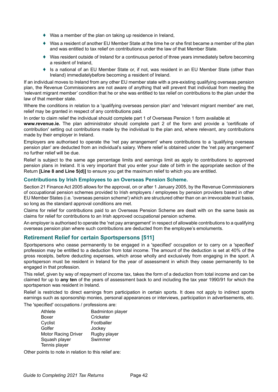- ♦ Was a member of the plan on taking up residence in Ireland,
- ♦ Was a resident of another EU Member State at the time he or she first became a member of the plan and was entitled to tax relief on contributions under the law of that Member State.
- ♦ Was resident outside of Ireland for a continuous period of three years immediately before becoming a resident of Ireland,
- ♦ Is a national of an EU Member State or, if not, was resident in an EU Member State (other than Ireland) immediatelybefore becoming a resident of Ireland.

If an individual moves to Ireland from any other EU member state with a pre-existing qualifying overseas pension plan, the Revenue Commissioners are not aware of anything that will prevent that individual from meeting the 'relevant migrant member' condition that he or she was entitled to tax relief on contributions to the plan under the law of that member state.

Where the conditions in relation to a 'qualifying overseas pension plan' and 'relevant migrant member' are met, relief may be granted in respect of any contributions paid.

In order to claim relief the individual should complete part 1 of Overseas Pension 1 form available at

**[www.revenue.ie](https://www.revenue.ie/en/life-events-and-personal-circumstances/documents/claim-for-migrant-member-relief-form.pdf).** The plan administrator should complete part 2 of the form and provide a 'certificate of contribution' setting out contributions made by the individual to the plan and, where relevant, any contributions made by their employer in Ireland.

Employers are authorised to operate the 'net pay arrangement' where contributions to a 'qualifying overseas pension plan' are deducted from an individual's salary. Where relief is obtained under the 'net pay arrangement' no further relief will be due.

Relief is subject to the same age percentage limits and earnings limit as apply to contributions to approved pension plans in Ireland. It is very important that you enter your date of birth in the appropriate section of the Return **[Line 8 and Line 5(d)]** to ensure you get the maximum relief to which you are entitled.

### **Contributions by Irish Employees to an Overseas Pension Scheme.**

Section 21 Finance Act 2005 allows for the approval, on or after 1 January 2005, by the Revenue Commissioners of occupational pension schemes provided to Irish employers / employees by pension providers based in other EU Member States (i.e. 'overseas pension scheme') which are structured other than on an irrevocable trust basis, so long as the standard approval conditions are met.

Claims for relief for contributions paid to an Overseas Pension Scheme are dealt with on the same basis as claims for relief for contributions to an Irish approved occupational pension scheme.

An employer is authorised to operate the 'net pay arrangement' in respect of allowable contributions to a qualifying overseas pension plan where such contributions are deducted from the employee's emoluments.

### **Retirement Relief for certain Sportspersons [511]**

Sportspersons who cease permanently to be engaged in a 'specified' occupation or to carry on a 'specified' profession may be entitled to a deduction from total income. The amount of the deduction is set at 40% of the gross receipts, before deducting expenses, which arose wholly and exclusively from engaging in the sport. A sportsperson must be resident in Ireland for the year of assessment in which they cease permanently to be engaged in that profession.

This relief, given by way of repayment of income tax, takes the form of a deduction from total income and can be claimed for up to **any ten** of the years of assessment back to and including the tax year 1990/91 for which the sportsperson was resident in Ireland.

Relief is restricted to direct earnings from participation in certain sports. It does not apply to indirect sports earnings such as sponsorship monies, personal appearances or interviews, participation in advertisements, etc.

The 'specified' occupations / professions are:

| <b>Badminton player</b> |
|-------------------------|
| Cricketer               |
| Footballer              |
| Jockey                  |
| Rugby player            |
| Swimmer                 |
|                         |
|                         |

Other points to note in relation to this relief are: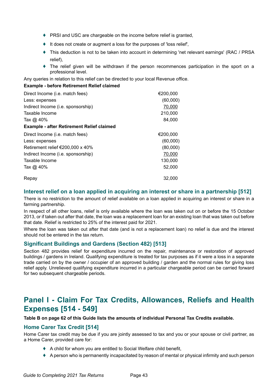- ♦ PRSI and USC are chargeable on the income before relief is granted,
- ♦ It does not create or augment a loss for the purposes of 'loss relief',
- ♦ This deduction is not to be taken into account in determining 'net relevant earnings' (RAC / PRSA relief),
- $\bullet$  The relief given will be withdrawn if the person recommences participation in the sport on a professional level.

Any queries in relation to this relief can be directed to your local Revenue office.

### **Example - before Retirement Relief claimed**

| Direct Income (i.e. match fees)                  | €200,000 |
|--------------------------------------------------|----------|
| Less: expenses                                   | (60,000) |
| Indirect Income (i.e. sponsorship)               | 70,000   |
| Taxable Income                                   | 210,000  |
| Tax $\omega$ 40%                                 | 84,000   |
| <b>Example - after Retirement Relief claimed</b> |          |
| Direct Income (i.e. match fees)                  | €200,000 |
| Less: expenses                                   | (60,000) |
| Retirement relief €200,000 x 40%                 | (80,000) |
| Indirect Income (i.e. sponsorship)               | 70,000   |
| Taxable Income                                   | 130,000  |
| Tax @ 40%                                        | 52,000   |
| Repay                                            | 32,000   |

## **Interest relief on a loan applied in acquiring an interest or share in a partnership [512]**

There is no restriction to the amount of relief available on a loan applied in acquiring an interest or share in a farming partnership.

In respect of all other loans, relief is only available where the loan was taken out on or before the 15 October 2013, or if taken out after that date, the loan was a replacement loan for an existing loan that was taken out before that date. Relief is restricted to 25% of the interest paid for 2021.

Where the loan was taken out after that date (and is not a replacement loan) no relief is due and the interest should not be entered in the tax return.

## **Significant Buildings and Gardens (Section 482) [513]**

Section 482 provides relief for expenditure incurred on the repair, maintenance or restoration of approved buildings / gardens in Ireland. Qualifying expenditure is treated for tax purposes as if it were a loss in a separate trade carried on by the owner / occupier of an approved building / garden and the normal rules for giving loss relief apply. Unrelieved qualifying expenditure incurred in a particular chargeable period can be carried forward for two subsequent chargeable periods.

# **Panel I - Claim For Tax Credits, Allowances, Reliefs and Health Expenses [514 - 549]**

**Table B on page 62 of this Guide lists the amounts of individual Personal Tax Credits available.**

### **Home Carer Tax Credit [514]**

Home Carer tax credit may be due if you are jointly assessed to tax and you or your spouse or civil partner, as a Home Carer, provided care for:

- ♦ A child for whom you are entitled to Social Welfare child benefit,
- ♦ A person who is permanently incapacitated by reason of mental or physical infirmity and such person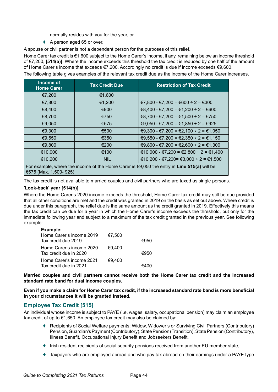normally resides with you for the year, or

♦ A person aged 65 or over.

A spouse or civil partner is not a dependent person for the purposes of this relief.

Home Carer tax credit is €1,600 subject to the Home Carer's income, if any, remaining below an income threshold of €7,200, **[514(a)]**. Where the income exceeds this threshold the tax credit is reduced by one half of the amount of Home Carer's income that exceeds €7,200. Accordingly no credit is due if income exceeds €9,600.

The following table gives examples of the relevant tax credit due as the income of the Home Carer increases.

| Income of<br><b>Home Carer</b>                                                                                                 | <b>Tax Credit Due</b> | <b>Restriction of Tax Credit</b>       |  |  |
|--------------------------------------------------------------------------------------------------------------------------------|-----------------------|----------------------------------------|--|--|
| €7,200                                                                                                                         | €1,600                |                                        |  |  |
| €7,800                                                                                                                         | €1,200                | €7,800 - €7,200 = €600 ÷ 2 = €300      |  |  |
| €8,400                                                                                                                         | €900                  | €8,400 - €7,200 = €1,200 ÷ 2 = €600    |  |  |
| €8,700                                                                                                                         | €750                  | €8,700 - €7,200 = €1,500 ÷ 2 = €750    |  |  |
| €9,050                                                                                                                         | €575                  | €9,050 - €7,200 = €1,850 ÷ 2 = €925    |  |  |
| €9,300                                                                                                                         | €500                  | €9,300 - €7,200 = €2,100 ÷ 2 = €1,050  |  |  |
| €9,550                                                                                                                         | €350                  | €9,550 - €7,200 = €2,350 ÷ 2 = €1,150  |  |  |
| €9,800                                                                                                                         | €200                  | €9,800 - €7,200 = €2,600 ÷ 2 = €1,300  |  |  |
| €10,000                                                                                                                        | €100                  | €10,000 - €7,200 = €2,800 ÷ 2 = €1,400 |  |  |
| €10,200                                                                                                                        | <b>NIL</b>            | €10,200 - €7,200 = €3,000 ÷ 2 = €1,500 |  |  |
| For example, where the income of the Home Carer is $\epsilon$ 9,050 the entry in Line 515(a) will be<br>€575 (Max. 1,500- 925) |                       |                                        |  |  |

The tax credit is not available to married couples and civil partners who are taxed as single persons.

### **'Look-back' year [514(b)]**

Where the Home Carer's 2020 income exceeds the threshold, Home Carer tax credit may still be due provided that all other conditions are met and the credit was granted in 2019 on the basis as set out above. Where credit is due under this paragraph, the relief due is the same amount as the credit granted in 2019. Effectively this means the tax credit can be due for a year in which the Home Carer's income exceeds the threshold, but only for the immediate following year and subject to a maximum of the tax credit granted in the previous year. See following example:

#### **Example:**

| Home Carer's income 2019                           | €7,500 |      |
|----------------------------------------------------|--------|------|
| Tax credit due 2019                                |        | €950 |
| Home Carer's income 2020<br>Tax credit due in 2020 | €9.400 | €950 |
| Home Carer's income 2021                           | €9.400 |      |
| Tax credit due in 2021                             |        | €400 |

**Married couples and civil partners cannot receive both the Home Carer tax credit and the increased standard rate band for dual income couples.** 

**Even if you make a claim for Home Carer tax credit, if the increased standard rate band is more beneficial in your circumstances it will be granted instead.**

## **Employee Tax Credit [515]**

An individual whose income is subject to PAYE (i.e. wages, salary, occupational pension) may claim an employee tax credit of up to €1,650. An employee tax credit may also be claimed by:

- ♦ Recipients of Social Welfare payments; Widow, Widower's or Surviving Civil Partners (Contributory) Pension, Guardian's Payment (Contributory), State Pension (Transition), State Pension (Contributory), Illness Benefit, Occupational Injury Benefit and Jobseekers Benefit,
- ♦ Irish resident recipients of social security pensions received from another EU member state,
- ♦ Taxpayers who are employed abroad and who pay tax abroad on their earnings under a PAYE type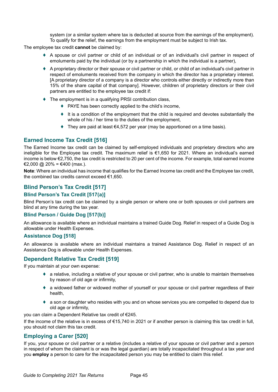system (or a similar system where tax is deducted at source from the earnings of the employment). To qualify for the relief, the earnings from the employment must be subject to Irish tax.

The employee tax credit **cannot** be claimed by:

- ♦ A spouse or civil partner or child of an individual or of an individual's civil partner in respect of emoluments paid by the individual (or by a partnership in which the individual is a partner),
- ♦ A proprietary director or their spouse or civil partner or child, or child of an individual's civil partner in respect of emoluments received from the company in which the director has a proprietary interest. [A proprietary director of a company is a director who controls either directly or indirectly more than 15% of the share capital of that company]. However, children of proprietary directors or their civil partners are entitled to the employee tax credit if:
- The employment is in a qualifying PRSI contribution class,
	- ♦ PAYE has been correctly applied to the child's income,
	- ♦ It is a condition of the employment that the child is required and devotes substantially the whole of his / her time to the duties of the employment,
	- ♦ They are paid at least €4,572 per year (may be apportioned on a time basis).

## **Earned Income Tax Credit [516]**

The Earned Income tax credit can be claimed by self-employed individuals and proprietary directors who are ineligible for the Employee tax credit. The maximum relief is €1,650 for 2021. Where an individual's earned income is below €2,750, the tax credit is restricted to 20 per cent of the income. For example, total earned income €2,000 @ 20% = €400 (max.).

**Note**: Where an individual has income that qualifies for the Earned Income tax credit and the Employee tax credit, the combined tax credits cannot exceed €1,650.

# **Blind Person's Tax Credit [517]**

### **Blind Person's Tax Credit [517(a)]**

Blind Person's tax credit can be claimed by a single person or where one or both spouses or civil partners are blind at any time during the tax year.

### **Blind Person / Guide Dog [517(b)]**

An allowance is available where an individual maintains a trained Guide Dog. Relief in respect of a Guide Dog is allowable under Health Expenses.

### **Assistance Dog [518]**

An allowance is available where an individual maintains a trained Assistance Dog. Relief in respect of an Assistance Dog is allowable under Health Expenses.

## **Dependent Relative Tax Credit [519]**

If you maintain at your own expense:

- a relative, including a relative of your spouse or civil partner, who is unable to maintain themselves by reason of old age or infirmity,
- ♦ a widowed father or widowed mother of yourself or your spouse or civil partner regardless of their health,
- a son or daughter who resides with you and on whose services you are compelled to depend due to old age or infirmity,

you can claim a Dependent Relative tax credit of €245.

If the income of the relative is in excess of €15,740 in 2021 or if another person is claiming this tax credit in full, you should not claim this tax credit.

## **Employing a Carer [520]**

If you, your spouse or civil partner or a relative (includes a relative of your spouse or civil partner and a person in respect of whom the claimant is or was the legal guardian) are totally incapacitated throughout a tax year and you **employ** a person to care for the incapacitated person you may be entitled to claim this relief.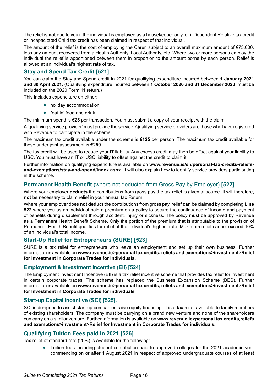The relief is **not** due to you if the individual is employed as a housekeeper only, or if Dependent Relative tax credit or Incapacitated Child tax credit has been claimed in respect of that individual.

The amount of the relief is the cost of employing the Carer, subject to an overall maximum amount of €75,000, less any amount recovered from a Health Authority, Local Authority, etc. Where two or more persons employ the individual the relief is apportioned between them in proportion to the amount borne by each person. Relief is allowed at an individual's highest rate of tax.

## **Stay and Spend Tax Credit [521]**

You can claim the Stay and Spend credit in 2021 for qualifying expenditure incurred between **1 January 2021 and 30 April 2021.** (Qualifying expenditure incurred between **1 October 2020 and 31 December 2020** must be included on the 2020 Form 11 return.)

This includes expenditure on either:

- ♦ holiday accommodation
- ◆ 'eat in' food and drink.

The minimum spend is €25 per transaction. You must submit a copy of your receipt with the claim.

A 'qualifying service provider' must provide the service. Qualifying service providers are those who have registered with Revenue to participate in the scheme.

The maximum tax credit available under the scheme is **€125** per person. The maximum tax credit available for those under joint assessment is **€250**.

The tax credit will be used to reduce your IT liability. Any excess credit may then be offset against your liability to USC. You must have an IT or USC liability to offset against the credit to claim it.

Further information on qualifying expenditure is available on **[www.revenue.ie/en/personal-tax-credits-reliefs](http://www.revenue.ie/en/personal-tax-credits-reliefs-and-exemptions/stay-and-spend/index.aspx)[and-exemptions/stay-and-spend/index.aspx](http://www.revenue.ie/en/personal-tax-credits-reliefs-and-exemptions/stay-and-spend/index.aspx)**. It will also explain how to identify service providers participating in the scheme.

## **Permanent Health Benefit** (where not deducted from Gross Pay by Employer) **[522]**

Where your employer **deducts** the contributions from gross pay the tax relief is given at source. It will therefore, **not** be necessary to claim relief in your annual tax Return.

Where your employer does **not deduct** the contributions from gross pay, relief **can** be claimed by completing **Line 522** where you as an individual paid a premium on a policy to secure the continuance of income and payment of benefits during disablement through accident, injury or sickness. The policy must be approved by Revenue as a Permanent Health Benefit Scheme. Only the portion of the premium that is attributable to the provision of Permanent Health Benefit qualifies for relief at the individual's highest rate. Maximum relief cannot exceed 10% of an individual's total income.

## **Start-Up Relief for Entrepreneurs (SURE) [523]**

SURE is a tax relief for entrepreneurs who leave an employment and set up their own business. Further information is available on **[www.revenue.ie>personal tax credits, reliefs and exemptions>investment>Relief](https://www.revenue.ie/en/personal-tax-credits-reliefs-and-exemptions/investment/relief-for-investment-in-corporate-trades-for-in/index.aspx) [for Investment in Corporate Trades for individuals.](https://www.revenue.ie/en/personal-tax-credits-reliefs-and-exemptions/investment/relief-for-investment-in-corporate-trades-for-in/index.aspx)**

### **Employment & Investment Incentive (EII) [524]**

The Employment Investment Incentive (EII) is a tax relief incentive scheme that provides tax relief for investment in certain corporate trades. The scheme has replaced the Business Expansion Scheme (BES). Further information is available on **[www.revenue.ie>personal tax credits, reliefs and exemptions>investment>](https://www.revenue.ie/en/personal-tax-credits-reliefs-and-exemptions/investment/relief-for-investment-in-corporate-trades-for-in/index.aspx)Relief for Investment in Corporate Trades for individuals**.

### **Start-up Capital Incentive (SCI) [525].**

SCI is designed to assist start-up companies raise equity financing. It is a tax relief available to family members of existing shareholders. The company must be carrying on a brand new venture and none of the shareholders can carry on a similar venture. Further information is available on **[www.revenue.ie>personal tax credits,reliefs](https://www.revenue.ie/en/personal-tax-credits-reliefs-and-exemptions/investment/relief-for-investment-in-corporate-trades-for-in/index.aspx) [and exemptions>investment>Relief for Investment in Corporate Trades for individuals.](https://www.revenue.ie/en/personal-tax-credits-reliefs-and-exemptions/investment/relief-for-investment-in-corporate-trades-for-in/index.aspx)**

### **Qualifying Tuition Fees paid in 2021 [526]**

Tax relief at standard rate (20%) is available for the following:

♦ Tuition fees including student contribution paid to approved colleges for the 2021 academic year commencing on or after 1 August 2021 in respect of approved undergraduate courses of at least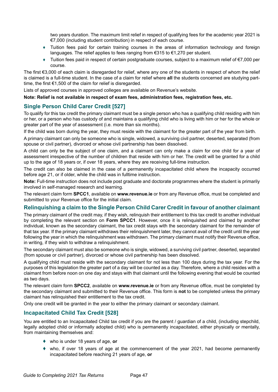two years duration. The maximum limit relief in respect of qualifying fees for the academic year 2021 is €7,000 (including student contribution) in respect of each course.

- ♦ Tuition fees paid for certain training courses in the areas of information technology and foreign languages. The relief applies to fees ranging from €315 to €1,270 per student.
- ♦ Tuition fees paid in respect of certain postgraduate courses, subject to a maximum relief of €7,000 per course.

The first €3,000 of each claim is disregarded for relief, where any one of the students in respect of whom the relief is claimed is a full-time student. In the case of a claim for relief where **all** the students concerned are studying parttime, the first €1,500 of the claim for relief is disregarded.

Lists of approved courses in approved colleges are available on Revenue's website.

**Note: Relief is not available in respect of exam fees, administration fees, registration fees, etc.**

### **Single Person Child Carer Credit [527]**

To qualify for this tax credit the primary claimant must be a single person who has a qualifying child residing with him or her, or a person who has custody of and maintains a qualifying child who is living with him or her for the whole or greater part of the year of assessment (i.e. more than six months).

If the child was born during the year, they must reside with the claimant for the greater part of the year from birth.

A primary claimant can only be someone who is single, widowed, a surviving civil partner, deserted, separated (from spouse or civil partner), divorced or whose civil partnership has been dissolved.

A child can only be the subject of one claim, and a claimant can only make a claim for one child for a year of assessment irrespective of the number of children that reside with him or her. The credit will be granted for a child up to the age of 18 years or, if over 18 years, where they are receiving full-time instruction.

The credit can also be claimed in the case of a permanently incapacitated child where the incapacity occurred before age 21, or if older, while the child was in fulltime instruction.

**Note:** Full-time instruction does not include post graduate and doctorate programmes where the student is primarily involved in self-managed research and learning.

The relevant claim form **SPCC1**, available on **www.revenue.ie** or from any Revenue office, must be completed and submitted to your Revenue office for the initial claim.

## **Relinquishing a claim to the Single Person Child Carer Credit in favour of another claimant**

The primary claimant of the credit may, if they wish, relinquish their entitlement to this tax credit to another individual by completing the relevant section on **Form SPCC1**. However, once it is relinquished and claimed by another individual, known as the secondary claimant, the tax credit stays with the secondary claimant for the remainder of that tax year. If the primary claimant withdraws their relinquishment later, they cannot avail of the credit until the year following the year in which the relinquishment was withdrawn. The primary claimant must notify their Revenue office, in writing, if they wish to withdraw a relinquishment.

The secondary claimant must also be someone who is single, widowed, a surviving civil partner, deserted, separated (from spouse or civil partner), divorced or whose civil partnership has been dissolved.

A qualifying child must reside with the secondary claimant for not less than 100 days during the tax year. For the purposes of this legislation the greater part of a day will be counted as a day. Therefore, where a child resides with a claimant from before noon on one day and stays with that claimant until the following evening that would be counted as two days.

The relevant claim form **SPCC2**, available on **www.revenue.ie** or from any Revenue office, must be completed by the secondary claimant and submitted to their Revenue office. This form is **not** to be completed unless the primary claimant has relinquished their entitlement to the tax credit.

Only one credit will be granted in the year to either the primary claimant or secondary claimant.

### **Incapacitated Child Tax Credit [528]**

You are entitled to an Incapacitated Child tax credit if you are the parent / guardian of a child, (including stepchild, legally adopted child or informally adopted child) who is permanently incapacitated, either physically or mentally, from maintaining themselves and:

- ♦ who is under 18 years of age, **or**
- who, if over 18 years of age at the commencement of the year 2021, had become permanently incapacitated before reaching 21 years of age, **or**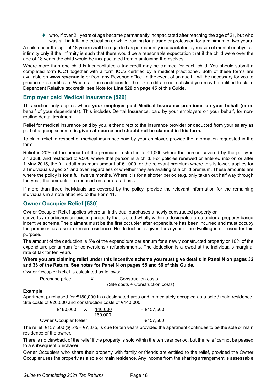$\bullet$  who, if over 21 years of age became permanently incapacitated after reaching the age of 21, but who was still in full-time education or while training for a trade or profession for a minimum of two years.

A child under the age of 18 years shall be regarded as permanently incapacitated by reason of mental or physical infirmity only if the infirmity is such that there would be a reasonable expectation that if the child were over the age of 18 years the child would be incapacitated from maintaining themselves.

Where more than one child is incapacitated a tax credit may be claimed for each child. You should submit a completed form ICC1 together with a form ICC2 certified by a medical practitioner. Both of these forms are available on **www.revenue.ie** or from any Revenue office. In the event of an audit it will be necessary for you to produce this certificate. Where all the conditions for the tax credit are not satisfied you may be entitled to claim Dependent Relative tax credit, see Note for **Line 520** on page 45 of this Guide.

## **Employer paid Medical Insurance [529]**

This section only applies where **your employer paid Medical Insurance premiums on your behalf** (or on behalf of your dependents). This includes Dental Insurance, paid by your employers on your behalf, for nonroutine dental treatment.

Relief for medical insurance paid by you, either direct to the insurance provider or deducted from your salary as part of a group scheme, **is given at source and should not be claimed in this form.**

To claim relief in respect of medical insurance paid by your employer, provide the information requested in the form.

Relief is 20% of the amount of the premium, restricted to  $\epsilon$ 1,000 where the person covered by the policy is an adult, and restricted to €500 where that person is a child. For policies renewed or entered into on or after 1 May 2015, the full adult maximum amount of €1,000, or the relevant premium where this is lower, applies for all individuals aged 21 and over, regardless of whether they are availing of a child premium. These amounts are where the policy is for a full twelve months. Where it is for a shorter period (e.g. only taken out half way through the year) the amounts are reduced on a pro rata basis.

If more than three individuals are covered by the policy, provide the relevant information for the remaining individuals in a note attached to the Form 11.

## **Owner Occupier Relief [530]**

Owner Occupier Relief applies where an individual purchases a newly constructed property or

converts / refurbishes an existing property that is sited wholly within a designated area under a property based incentive scheme.The claimant must be the first occupier after expenditure has been incurred and must occupy the premises as a sole or main residence. No deduction is given for a year if the dwelling is not used for this purpose.

The amount of the deduction is 5% of the expenditure per annum for a newly constructed property or 10% of the expenditure per annum for conversions / refurbishments. The deduction is allowed at the individual's marginal rate of tax for ten years.

**Where you are claiming relief under this incentive scheme you must give details in Panel N on pages 32 and 33 of the Return. See notes for Panel N on pages 55 and 56 of this Guide.**

Owner Occupier Relief is calculated as follows:

Purchase price  $X$  Construction costs (Site costs + Construction costs)

### **Example**:

Apartment purchased for €180,000 in a designated area and immediately occupied as a sole / main residence. Site costs of €20,000 and construction costs of €140,000.

| €180.000                     | 140.000 | $= €157.500$ |
|------------------------------|---------|--------------|
|                              | 160.000 |              |
| <b>Owner Occupier Relief</b> |         | €157.500     |

The relief,  $\epsilon$ 157,500 @ 5% =  $\epsilon$ 7,875, is due for ten years provided the apartment continues to be the sole or main residence of the owner.

There is no clawback of the relief if the property is sold within the ten year period, but the relief cannot be passed to a subsequent purchaser.

Owner Occupiers who share their property with family or friends are entitled to the relief, provided the Owner Occupier uses the property as a sole or main residence. Any income from the sharing arrangement is assessable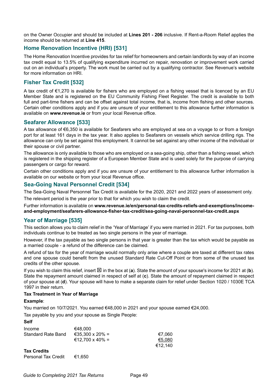on the Owner Occupier and should be included at **Lines 201 - 206** inclusive. If Rent-a-Room Relief applies the income should be returned at **Line 415**.

# **Home Renovation Incentive (HRI) [531]**

The Home Renovation Incentive provides for tax relief for homeowners and certain landlords by way of an income tax credit equal to 13.5% of qualifying expenditure incurred on repair, renovation or improvement work carried out on an individual's property. The work must be carried out by a qualifying contractor. See Revenue's website for more information on HRI.

# **Fisher Tax Credit [532]**

A tax credit of €1,270 is available for fishers who are employed on a fishing vessel that is licenced by an EU Member State and is registered on the EU Community Fishing Fleet Register. The credit is available to both full and part-time fishers and can be offset against total income, that is, income from fishing and other sources. Certain other conditions apply and if you are unsure of your entitlement to this allowance further information is available on **www.revenue.ie** or from your local Revenue office.

## **Seafarer Allowance [533]**

A tax allowance of €6,350 is available for Seafarers who are employed at sea on a voyage to or from a foreign port for at least 161 days in the tax year. It also applies to Seafarers on vessels which service drilling rigs. The allowance can only be set against this employment. It cannot be set against any other income of the individual or their spouse or civil partner.

The allowance is only available to those who are employed on a sea-going ship, other than a fishing vessel, which is registered in the shipping register of a European Member State and is used solely for the purpose of carrying passengers or cargo for reward.

Certain other conditions apply and if you are unsure of your entitlement to this allowance further information is available on our website or from your local Revenue office.

### **Sea-Going Naval Personnel Credit [534]**

The Sea-Going Naval Personnel Tax Credit is available for the 2020, 2021 and 2022 years of assessment only.

The relevant period is the year prior to that for which you wish to claim the credit.

Further information is available on **www.revenue.ie/en/personal-tax-credits-reliefs-and-exemptions/incomeand-employment/seafarers-allowance-fisher-tax-credit/sea-going-naval-personnel-tax-credit.aspx**

## **Year of Marriage [535]**

This section allows you to claim relief in the 'Year of Marriage' if you were married in 2021. For tax purposes, both individuals continue to be treated as two single persons in the year of marriage.

However, if the tax payable as two single persons in that year is greater than the tax which would be payable as a married couple - a refund of the difference can be claimed.

A refund of tax for the year of marriage would normally only arise where a couple are taxed at different tax rates and one spouse could benefit from the unused Standard Rate Cut-Off Point or from some of the unused tax credits of the other spouse.

If you wish to claim this relief, insert  $\boxtimes$  in the box at (a). State the amount of your spouse's income for 2021 at (b). State the repayment amount claimed in respect of self at (**c**). State the amount of repayment claimed in respect of your spouse at (**d**). Your spouse will have to make a separate claim for relief under Section 1020 / 1030E TCA 1997 in their return.

### **Tax Treatment in Year of Marriage**

### **Example**:

You married on 10/7/2021. You earned  $€48,000$  in 2021 and your spouse earned  $€24,000$ .

Tax payable by you and your spouse as Single People:

| <b>Self</b>                |                 |         |
|----------------------------|-----------------|---------|
| Income                     | €48.000         |         |
| <b>Standard Rate Band</b>  | €35,300 x 20% = | €7.060  |
|                            | €12,700 x 40% = | €5.080  |
|                            |                 | €12.140 |
| <b>Tax Credits</b>         |                 |         |
| <b>Personal Tax Credit</b> | €1.650          |         |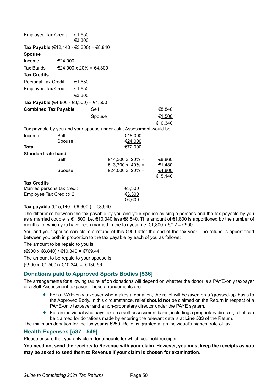| <b>Employee Tax Credit</b>                                          |         | €1,650                 |        |                          |         |         |
|---------------------------------------------------------------------|---------|------------------------|--------|--------------------------|---------|---------|
|                                                                     |         | €3,300                 |        |                          |         |         |
| Tax Payable (€12,140 - €3,300) = €8,840                             |         |                        |        |                          |         |         |
| <b>Spouse</b>                                                       |         |                        |        |                          |         |         |
| Income                                                              | €24,000 |                        |        |                          |         |         |
| Tax Bands                                                           |         | €24,000 x 20% = €4,800 |        |                          |         |         |
| <b>Tax Credits</b>                                                  |         |                        |        |                          |         |         |
| <b>Personal Tax Credit</b>                                          |         | €1,650                 |        |                          |         |         |
| <b>Employee Tax Credit</b>                                          |         | €1,650                 |        |                          |         |         |
|                                                                     |         | €3,300                 |        |                          |         |         |
| Tax Payable (€4,800 - €3,300) = €1,500                              |         |                        |        |                          |         |         |
| <b>Combined Tax Payable</b>                                         |         |                        | Self   |                          |         | €8,840  |
|                                                                     |         |                        | Spouse |                          |         | €1,500  |
|                                                                     |         |                        |        |                          |         | €10,340 |
| Tax payable by you and your spouse under Joint Assessment would be: |         |                        |        |                          |         |         |
| Income                                                              | Self    |                        |        |                          | €48,000 |         |
|                                                                     | Spouse  |                        |        |                          | €24,000 |         |
| Total                                                               |         |                        |        |                          | €72,000 |         |
| <b>Standard rate band</b>                                           |         |                        |        |                          |         |         |
|                                                                     | Self    |                        |        | €44,300 x 20% =          |         | €8,860  |
|                                                                     |         |                        |        | $\epsilon$ 3,700 x 40% = |         | €1,480  |
|                                                                     | Spouse  |                        |        | €24,000 x 20% =          |         | €4,800  |
|                                                                     |         |                        |        |                          |         | €15,140 |
| <b>Tax Credits</b>                                                  |         |                        |        |                          | €3,300  |         |
| Married persons tax credit<br>Employee Tax Credit x 2               |         |                        |        | €3,300                   |         |         |
|                                                                     |         |                        |        |                          | €6,600  |         |

### **Tax payable** (€15,140 - €6,600) = €8,540

The difference between the tax payable by you and your spouse as single persons and the tax payable by you as a married couple is €1,800, i.e. €10,340 less €8,540. This amount of €1,800 is apportioned by the number of months for which you have been married in the tax year, i.e.  $\epsilon$ 1,800 x 6/12 =  $\epsilon$ 900.

You and your spouse can claim a refund of this €900 after the end of the tax year. The refund is apportioned between you both in proportion to the tax payable by each of you as follows:

The amount to be repaid to you is:

(€900 x €8,840) / €10,340 = €769.44

The amount to be repaid to your spouse is:

(€900 x €1,500) / €10,340 = €130.56

### **Donations paid to Approved Sports Bodies [536]**

The arrangements for allowing tax relief on donations will depend on whether the donor is a PAYE-only taxpayer or a Self-Assessment taxpayer. These arrangements are:

- ♦ For a PAYE-only taxpayer who makes a donation, the relief will be given on a 'grossed-up' basis to the Approved Body. In this circumstance, relief **should not** be claimed on the Return in respect of a PAYE-only taxpayer and a non-proprietary director under the PAYE system,
- ♦ For an individual who pays tax on a self-assessment basis, including a proprietary director, relief can be claimed for donations made by entering the relevant details at **Line 533** of the Return.

The minimum donation for the tax year is  $\epsilon$ 250. Relief is granted at an individual's highest rate of tax.

### **Health Expenses [537 - 549]**

Please ensure that you only claim for amounts for which you hold receipts.

**You need not send the receipts to Revenue with your claim. However, you must keep the receipts as you may be asked to send them to Revenue if your claim is chosen for examination**.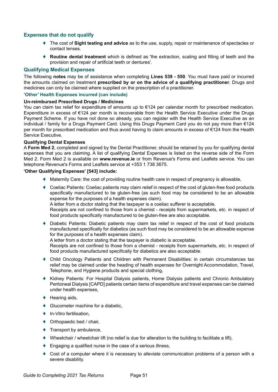## **Expenses that do not qualify**

- ♦ The cost of **Sight testing and advice** as to the use, supply, repair or maintenance of spectacles or contact lenses.
- **Routine dental treatment** which is defined as 'the extraction, scaling and filling of teeth and the provision and repair of artificial teeth or dentures'.

### **Qualifying Medical Expenses**

The following **notes** may be of assistance when completing **Lines 539 - 550**. You must have paid or incurred the amounts claimed on treatment **prescribed by or on the advice of a qualifying practitioner**. Drugs and medicines can only be claimed where supplied on the prescription of a practitioner.

### **'Other' Health Expenses incurred (can include)**

#### **Un-reimbursed Prescribed Drugs / Medicines**

You can claim tax relief for expenditure of amounts up to €124 per calendar month for prescribed medication. Expenditure in excess of €124 per month is recoverable from the Health Service Executive under the Drugs Payment Scheme. If you have not done so already, you can register with the Health Service Executive as an individual / family for a Drugs Payment Card. Using this Drugs Payment Card you do not pay more than €124 per month for prescribed medication and thus avoid having to claim amounts in excess of €124 from the Health Service Executive.

#### **Qualifying Dental Expenses**

A **Form Med 2**, completed and signed by the Dental Practitioner, should be retained by you for qualifying dental expenses that you are claiming. A list of qualifying Dental Expenses is listed on the reverse side of the Form Med 2. Form Med 2 is available on **[www.revenue.ie](https://www.revenue.ie/en/Home.aspx)** or from Revenue's Forms and Leaflets service. You can telephone Revenue's Forms and Leaflets service at +353 1 738 3675.

#### **'Other Qualifying Expenses' [543] include:**

- ♦ Maternity Care: the cost of providing routine health care in respect of pregnancy is allowable,
- ♦ Coeliac Patients: Coeliac patients may claim relief in respect of the cost of gluten-free food products specifically manufactured to be gluten-free (as such food may be considered to be an allowable expense for the purposes of a health expenses claim).

A letter from a doctor stating that the taxpayer is a coeliac sufferer is acceptable.

Receipts are not confined to those from a chemist - receipts from supermarkets, etc. in respect of food products specifically manufactured to be gluten-free are also acceptable.

Diabetic Patients: Diabetic patients may claim tax relief in respect of the cost of food products manufactured specifically for diabetics (as such food may be considered to be an allowable expense for the purposes of a health expenses claim).

A letter from a doctor stating that the taxpayer is diabetic is acceptable.

Receipts are not confined to those from a chemist - receipts from supermarkets, etc. in respect of food products manufactured specifically for diabetics are also acceptable.

- ♦ Child Oncology Patients and Children with Permanent Disabilities: in certain circumstances tax relief may be claimed under the heading of health expenses for Overnight Accommodation, Travel, Telephone, and Hygiene products and special clothing,
- ♦ Kidney Patients: For Hospital Dialysis patients, Home Dialysis patients and Chronic Ambulatory Peritoneal Dialysis [CAPD] patients certain items of expenditure and travel expenses can be claimed under health expenses,
- $\blacklozenge$  Hearing aids,
- ♦ Glucometer machine for a diabetic,
- ♦ In-Vitro fertilisation,
- $\blacklozenge$  Orthopaedic bed / chair,
- $\blacklozenge$  Transport by ambulance,
- ♦ Wheelchair / wheelchair lift (no relief is due for alteration to the building to facilitate a lift),
- $\blacklozenge$  Engaging a qualified nurse in the case of a serious illness,
- Cost of a computer where it is necessary to alleviate communication problems of a person with a severe disability.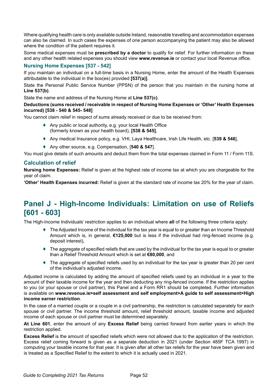Where qualifying health care is only available outside Ireland, reasonable travelling and accommodation expenses can also be claimed. In such cases the expenses of one person accompanying the patient may also be allowed where the condition of the patient requires it.

Some medical expenses must be **prescribed by a doctor** to qualify for relief. For further information on these and any other health related expenses you should view **www.revenue.ie** or contact your local Revenue office.

### **Nursing Home Expenses [537 - 542]**

If you maintain an individual on a full-time basis in a Nursing Home, enter the amount of the Health Expenses attributable to the individual in the box(es) provided **[537(a)]**.

State the Personal Public Service Number (PPSN) of the person that you maintain in the nursing home at **Line 537(b)**.

State the name and address of the Nursing Home at **Line 537(c)**.

### **Deductions (sums received / receivable in respect of Nursing Home Expenses or 'Other' Health Expenses incurred) [538 - 540 & 545- 548]**

You cannot claim relief in respect of sums already received or due to be received from:

- ♦ Any public or local authority, e.g. your local Health Office (formerly known as your health board), **[538 & 545]**,
- ♦ Any medical Insurance policy, e.g. VHI, Laya Healthcare, Irish Life Health, etc. [**539 & 546**],
- ♦ Any other source, e.g. Compensation, [**540 & 547**].

You must give details of such amounts and deduct them from the total expenses claimed in Form 11 / Form 11S.

### **Calculation of relief**

**Nursing home Expenses:** Relief is given at the highest rate of income tax at which you are chargeable for the year of claim.

**'Other' Health Expenses incurred:** Relief is given at the standard rate of income tax 20% for the year of claim.

# **Panel J - High-Income Individuals: Limitation on use of Reliefs [601 - 603]**

The High-Income Individuals' restriction applies to an individual where **all** of the following three criteria apply:

- ♦ The Adjusted Income of the individual for the tax year is equal to or greater than an Income Threshold Amount which is, in general, **€125,000** but is less if the individual had ring-fenced income (e.g. deposit interest),
- ♦ The aggregate of specified reliefs that are used by the individual for the tax year is equal to or greater than a Relief Threshold Amount which is set at **€80,000**, and
- ♦ The aggregate of specified reliefs used by an individual for the tax year is greater than 20 per cent of the individual's adjusted income.

Adjusted income is calculated by adding the amount of specified reliefs used by an individual in a year to the amount of their taxable income for the year and then deducting any ring-fenced income. If the restriction applies to you (or your spouse or civil partner), this Panel and a Form RR1 should be completed. Further information is available on **[www.revenue.ie>self assessment and self employment>A guide to self assessment>High](http://www.revenue.ie>self assessment and self employment>A guide to self assessment>High income earner restriction) [income earner restriction](http://www.revenue.ie>self assessment and self employment>A guide to self assessment>High income earner restriction)**.

In the case of a married couple or a couple in a civil partnership, the restriction is calculated separately for each spouse or civil partner. The income threshold amount, relief threshold amount, taxable income and adjusted income of each spouse or civil partner must be determined separately.

**At Line 601**, enter the amount of any **Excess Relief** being carried forward from earlier years in which the restriction applied.

**Excess Relief** is the amount of specified reliefs which were not allowed due to the application of the restriction. Excess relief coming forward is given as a separate deduction in 2021 (under Section 485F TCA 1997) in computing your taxable income for that year. It is given after all other tax reliefs for the year have been given and is treated as a Specified Relief to the extent to which it is actually used in 2021.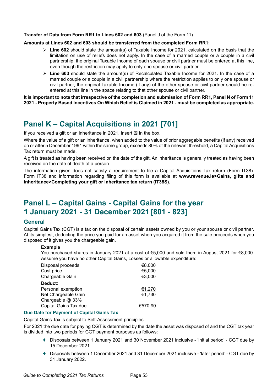#### **Transfer of Data from Form RR1 to Lines 602 and 603** (Panel J of the Form 11)

#### **Amounts at Lines 602 and 603 should be transferred from the completed Form RR1:**

- $\triangleright$  Line 602 should state the amount(s) of Taxable Income for 2021, calculated on the basis that the limitation on use of reliefs does not apply. In the case of a married couple or a couple in a civil partnership, the original Taxable Income of each spouse or civil partner must be entered at this line, even though the restriction may apply to only one spouse or civil partner.
- **Line 603** should state the amount(s) of Recalculated Taxable Income for 2021. In the case of a married couple or a couple in a civil partnership where the restriction applies to only one spouse or civil partner, the original Taxable Income (if any) of the other spouse or civil partner should be reentered at this line in the space relating to that other spouse or civil partner.

**It is important to note that irrespective of the completion and submission of Form RR1, Panel N of Form 11 2021 - Property Based Incentives On Which Relief is Claimed in 2021 - must be completed as appropriate.**

# **Panel K – Capital Acquisitions in 2021 [701]**

If you received a gift or an inheritance in 2021, insert  $\boxtimes$  in the box.

Where the value of a gift or an inheritance, when added to the value of prior aggregable benefits (if any) received on or after 5 December 1991 within the same group, exceeds 80% of the relevant threshold, a Capital Acquisitions Tax return must be made.

A gift is treated as having been received on the date of the gift. An inheritance is generally treated as having been received on the date of death of a person.

The information given does not satisfy a requirement to file a Capital Acquisitions Tax return (Form IT38). Form IT38 and information regarding filing of this form is available at **[www.revenue.ie>Gains, gifts and](https://www.revenue.ie/en/gains-gifts-and-inheritance/completing-your-gift-or-inheritance-tax-return-it38/index.aspx) [inheritance>Completing your gift or inheritance tax return \(IT38S\)](https://www.revenue.ie/en/gains-gifts-and-inheritance/completing-your-gift-or-inheritance-tax-return-it38/index.aspx)**.

# **Panel L – Capital Gains - Capital Gains for the year 1 January 2021 - 31 December 2021 [801 - 823]**

### **General**

Capital Gains Tax (CGT) is a tax on the disposal of certain assets owned by you or your spouse or civil partner. At its simplest, deducting the price you paid for an asset when you acquired it from the sale proceeds when you disposed of it gives you the chargeable gain.

### **Example**

You purchased shares in January 2021 at a cost of €5,000 and sold them in August 2021 for €8,000. Assume you have no other Capital Gains, Losses or allowable expenditure:

| Disposal proceeds<br>Cost price<br>Chargeable Gain | €8,000<br>€5,000<br>€3,000 |
|----------------------------------------------------|----------------------------|
| Deduct:                                            |                            |
| Personal exemption                                 | €1,270                     |
| Net Chargeable Gain                                | €1,730                     |
| Chargeable @ 33%                                   |                            |
| Capital Gains Tax due                              | €570.90                    |

### **Due Date for Payment of Capital Gains Tax**

Capital Gains Tax is subject to Self-Assessment principles.

For 2021 the due date for paying CGT is determined by the date the asset was disposed of and the CGT tax year is divided into two periods for CGT payment purposes as follows:

- ♦ Disposals between 1 January 2021 and 30 November 2021 inclusive 'initial period' CGT due by 15 December 2021
- ♦ Disposals between 1 December 2021 and 31 December 2021 inclusive 'later period' CGT due by 31 January 2022.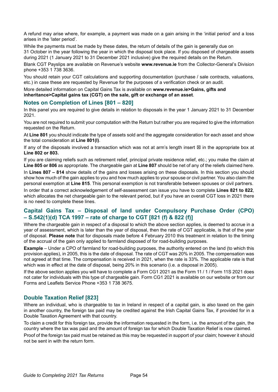A refund may arise where, for example, a payment was made on a gain arising in the 'initial period' and a loss arises in the 'later period'.

While the payments must be made by these dates, the return of details of the gain is generally due on 31 October in the year following the year in which the disposal took place. If you disposed of chargeable assets during 2021 (1 January 2021 to 31 December 2021 inclusive) give the required details on the Return.

Blank CGT Payslips are available on Revenue's website **www.revenue.ie** from the Collector-General's Division phone +353 1 738 3636.

You should retain your CGT calculations and supporting documentation (purchase / sale contracts, valuations, etc.) in case these are requested by Revenue for the purposes of a verification check or an audit.

More detailed information on Capital Gains Tax is available on **[www.revenue.ie>Gains, gifts and](https://www.revenue.ie/en/gains-gifts-and-inheritance/transfering-an-asset/index.aspx)  [inheritance>Capital gains tax \(CGT\)](https://www.revenue.ie/en/gains-gifts-and-inheritance/transfering-an-asset/index.aspx) on the sale, gift or exchange of an asset**.

### **Notes on Completion of Lines [801 – 820]**

In this panel you are required to give details in relation to disposals in the year 1 January 2021 to 31 December 2021.

You are not required to submit your computation with the Return but rather you are required to give the information requested on the Return.

At **Line 801** you should indicate the type of assets sold and the aggregate consideration for each asset and show the total consideration at **Line 801(l)**.

If any of the disposals involved a transaction which was not at arm's length insert  $\boxtimes$  in the appropriate box at **Line 802 or 803.**

If you are claiming reliefs such as retirement relief, principal private residence relief, etc.; you make the claim at **Line 805 or 806** as appropriate. The chargeable gain at **Line 807** should be net of any of the reliefs claimed here. In **Lines 807 – 814** show details of the gains and losses arising on these disposals. In this section you should show how much of the gain applies to you and how much applies to your spouse or civil partner. You also claim the personal exemption at **Line 815**. This personal exemption is not transferable between spouses or civil partners.

In order that a correct acknowledgement of self-assessment can issue you have to complete **Lines 821 to 822**, which allocates the net chargeable gain to the relevant period, but if you have an overall CGT loss in 2021 there is no need to complete these lines.

# **Capital Gains Tax – Disposal of land under Compulsory Purchase Order (CPO) – S.542(1)(d) TCA 1997 – rate of charge to CGT [821 (f) & 822 (f)]**

Where the chargeable gain in respect of a disposal to which the above section applies, is deemed to accrue in a year of assessment, which is later than the year of disposal, then the rate of CGT applicable, is that of the year of disposal. **Please note** that for disposals made before 4 February 2010 this treatment in relation to the timing of the accrual of the gain only applied to farmland disposed of for road-building purposes.

**Example** – Under a CPO of farmland for road-building purposes, the authority entered on the land (to which this provision applies), in 2005, this is the date of disposal. The rate of CGT was 20% in 2005. The compensation was not agreed at that time. The compensation is received in 2021, when the rate is 33%. The applicable rate is that which was in effect at the date of disposal, being 20% in this scenario (i.e. a disposal in 2005).

If the above section applies you will have to complete a Form CG1 2021 as the Form 11 / 1 / Form 11S 2021 does not cater for individuals with this type of chargeable gain. Form CG1 2021 is available on our website or from our Forms and Leaflets Service Phone +353 1 738 3675.

## **Double Taxation Relief [823]**

Where an individual, who is chargeable to tax in Ireland in respect of a capital gain, is also taxed on the gain in another country, the foreign tax paid may be credited against the Irish Capital Gains Tax, if provided for in a Double Taxation Agreement with that country.

To claim a credit for this foreign tax, provide the information requested in the form, i.e. the amount of the gain, the country where the tax was paid and the amount of foreign tax for which Double Taxation Relief is now claimed.

Proof of the foreign tax paid must be retained as this may be requested in support of your claim; however it should not be sent in with the return form.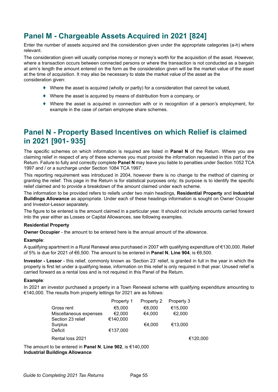# **Panel M - Chargeable Assets Acquired in 2021 [824]**

Enter the number of assets acquired and the consideration given under the appropriate categories (a-h) where relevant.

The consideration given will usually comprise money or money's worth for the acquisition of the asset. However, where a transaction occurs between connected persons or where the transaction is not conducted as a bargain at arm's length the amount entered on the form as the consideration given will be the market value of the asset at the time of acquisition. It may also be necessary to state the market value of the asset as the consideration given:

- $\blacklozenge$  Where the asset is acquired (wholly or partly) for a consideration that cannot be valued,
- $\blacklozenge$  Where the asset is acquired by means of distribution from a company, or
- ♦ Where the asset is acquired in connection with or in recognition of a person's employment, for example in the case of certain employee share schemes.

# **Panel N - Property Based Incentives on which Relief is claimed in 2021 [901- 935]**

The specific schemes on which information is required are listed in **Panel N** of the Return. Where you are claiming relief in respect of any of these schemes you must provide the information requested in this part of the Return. Failure to fully and correctly complete **Panel N** may leave you liable to penalties under Section 1052 TCA 1997 and / or a surcharge under Section 1084 TCA 1997.

This reporting requirement was introduced in 2004, however there is no change to the method of claiming or granting the relief. This page in the Return is for statistical purposes only; its purpose is to identify the specific relief claimed and to provide a breakdown of the amount claimed under each scheme.

The information to be provided refers to reliefs under two main headings, **Residential Property** and **Industrial Buildings Allowance** as appropriate. Under each of these headings information is sought on Owner Occupier and Investor-Lessor separately.

The figure to be entered is the amount claimed in a particular year. It should not include amounts carried forward into the year either as Losses or Capital Allowances, see following examples.

### **Residential Property**

**Owner Occupier** - the amount to be entered here is the annual amount of the allowance.

#### **Example**:

A qualifying apartment in a Rural Renewal area purchased in 2007 with qualifying expenditure of €130,000. Relief of 5% is due for 2021 of €6,500. The amount to be entered in **Panel N**, **Line 904**, is €6,500.

**Investor - Lessor** - this relief, commonly known as 'Section 23' relief, is granted in full in the year in which the property is first let under a qualifying lease, information on this relief is only required in that year. Unused relief is carried forward as a rental loss and is not required in this Panel of the Return.

#### **Example**:

In 2021 an investor purchased a property in a Town Renewal scheme with qualifying expenditure amounting to €140,000. The results from property lettings for 2021 are as follows:

|                                                                      | Property 1 | Property 2 | Property 3 |          |
|----------------------------------------------------------------------|------------|------------|------------|----------|
| Gross rent                                                           | €5,000     | €8.000     | €15,000    |          |
| Miscellaneous expenses                                               | €2,000     | €4,000     | €2,000     |          |
| Section 23 relief                                                    | €140,000   |            |            |          |
| Surplus                                                              |            | €4,000     | €13,000    |          |
| Deficit                                                              | €137.000   |            |            |          |
| Rental loss 2021                                                     |            |            |            | €120,000 |
| The amount to be entered in Panel N, Line 902, is $\epsilon$ 140,000 |            |            |            |          |

**Industrial Buildings Allowance**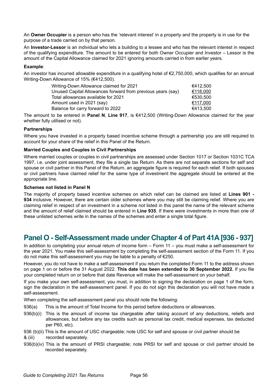An **Owner Occupier** is a person who has the 'relevant interest' in a property and the property is in use for the purpose of a trade carried on by that person.

An **Investor-Lessor** is an individual who lets a building to a lessee and who has the relevant interest in respect of the qualifying expenditure. The amount to be entered for both Owner Occupier and Investor – Lessor is the amount of the Capital Allowance claimed for 2021 ignoring amounts carried in from earlier years.

### **Example**:

An investor has incurred allowable expenditure in a qualifying hotel of €2,750,000, which qualifies for an annual Writing-Down Allowance of 15% (€412,500).

| Writing-Down Allowance claimed for 2021                     | €412.500 |
|-------------------------------------------------------------|----------|
| Unused Capital Allowances forward from previous years (say) | €118,000 |
| Total allowances available for 2021                         | €530.500 |
| Amount used in 2021 (say)                                   | €117.000 |
| Balance for carry forward to 2022                           | €413,500 |
|                                                             |          |

The amount to be entered in **Panel N**, **Line 917**, is €412,500 (Writing-Down Allowance claimed for the year whether fully utilised or not).

### **Partnerships**

Where you have invested in a property based incentive scheme through a partnership you are still required to account for your share of the relief in this Panel of the Return.

### **Married Couples and Couples in Civil Partnerships**

Where married couples or couples in civil partnerships are assessed under Section 1017 or Section 1031C TCA 1997, i.e. under joint assessment, they file a single tax Return. As there are not separate sections for self and spouse or civil partner in this Panel of the Return, an aggregate figure is required for each relief. If both spouses or civil partners have claimed relief for the same type of investment the aggregate should be entered at the appropriate line.

### **Schemes not listed in Panel N**

The majority of property based incentive schemes on which relief can be claimed are listed at **Lines 901 - 934** inclusive. However, there are certain older schemes where you may still be claiming relief. Where you are claiming relief in respect of an investment in a scheme not listed in this panel the name of the relevant scheme and the amount of relief claimed should be entered in **Line 935**. If there were investments in more than one of these unlisted schemes write in the names of the schemes and enter a single total figure.

# **Panel O - Self-Assessment made under Chapter 4 of Part 41A [936 - 937]**

In addition to completing your annual return of income form – Form 11 – you must make a self-assessment for the year 2021. You make this self-assessment by completing the self-assessment section of the Form 11. If you do not make this self-assessment you may be liable to a penalty of €250.

However, you do not have to make a self-assessment if you return the completed Form 11 to the address shown on page 1 on or before the 31 August 2022. **This date has been extended to 30 September 2022.** If you file your completed return on or before that date Revenue will make the self-assessment on your behalf.

If you make your own self-assessment, you must, in addition to signing the declaration on page 1 of the form, sign the declaration in the self-assessment panel. If you do not sign this declaration you will not have made a self-assessment.

When completing the self-assessment panel you should note the following:

- 936(a) This is the amount of Total Income for this period before deductions or allowances.
- 936(b)(i) This is the amount of income tax chargeable after taking account of any deductions, reliefs and allowances, but before any tax credits such as personal tax credit, medical expenses, tax deducted per P60, etc).
- 936 (b)(ii) This is the amount of USC chargeable; note USC for self and spouse or civil partner should be
- & (iii) recorded separately.
- 936(b)(iv) This is the amount of PRSI chargeable; note PRSI for self and spouse or civil partner should be recorded separately.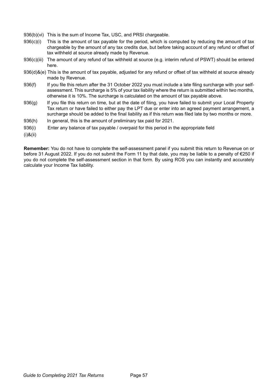- 936(b)(vi) This is the sum of Income Tax, USC, and PRSI chargeable.
- 936(c)(i) This is the amount of tax payable for the period, which is computed by reducing the amount of tax chargeable by the amount of any tax credits due, but before taking account of any refund or offset of tax withheld at source already made by Revenue.
- 936(c)(iii) The amount of any refund of tax withheld at source (e.g. interim refund of PSWT) should be entered here.
- 936(d)&(e) This is the amount of tax payable, adjusted for any refund or offset of tax withheld at source already made by Revenue.
- 936(f) If you file this return after the 31 October 2022 you must include a late filing surcharge with your selfassessment. This surcharge is 5% of your tax liability where the return is submitted within two months, otherwise it is 10%. The surcharge is calculated on the amount of tax payable above.
- 936(g) If you file this return on time, but at the date of filing, you have failed to submit your Local Property Tax return or have failed to either pay the LPT due or enter into an agreed payment arrangement, a surcharge should be added to the final liability as if this return was filed late by two months or more.
- 936(h) In general, this is the amount of preliminary tax paid for 2021.
- 936(i) Enter any balance of tax payable / overpaid for this period in the appropriate field
- (i)&(ii)

**Remember:** You do not have to complete the self-assessment panel if you submit this return to Revenue on or before 31 August 2022. If you do not submit the Form 11 by that date, you may be liable to a penalty of €250 if you do not complete the self-assessment section in that form. By using ROS you can instantly and accurately calculate your Income Tax liability.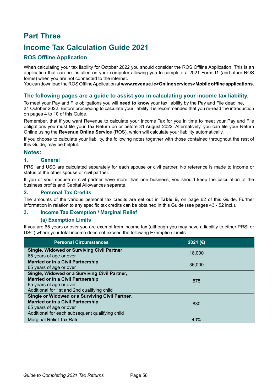# **Part Three**

# **Income Tax Calculation Guide 2021**

# **ROS Offline Application**

When calculating your tax liability for October 2022 you should consider the ROS Offline Application. This is an application that can be installed on your computer allowing you to complete a 2021 Form 11 (and other ROS forms) when you are not connected to the internet.

You can download the ROS Offline Application at **www.revenue.ie>Online services>Mobile offline applications**.

## **The following pages are a guide to assist you in calculating your income tax liability.**

To meet your Pay and File obligations you will **need to know** your tax liability by the Pay and File deadline, 31 October 2022. Before proceeding to calculate your liability it is recommended that you re-read the introduction on pages 4 to 10 of this Guide.

Remember, that if you want Revenue to calculate your Income Tax for you in time to meet your Pay and File obligations you must file your Tax Return on or before 31 August 2022. Alternatively, you can file your Return Online using the **Revenue Online Service** (ROS), which will calculate your liability automatically.

If you choose to calculate your liability, the following notes together with those contained throughout the rest of this Guide, may be helpful.

### **Notes:**

### **1. General**

PRSI and USC are calculated separately for each spouse or civil partner. No reference is made to income or status of the other spouse or civil partner.

If you or your spouse or civil partner have more than one business, you should keep the calculation of the business profits and Capital Allowances separate.

### **2. Personal Tax Credits**

The amounts of the various personal tax credits are set out in **Table B**, on page 62 of this Guide. Further information in relation to any specific tax credits can be obtained in this Guide (see pages 43 - 52 incl.).

### **3. Income Tax Exemption / Marginal Relief**

### **(a) Exemption Limits**

If you are 65 years or over you are exempt from income tax (although you may have a liability to either PRSI or USC) where your total income does not exceed the following Exemption Limits:

| <b>Personal Circumstances</b>                                                                                                                                             | 2021 (€) |
|---------------------------------------------------------------------------------------------------------------------------------------------------------------------------|----------|
| <b>Single, Widowed or Surviving Civil Partner</b><br>65 years of age or over                                                                                              | 18,000   |
| <b>Married or in a Civil Partnership</b><br>65 years of age or over                                                                                                       | 36,000   |
| Single, Widowed or a Surviving Civil Partner,<br><b>Married or in a Civil Partnership</b><br>65 years of age or over<br>Additional for 1st and 2nd qualifying child       | 575      |
| Single or Widowed or a Surviving Civil Partner,<br><b>Married or in a Civil Partnership</b><br>65 years of age or over<br>Additional for each subsequent qualifying child | 830      |
| <b>Marginal Relief Tax Rate</b>                                                                                                                                           | 40%      |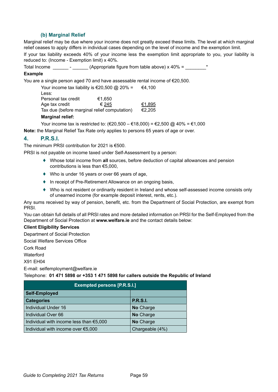## **(b) Marginal Relief**

Marginal relief may be due where your income does not greatly exceed these limits. The level at which marginal relief ceases to apply differs in individual cases depending on the level of income and the exemption limit.

If your tax liability exceeds 40% of your income less the exemption limit appropriate to you, your liability is reduced to: (Income - Exemption limit) x 40%.

Total Income  $\frac{1}{\sqrt{2\pi}}$  -  $\frac{1}{\sqrt{2\pi}}$  (Appropriate figure from table above) x 40% =

### **Example**

You are a single person aged 70 and have assessable rental income of €20,500.

Your income tax liability is  $\text{\large\ensuremath{\in}} 20,500$  @ 20% =  $\text{\large\ensuremath{\in}} 4,100$ Less: Personal tax credit  $\epsilon$ 1,650 Age tax credit  $\epsilon$   $\leq$  245  $\epsilon$ 1,895<br>Tax due (before marginal relief computation)  $\epsilon$ 2.205 Tax due (before marginal relief computation)

#### **Marginal relief:**

Your income tax is restricted to: (€20,500 – €18,000) = €2,500 @ 40% = €1,000

**Note:** the Marginal Relief Tax Rate only applies to persons 65 years of age or over.

## **4. P.R.S.I.**

The minimum PRSI contribution for 2021 is €500.

PRSI is not payable on income taxed under Self-Assessment by a person:

- ♦ Whose total income from **all** sources, before deduction of capital allowances and pension contributions is less than €5,000,
- ♦ Who is under 16 years or over 66 years of age,
- ♦ In receipt of Pre-Retirement Allowance on an ongoing basis,
- ♦ Who is not resident or ordinarily resident in Ireland and whose self-assessed income consists only of unearned income (for example deposit interest, rents, etc.).

Any sums received by way of pension, benefit, etc. from the Department of Social Protection, are exempt from PRSI.

You can obtain full details of all PRSI rates and more detailed information on PRSI for the Self-Employed from the Department of Social Protection at **www.welfare.ie** and the contact details below:

### **Client Eligibility Services**

Department of Social Protection

Social Welfare Services Office

Cork Road

**Waterford** 

X91 EH04

E-mail: selfemployment@welfare.ie

### Telephone: **01 471 5898 or +353 1 471 5898 for callers outside the Republic of Ireland**

| <b>Exempted persons [P.R.S.I.]</b>      |                 |
|-----------------------------------------|-----------------|
| Self-Employed                           |                 |
| <b>Categories</b>                       | <b>P.R.S.I.</b> |
| Individual Under 16                     | No Charge       |
| Individual Over 66                      | No Charge       |
| Individual with income less than €5,000 | No Charge       |
| Individual with income over €5,000      | Chargeable (4%) |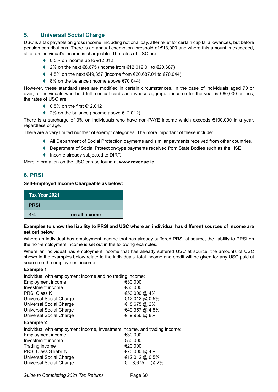# **5. Universal Social Charge**

USC is a tax payable on gross income, including notional pay, after relief for certain capital allowances, but before pension contributions. There is an annual exemption threshold of €13,000 and where this amount is exceeded, all of an individual's income is chargeable. The rates of USC are:

- $\bullet$  0.5% on income up to  $\text{\textsterling}12,012$
- ♦ 2% on the next  $€8,675$  (income from  $€12,012.01$  to  $€20,687)$
- $\div$  4.5% on the next €49,357 (income from €20,687.01 to €70,044)
- ♦ 8% on the balance (income above €70,044)

However, these standard rates are modified in certain circumstances. In the case of individuals aged 70 or over, or individuals who hold full medical cards and whose aggregate income for the year is €60,000 or less, the rates of USC are:

- $\bullet$  0.5% on the first  $\text{\textsterling}12,012$
- ♦ 2% on the balance (income above €12,012)

There is a surcharge of 3% on individuals who have non-PAYE income which exceeds €100,000 in a year, regardless of age.

There are a very limited number of exempt categories. The more important of these include:

- ♦ All Department of Social Protection payments and similar payments received from other countries,
- ♦ Department of Social Protection-type payments received from State Bodies such as the HSE,
- ♦ Income already subjected to DIRT.

More information on the USC can be found at **www.revenue.ie**

# **6. PRSI**

### **Self-Employed Income Chargeable as below:**

| Tax Year 2021 |               |
|---------------|---------------|
| <b>PRSI</b>   |               |
| 4%            | on all income |

### **Examples to show the liability to PRSI and USC where an individual has different sources of income are set out below.**

Where an individual has employment income that has already suffered PRSI at source, the liability to PRSI on the non-employment income is set out in the following examples.

Where an individual has employment income that has already suffered USC at source, the amounts of USC shown in the examples below relate to the individuals' total income and credit will be given for any USC paid at source on the employment income.

### **Example 1**

Individual with employment income and no trading income:

| <b>Employment income</b>       | €30,000        |
|--------------------------------|----------------|
| Investment income              | €50,000        |
| <b>PRSI Class K</b>            | €50,000 @ 4%   |
| <b>Universal Social Charge</b> | €12,012 @ 0.5% |
| Universal Social Charge        | € 8,675 @ 2%   |
| <b>Universal Social Charge</b> | €49,357 @ 4.5% |
| <b>Universal Social Charge</b> | € 9,956 @ 8%   |
| Evample 2                      |                |

#### **Example 2**

Individual with employment income, investment income, and trading income: Employment income<br>Investment income <del>€30,000</del> Investment income Trading income  $\epsilon$ 20,000 PRSI Class S liability **€70,000 @ 4%** Universal Social Charge **€12,012** @ 0.5% Universal Social Charge **€** 8,675 @ 2%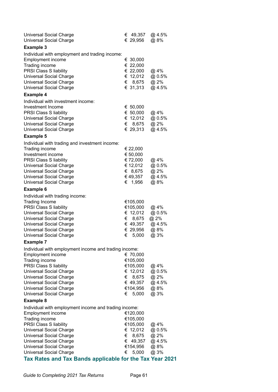| <b>Universal Social Charge</b><br><b>Universal Social Charge</b>                                                                                                                                                                                                                                                                                                           |             | € 49,357<br>€ 29,956                                                                   | @ 4.5%<br>@ 8%                                   |
|----------------------------------------------------------------------------------------------------------------------------------------------------------------------------------------------------------------------------------------------------------------------------------------------------------------------------------------------------------------------------|-------------|----------------------------------------------------------------------------------------|--------------------------------------------------|
| <b>Example 3</b>                                                                                                                                                                                                                                                                                                                                                           |             |                                                                                        |                                                  |
| Individual with employment and trading income:<br>Employment income<br>Trading income<br><b>PRSI Class S liability</b><br><b>Universal Social Charge</b><br><b>Universal Social Charge</b><br><b>Universal Social Charge</b><br><b>Example 4</b>                                                                                                                           |             | € 30,000<br>€ 22,000<br>€ 22,000<br>€ 12,012<br>€ 8,675<br>€ 31,313                    | @ 4%<br>@ 0.5%<br>@ 2%<br>@ 4.5%                 |
| Individual with investment income:                                                                                                                                                                                                                                                                                                                                         |             |                                                                                        |                                                  |
| Investment Income<br><b>PRSI Class S liability</b><br><b>Universal Social Charge</b><br><b>Universal Social Charge</b><br><b>Universal Social Charge</b>                                                                                                                                                                                                                   | €           | € 50,000<br>€ $50,000$<br>€ 12,012<br>8,675<br>€ 29,313                                | @ 4%<br>@ 0.5%<br>@ 2%<br>@ 4.5%                 |
| <b>Example 5</b>                                                                                                                                                                                                                                                                                                                                                           |             |                                                                                        |                                                  |
| Individual with trading and investment income:<br>Trading income<br>Investment income<br><b>PRSI Class S liability</b><br><b>Universal Social Charge</b><br><b>Universal Social Charge</b><br><b>Universal Social Charge</b><br><b>Universal Social Charge</b>                                                                                                             | €           | € 22,000<br>€ 50,000<br>€ 72,000<br>€ 12,012<br>€ 8,675<br>€ 49,357<br>1,956           | @ 4%<br>@ 0.5%<br>@ 2%<br>@ 4.5%<br>@ 8%         |
| <b>Example 6</b>                                                                                                                                                                                                                                                                                                                                                           |             |                                                                                        |                                                  |
| Individual with trading income:<br><b>Trading Income</b><br><b>PRSI Class S liability</b><br><b>Universal Social Charge</b><br><b>Universal Social Charge</b><br><b>Universal Social Charge</b><br><b>Universal Social Charge</b><br><b>Universal Social Charge</b>                                                                                                        | €           | €105,000<br>€105,000<br>€ 12,012<br>€ 8,675<br>€ 49,357<br>€ 29,956<br>5,000           | @ 4%<br>@ 0.5%<br>@ 2%<br>@ 4.5%<br>@ 8%<br>@ 3% |
| <b>Example 7</b>                                                                                                                                                                                                                                                                                                                                                           |             |                                                                                        |                                                  |
| Individual with employment income and trading income:<br><b>Employment income</b><br>Trading income<br><b>PRSI Class S liability</b><br><b>Universal Social Charge</b><br><b>Universal Social Charge</b><br><b>Universal Social Charge</b><br><b>Universal Social Charge</b><br><b>Universal Social Charge</b>                                                             | €<br>€      | € 70,000<br>€105,000<br>€105,000<br>€ 12,012<br>8,675<br>€ 49,357<br>€104,956<br>5,000 | @ 4%<br>@ 0.5%<br>@ 2%<br>@ 4.5%<br>@8%<br>@ 3%  |
| <b>Example 8</b>                                                                                                                                                                                                                                                                                                                                                           |             |                                                                                        |                                                  |
| Individual with employment income and trading income:<br><b>Employment income</b><br>Trading income<br><b>PRSI Class S liability</b><br><b>Universal Social Charge</b><br><b>Universal Social Charge</b><br><b>Universal Social Charge</b><br><b>Universal Social Charge</b><br><b>Universal Social Charge</b><br>Tax Rates and Tax Bands applicable for the Tax Year 2021 | €<br>€<br>€ | €120,000<br>€105,000<br>€105,000<br>€ 12,012<br>8,675<br>49,357<br>€154,956<br>5,000   | @ 4%<br>@ 0.5%<br>@ 2%<br>@ 4.5%<br>@8%<br>@ 3%  |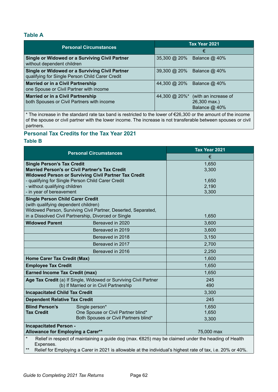# **Table A**

| <b>Personal Circumstances</b>                                                          | Tax Year 2021                                                              |  |
|----------------------------------------------------------------------------------------|----------------------------------------------------------------------------|--|
|                                                                                        | €                                                                          |  |
| <b>Single or Widowed or a Surviving Civil Partner</b>                                  | 35,300 @ 20%                                                               |  |
| without dependent children                                                             | Balance @ 40%                                                              |  |
| Single or Widowed or a Surviving Civil Partner                                         | 39,300 @ 20%                                                               |  |
| qualifying for Single Person Child Carer Credit                                        | Balance $@$ 40%                                                            |  |
| <b>Married or in a Civil Partnership</b>                                               | 44,300 @ 20%                                                               |  |
| one Spouse or Civil Partner with income                                                | Balance @ 40%                                                              |  |
| <b>Married or in a Civil Partnership</b><br>both Spouses or Civil Partners with income | (with an increase of<br>44,300 @ $20\%$ *<br>26,300 max.)<br>Balance @ 40% |  |

\* The increase in the standard rate tax band is restricted to the lower of €26,300 or the amount of the income of the spouse or civil partner with the lower income. The increase is not transferable between spouses or civil partners.

# **Personal Tax Credits for the Tax Year 2021**

## **Table B**

|                                                                                 | <b>Personal Circumstances</b>                                                                                                                                                                                      | Tax Year 2021 |
|---------------------------------------------------------------------------------|--------------------------------------------------------------------------------------------------------------------------------------------------------------------------------------------------------------------|---------------|
|                                                                                 |                                                                                                                                                                                                                    | €             |
| <b>Single Person's Tax Credit</b>                                               |                                                                                                                                                                                                                    | 1,650         |
|                                                                                 | <b>Married Person's or Civil Partner's Tax Credit</b>                                                                                                                                                              | 3,300         |
|                                                                                 | Widowed Person or Surviving Civil Partner Tax Credit<br>- qualifying for Single Person Child Carer Credit                                                                                                          | 1,650         |
| - without qualifying children                                                   |                                                                                                                                                                                                                    | 2,190         |
| - in year of bereavement                                                        |                                                                                                                                                                                                                    | 3,300         |
| <b>Single Person Child Carer Credit</b><br>(with qualifying dependent children) | Widowed Person, Surviving Civil Partner, Deserted, Separated,                                                                                                                                                      |               |
|                                                                                 | in a Dissolved Civil Partnership, Divorced or Single                                                                                                                                                               | 1,650         |
| <b>Widowed Parent</b>                                                           | Bereaved in 2020                                                                                                                                                                                                   | 3,600         |
|                                                                                 | Bereaved in 2019                                                                                                                                                                                                   | 3,600         |
|                                                                                 | Bereaved in 2018                                                                                                                                                                                                   | 3,150         |
|                                                                                 | Bereaved in 2017                                                                                                                                                                                                   | 2,700         |
|                                                                                 | Bereaved in 2016                                                                                                                                                                                                   | 2,250         |
| Home Carer Tax Credit (Max)                                                     |                                                                                                                                                                                                                    | 1,600         |
| <b>Employee Tax Credit</b>                                                      |                                                                                                                                                                                                                    | 1,650         |
| <b>Earned Income Tax Credit (max)</b>                                           |                                                                                                                                                                                                                    | 1,650         |
|                                                                                 | Age Tax Credit (a) If Single, Widowed or Surviving Civil Partner                                                                                                                                                   | 245           |
|                                                                                 | (b) If Married or in Civil Partnership                                                                                                                                                                             | 490           |
| <b>Incapacitated Child Tax Credit</b>                                           |                                                                                                                                                                                                                    | 3,300         |
| <b>Dependent Relative Tax Credit</b>                                            |                                                                                                                                                                                                                    | 245           |
| <b>Blind Person's</b>                                                           | Single person*                                                                                                                                                                                                     | 1,650         |
| <b>Tax Credit</b>                                                               | One Spouse or Civil Partner blind*                                                                                                                                                                                 | 1,650         |
|                                                                                 | Both Spouses or Civil Partners blind*                                                                                                                                                                              | 3,300         |
| <b>Incapacitated Person -</b><br>Allowance for Employing a Carer**              |                                                                                                                                                                                                                    | 75,000 max    |
| $\star$<br>Expenses.<br>$***$                                                   | Relief in respect of maintaining a guide dog (max. €825) may be claimed under the heading of Health<br>Relief for Employing a Carer in 2021 is allowable at the individual's highest rate of tax, i.e. 20% or 40%. |               |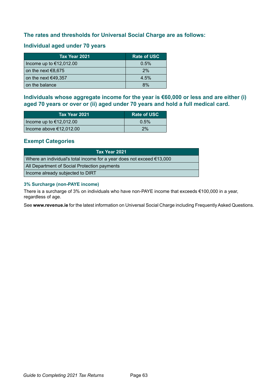# **The rates and thresholds for Universal Social Charge are as follows:**

# **Individual aged under 70 years**

| Tax Year 2021             | <b>Rate of USC</b> |
|---------------------------|--------------------|
| Income up to $€12,012.00$ | 0.5%               |
| on the next $€8,675$      | 2%                 |
| on the next $€49,357$     | 4.5%               |
| on the balance            | 8%                 |

**Individuals whose aggregate income for the year is €60,000 or less and are either (i) aged 70 years or over or (ii) aged under 70 years and hold a full medical card.**

| Tax Year 2021             | <b>Rate of USC</b> |
|---------------------------|--------------------|
| Income up to $€12,012.00$ | 0.5%               |
| Income above $€12,012.00$ | 2%                 |

## **Exempt Categories**

| Tax Year 2021                                                                   |
|---------------------------------------------------------------------------------|
| Where an individual's total income for a year does not exceed $\epsilon$ 13,000 |
| All Department of Social Protection payments                                    |
| Income already subjected to DIRT                                                |

### **3% Surcharge (non-PAYE income)**

There is a surcharge of 3% on individuals who have non-PAYE income that exceeds €100,000 in a year, regardless of age.

See **www.revenue.ie** for the latest information on Universal Social Charge including Frequently Asked Questions.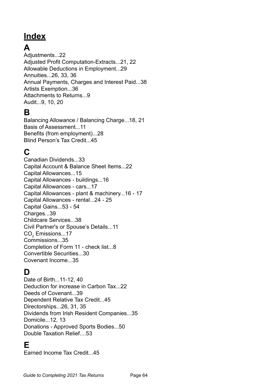# **Index**

# **A**

Adjustments...22 Adjusted Profit Computation-Extracts...21, 22 Allowable Deductions in Employment...29 Annuities...26, 33, 36 Annual Payments, Charges and Interest Paid...38 Artists Exemption...36 Attachments to Returns...9 Audit...9, 10, 20

# **B**

Balancing Allowance / Balancing Charge...18, 21 Basis of Assessment...11 Benefits (from employment)...28 Blind Person's Tax Credit...45

# **C**

Canadian Dividends...33 Capital Account & Balance Sheet Items...22 Capital Allowances...15 Capital Allowances - buildings...16 Capital Allowances - cars...17 Capital Allowances - plant & machinery...16 - 17 Capital Allowances - rental...24 - 25 Capital Gains...53 - 54 Charges...39 Childcare Services...38 Civil Partner's or Spouse's Details...11  $\mathsf{CO}_2$  Emissions...17 Commissions...35 Completion of Form 11 - check list...8 Convertible Securities...30 Covenant Income...35

# **D**

Date of Birth...11-12, 40 Deduction for increase in Carbon Tax...22 Deeds of Covenant...39 Dependent Relative Tax Credit...45 Directorships...26, 31, 35 Dividends from Irish Resident Companies...35 Domicile...12, 13 Donations - Approved Sports Bodies...50 Double Taxation Relief....53

# **E**

Earned Income Tax Credit...45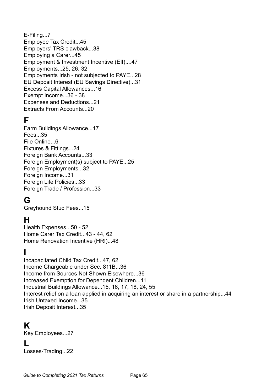# E-Filing...7 Employee Tax Credit...45 Employers' TRS clawback...38 Employing a Carer...45 Employment & Investment Incentive (EII)....47 Employments...25, 26, 32 Employments Irish - not subjected to PAYE...28 EU Deposit Interest (EU Savings Directive)...31 Excess Capital Allowances...16 Exempt Income...36 - 38 Expenses and Deductions...21 Extracts From Accounts...20

# **F**

Farm Buildings Allowance...17 Fees...35 File Online...6 Fixtures & Fittings...24 Foreign Bank Accounts...33 Foreign Employment(s) subject to PAYE...25 Foreign Employments...32 Foreign Income...31 Foreign Life Policies...33 Foreign Trade / Profession...33

# **G**

Greyhound Stud Fees...15

# **H**

Health Expenses...50 - 52 Home Carer Tax Credit...43 - 44, 62 Home Renovation Incentive (HRI)...48

# **I**

Incapacitated Child Tax Credit...47, 62 Income Chargeable under Sec. 811B...36 Income from Sources Not Shown Elsewhere...36 Increased Exemption for Dependent Children...11 Industrial Buildings Allowance...15, 16, 17, 18, 24, 55 Interest relief on a loan applied in acquiring an interest or share in a partnership...44 Irish Untaxed Income...35 Irish Deposit Interest...35

# **K**

Key Employees...27

**L**

Losses-Trading...22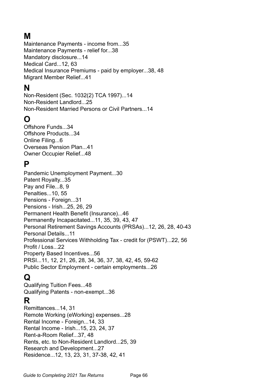# **M**

Maintenance Payments - income from...35 Maintenance Payments - relief for...38 Mandatory disclosure...14 Medical Card...12, 63 Medical Insurance Premiums - paid by employer...38, 48 Migrant Member Relief...41

# **N**

Non-Resident (Sec. 1032(2) TCA 1997)...14 Non-Resident Landlord...25 Non-Resident Married Persons or Civil Partners...14

# **O**

Offshore Funds 34 Offshore Products...34 Online Filing...6 Overseas Pension Plan...41 Owner Occupier Relief...48

# **P**

Pandemic Unemployment Payment...30 Patent Royalty...35 Pay and File...8, 9 Penalties...10, 55 Pensions - Foreign...31 Pensions - Irish...25, 26, 29 Permanent Health Benefit (Insurance)...46 Permanently Incapacitated...11, 35, 39, 43, 47 Personal Retirement Savings Accounts (PRSAs)...12, 26, 28, 40-43 Personal Details...11 Professional Services Withholding Tax - credit for (PSWT)...22, 56 Profit / Loss...22 Property Based Incentives...56 PRSI...11, 12, 21, 26, 28, 34, 36, 37, 38, 42, 45, 59-62 Public Sector Employment - certain employments...26

# **Q**

Qualifying Tuition Fees...48 Qualifying Patents - non-exempt...36

# **R**

Remittances...14, 31 Remote Working (eWorking) expenses...28 Rental Income - Foreign...14, 33 Rental Income - Irish...15, 23, 24, 37 Rent-a-Room Relief...37, 48 Rents, etc. to Non-Resident Landlord...25, 39 Research and Development...27 Residence...12, 13, 23, 31, 37-38, 42, 41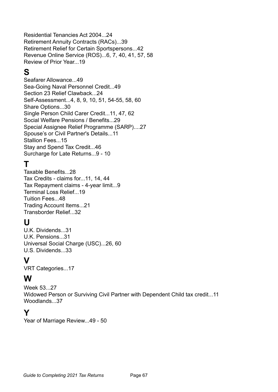Residential Tenancies Act 2004...24 Retirement Annuity Contracts (RACs)...39 Retirement Relief for Certain Sportspersons...42 Revenue Online Service (ROS)...6, 7, 40, 41, 57, 58 Review of Prior Year...19

# **S**

Seafarer Allowance...49 Sea-Going Naval Personnel Credit...49 Section 23 Relief Clawback...24 Self-Assessment...4, 8, 9, 10, 51, 54-55, 58, 60 Share Options...30 Single Person Child Carer Credit...11, 47, 62 Social Welfare Pensions / Benefits...29 Special Assignee Relief Programme (SARP)....27 Spouse's or Civil Partner's Details...11 Stallion Fees...15 Stay and Spend Tax Credit...46 Surcharge for Late Returns...9 - 10

# **T**

Taxable Benefits...28 Tax Credits - claims for...11, 14, 44 Tax Repayment claims - 4-year limit...9 Terminal Loss Relief...19 Tuition Fees...48 Trading Account Items...21 Transborder Relief...32

# **U**

U.K. Dividends...31 U.K. Pensions...31 Universal Social Charge (USC)...26, 60 U.S. Dividends...33

# **V**

VRT Categories...17

# **W**

Week 53...27 Widowed Person or Surviving Civil Partner with Dependent Child tax credit...11 Woodlands...37

# **Y**

Year of Marriage Review...49 - 50